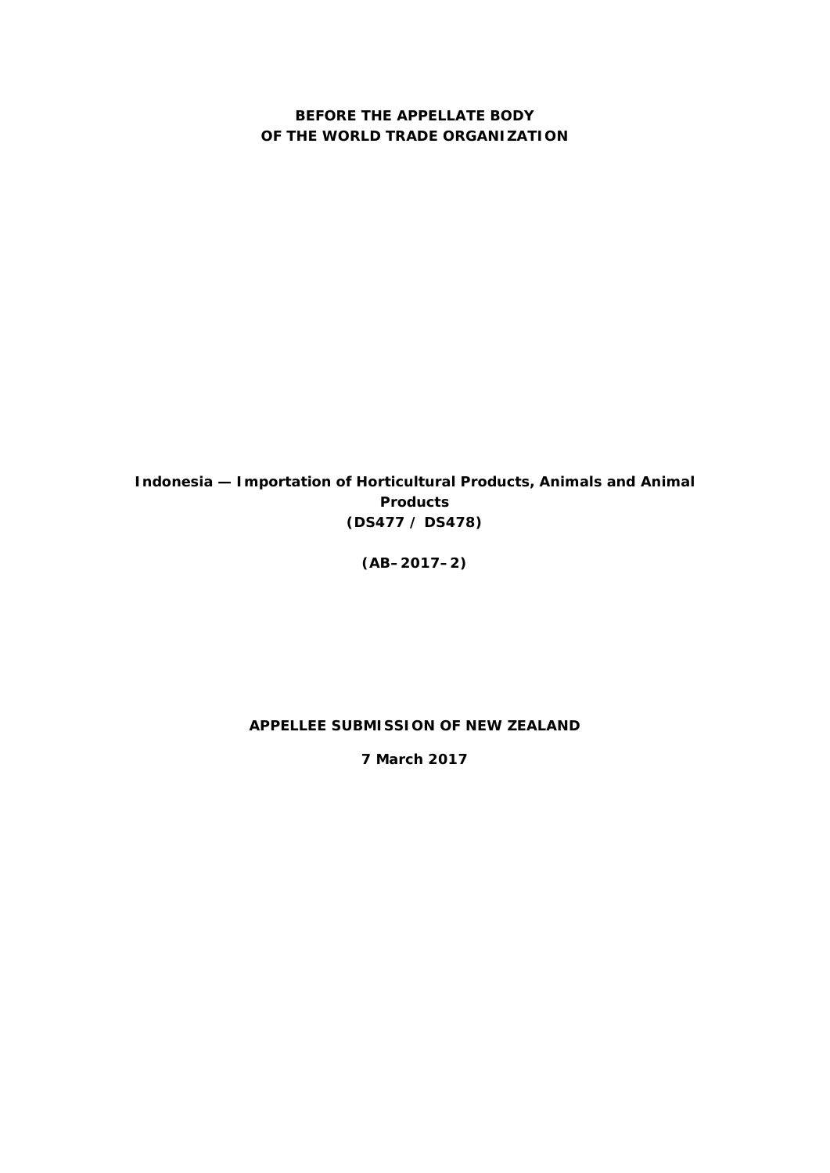# **BEFORE THE APPELLATE BODY OF THE WORLD TRADE ORGANIZATION**

*Indonesia — Importation of Horticultural Products, Animals and Animal Products* **(DS477 / DS478)**

**(AB–2017–2)**

# **APPELLEE SUBMISSION OF NEW ZEALAND**

**7 March 2017**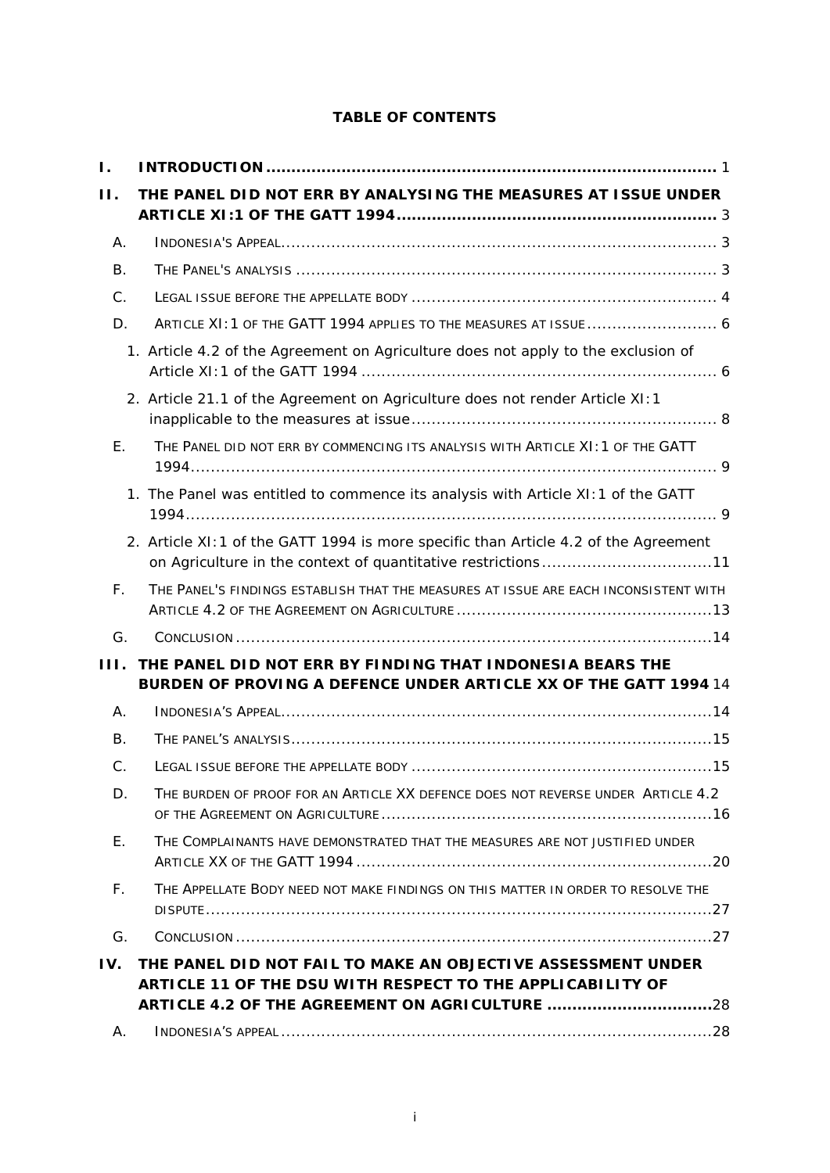# **TABLE OF CONTENTS**

| Ι.        |                                                                                                                                                      |
|-----------|------------------------------------------------------------------------------------------------------------------------------------------------------|
| $\Pi$ .   | THE PANEL DID NOT ERR BY ANALYSING THE MEASURES AT ISSUE UNDER                                                                                       |
| Α.        |                                                                                                                                                      |
| <b>B.</b> |                                                                                                                                                      |
| C.        |                                                                                                                                                      |
| D.        | ARTICLE XI: 1 OF THE GATT 1994 APPLIES TO THE MEASURES AT ISSUE  6                                                                                   |
|           | 1. Article 4.2 of the Agreement on Agriculture does not apply to the exclusion of                                                                    |
|           | 2. Article 21.1 of the Agreement on Agriculture does not render Article XI: 1                                                                        |
| E.        | THE PANEL DID NOT ERR BY COMMENCING ITS ANALYSIS WITH ARTICLE XI: 1 OF THE GATT                                                                      |
|           | 1. The Panel was entitled to commence its analysis with Article XI: 1 of the GATT                                                                    |
|           | 2. Article XI: 1 of the GATT 1994 is more specific than Article 4.2 of the Agreement<br>on Agriculture in the context of quantitative restrictions11 |
| F.        | THE PANEL'S FINDINGS ESTABLISH THAT THE MEASURES AT ISSUE ARE EACH INCONSISTENT WITH                                                                 |
| G.        |                                                                                                                                                      |
| HL.       | THE PANEL DID NOT ERR BY FINDING THAT INDONESIA BEARS THE<br>BURDEN OF PROVING A DEFENCE UNDER ARTICLE XX OF THE GATT 1994 14                        |
| А.        |                                                                                                                                                      |
| <b>B.</b> |                                                                                                                                                      |
| C.        |                                                                                                                                                      |
| D.        | THE BURDEN OF PROOF FOR AN ARTICLE XX DEFENCE DOES NOT REVERSE UNDER ARTICLE 4.2                                                                     |
| Ε.        | THE COMPLAINANTS HAVE DEMONSTRATED THAT THE MEASURES ARE NOT JUSTIFIED UNDER                                                                         |
| F.        | THE APPELLATE BODY NEED NOT MAKE FINDINGS ON THIS MATTER IN ORDER TO RESOLVE THE                                                                     |
| G.        |                                                                                                                                                      |
| IV.       | THE PANEL DID NOT FAIL TO MAKE AN OBJECTIVE ASSESSMENT UNDER<br>ARTICLE 11 OF THE DSU WITH RESPECT TO THE APPLICABILITY OF                           |
|           | ARTICLE 4.2 OF THE AGREEMENT ON AGRICULTURE 28                                                                                                       |
| Α.        |                                                                                                                                                      |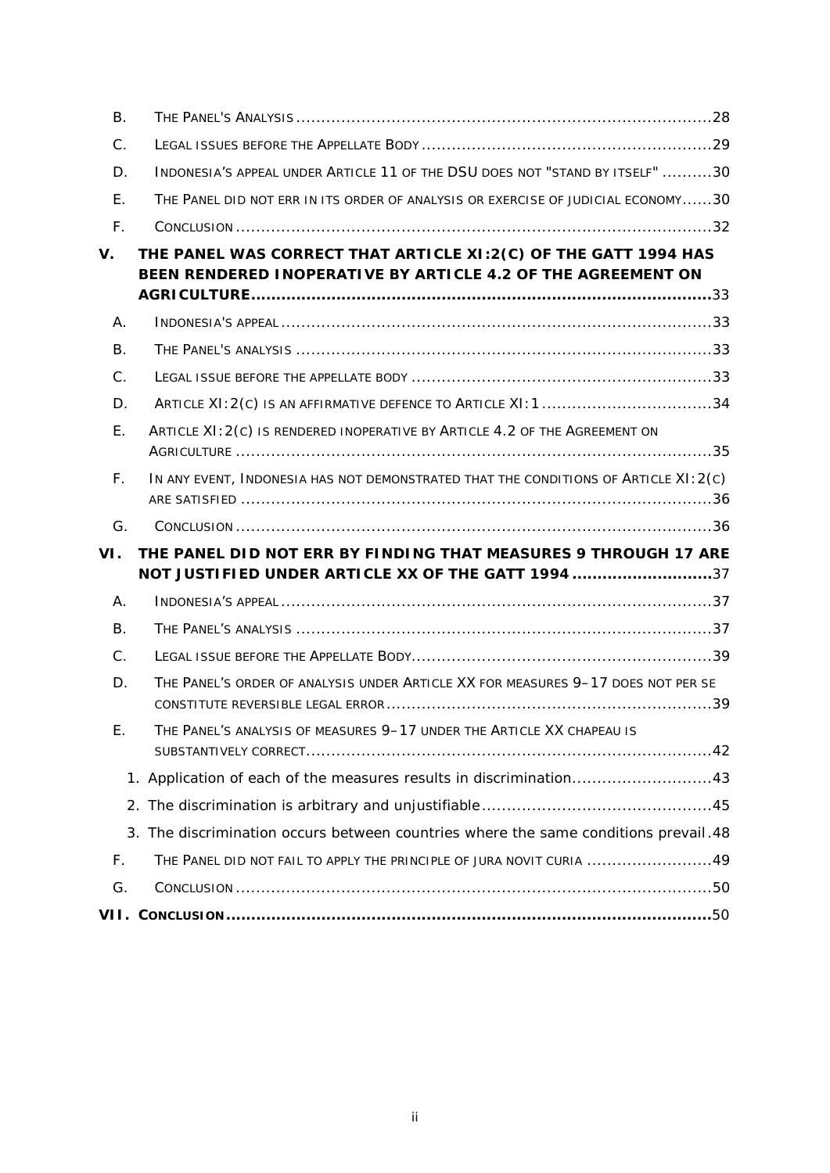| <b>B.</b>      |                                                                                                                                 |
|----------------|---------------------------------------------------------------------------------------------------------------------------------|
| C.             |                                                                                                                                 |
| D.             | INDONESIA'S APPEAL UNDER ARTICLE 11 OF THE DSU DOES NOT "STAND BY ITSELF" 30                                                    |
| Ε.             | THE PANEL DID NOT ERR IN ITS ORDER OF ANALYSIS OR EXERCISE OF JUDICIAL ECONOMY30                                                |
| F.             |                                                                                                                                 |
| $V_{\cdot}$    | THE PANEL WAS CORRECT THAT ARTICLE XI:2(C) OF THE GATT 1994 HAS<br>BEEN RENDERED INOPERATIVE BY ARTICLE 4.2 OF THE AGREEMENT ON |
| Α.             |                                                                                                                                 |
| <b>B.</b>      |                                                                                                                                 |
| $C$ .          |                                                                                                                                 |
| D.             | ARTICLE XI: 2(C) IS AN AFFIRMATIVE DEFENCE TO ARTICLE XI: 1 34                                                                  |
| Ε.             | ARTICLE XI: 2(C) IS RENDERED INOPERATIVE BY ARTICLE 4.2 OF THE AGREEMENT ON                                                     |
| F.             | IN ANY EVENT, INDONESIA HAS NOT DEMONSTRATED THAT THE CONDITIONS OF ARTICLE XI: 2(C)                                            |
| G.             |                                                                                                                                 |
| VI.            | THE PANEL DID NOT ERR BY FINDING THAT MEASURES 9 THROUGH 17 ARE                                                                 |
|                | NOT JUSTIFIED UNDER ARTICLE XX OF THE GATT 1994 37                                                                              |
| A <sub>1</sub> |                                                                                                                                 |
| В.             |                                                                                                                                 |
|                |                                                                                                                                 |
| $C$ .          |                                                                                                                                 |
| D.             | THE PANEL'S ORDER OF ANALYSIS UNDER ARTICLE XX FOR MEASURES 9-17 DOES NOT PER SE                                                |
| Ŀ.             | The Panel's analysis of measures 9–17 under the Article XX <i>chapeau</i> is                                                    |
|                | 1. Application of each of the measures results in discrimination43                                                              |
|                |                                                                                                                                 |
|                | 3. The discrimination occurs between countries where the same conditions prevail.48                                             |
| F.             | THE PANEL DID NOT FAIL TO APPLY THE PRINCIPLE OF JURA NOVIT CURIA 49                                                            |
| G.             |                                                                                                                                 |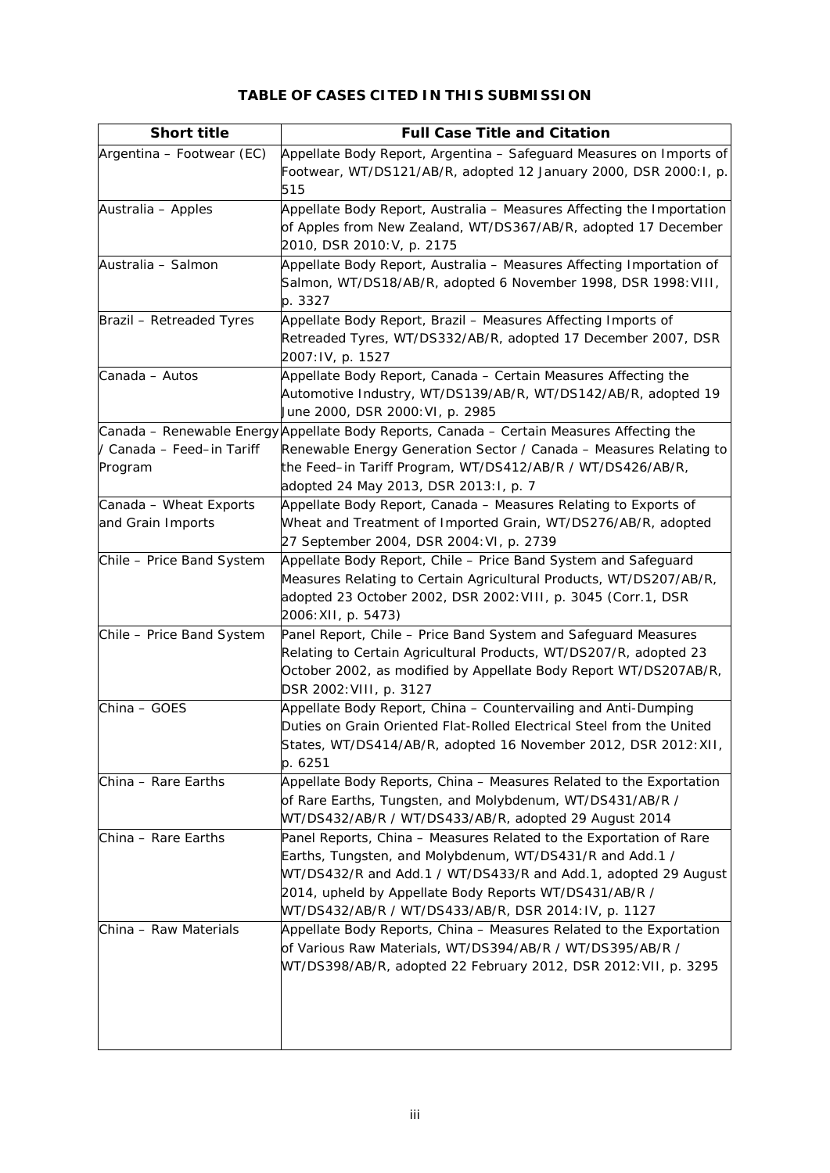# **TABLE OF CASES CITED IN THIS SUBMISSION**

| <b>Short title</b>              | <b>Full Case Title and Citation</b>                                                       |
|---------------------------------|-------------------------------------------------------------------------------------------|
| Argentina - Footwear (EC)       | Appellate Body Report, Argentina - Safeguard Measures on Imports of                       |
|                                 | Footwear, WT/DS121/AB/R, adopted 12 January 2000, DSR 2000: I, p.                         |
|                                 | 515                                                                                       |
| Australia - Apples              | Appellate Body Report, Australia - Measures Affecting the Importation                     |
|                                 | of Apples from New Zealand, WT/DS367/AB/R, adopted 17 December                            |
|                                 | 2010, DSR 2010: V, p. 2175                                                                |
| Australia - Salmon              | Appellate Body Report, Australia - Measures Affecting Importation of                      |
|                                 | Salmon, WT/DS18/AB/R, adopted 6 November 1998, DSR 1998: VIII,                            |
|                                 | p. 3327                                                                                   |
| <b>Brazil - Retreaded Tyres</b> | Appellate Body Report, Brazil - Measures Affecting Imports of                             |
|                                 | Retreaded Tyres, WT/DS332/AB/R, adopted 17 December 2007, DSR                             |
|                                 | 2007: IV, p. 1527                                                                         |
| Canada - Autos                  | Appellate Body Report, Canada - Certain Measures Affecting the                            |
|                                 | Automotive Industry, WT/DS139/AB/R, WT/DS142/AB/R, adopted 19                             |
|                                 | June 2000, DSR 2000: VI, p. 2985                                                          |
|                                 | Canada - Renewable Energy Appellate Body Reports, Canada - Certain Measures Affecting the |
| / Canada – Feed–in Tariff       | Renewable Energy Generation Sector / Canada - Measures Relating to                        |
| Program                         | the Feed-in Tariff Program, WT/DS412/AB/R / WT/DS426/AB/R,                                |
|                                 | adopted 24 May 2013, DSR 2013:1, p. 7                                                     |
| Canada - Wheat Exports          | Appellate Body Report, Canada - Measures Relating to Exports of                           |
| and Grain Imports               | Wheat and Treatment of Imported Grain, WT/DS276/AB/R, adopted                             |
|                                 | 27 September 2004, DSR 2004: VI, p. 2739                                                  |
| Chile - Price Band System       | Appellate Body Report, Chile - Price Band System and Safeguard                            |
|                                 | Measures Relating to Certain Agricultural Products, WT/DS207/AB/R,                        |
|                                 | adopted 23 October 2002, DSR 2002: VIII, p. 3045 (Corr.1, DSR                             |
|                                 | 2006: XII, p. 5473)                                                                       |
| Chile - Price Band System       | Panel Report, Chile - Price Band System and Safeguard Measures                            |
|                                 | Relating to Certain Agricultural Products, WT/DS207/R, adopted 23                         |
|                                 | October 2002, as modified by Appellate Body Report WT/DS207AB/R,                          |
|                                 | DSR 2002: VIII, p. 3127                                                                   |
| China - GOES                    | Appellate Body Report, China - Countervailing and Anti-Dumping                            |
|                                 | Duties on Grain Oriented Flat-Rolled Electrical Steel from the United                     |
|                                 | States, WT/DS414/AB/R, adopted 16 November 2012, DSR 2012: XII,                           |
|                                 | p. 6251                                                                                   |
| China - Rare Earths             | Appellate Body Reports, China - Measures Related to the Exportation                       |
|                                 | of Rare Earths, Tungsten, and Molybdenum, WT/DS431/AB/R /                                 |
|                                 | WT/DS432/AB/R / WT/DS433/AB/R, adopted 29 August 2014                                     |
| China - Rare Earths             | Panel Reports, China - Measures Related to the Exportation of Rare                        |
|                                 | Earths, Tungsten, and Molybdenum, WT/DS431/R and Add.1 /                                  |
|                                 | WT/DS432/R and Add.1 / WT/DS433/R and Add.1, adopted 29 August                            |
|                                 | 2014, upheld by Appellate Body Reports WT/DS431/AB/R /                                    |
|                                 | WT/DS432/AB/R / WT/DS433/AB/R, DSR 2014: IV, p. 1127                                      |
| China - Raw Materials           | Appellate Body Reports, China - Measures Related to the Exportation                       |
|                                 | of Various Raw Materials, WT/DS394/AB/R / WT/DS395/AB/R /                                 |
|                                 | WT/DS398/AB/R, adopted 22 February 2012, DSR 2012: VII, p. 3295                           |
|                                 |                                                                                           |
|                                 |                                                                                           |
|                                 |                                                                                           |
|                                 |                                                                                           |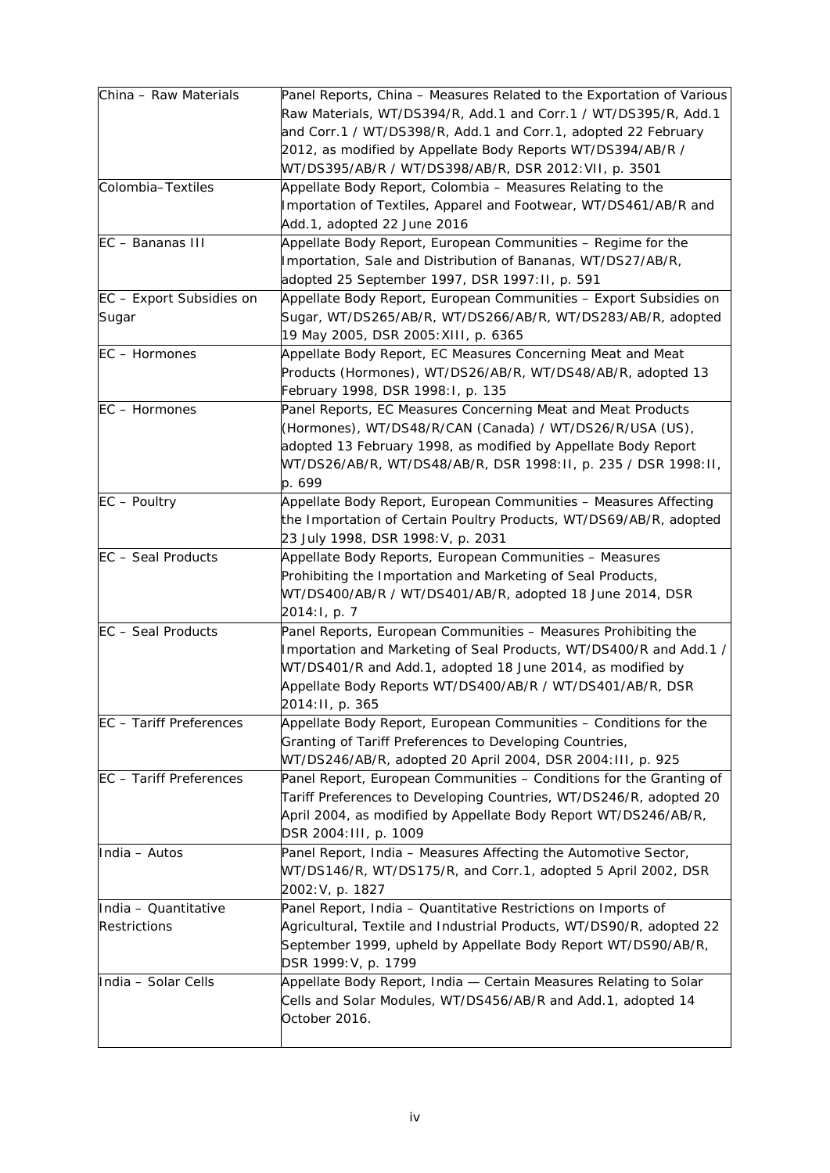| China - Raw Materials          | Panel Reports, China - Measures Related to the Exportation of Various |
|--------------------------------|-----------------------------------------------------------------------|
|                                | Raw Materials, WT/DS394/R, Add.1 and Corr.1 / WT/DS395/R, Add.1       |
|                                | and Corr.1 / WT/DS398/R, Add.1 and Corr.1, adopted 22 February        |
|                                | 2012, as modified by Appellate Body Reports WT/DS394/AB/R /           |
|                                | WT/DS395/AB/R / WT/DS398/AB/R, DSR 2012: VII, p. 3501                 |
| Colombia-Textiles              | Appellate Body Report, Colombia - Measures Relating to the            |
|                                | Importation of Textiles, Apparel and Footwear, WT/DS461/AB/R and      |
|                                | Add.1, adopted 22 June 2016                                           |
| EC - Bananas III               | Appellate Body Report, European Communities - Regime for the          |
|                                | Importation, Sale and Distribution of Bananas, WT/DS27/AB/R,          |
|                                | adopted 25 September 1997, DSR 1997: II, p. 591                       |
| EC - Export Subsidies on       | Appellate Body Report, European Communities - Export Subsidies on     |
|                                |                                                                       |
| Sugar                          | Sugar, WT/DS265/AB/R, WT/DS266/AB/R, WT/DS283/AB/R, adopted           |
|                                | 19 May 2005, DSR 2005: XIII, p. 6365                                  |
| EC - Hormones                  | Appellate Body Report, EC Measures Concerning Meat and Meat           |
|                                | Products (Hormones), WT/DS26/AB/R, WT/DS48/AB/R, adopted 13           |
|                                | February 1998, DSR 1998:1, p. 135                                     |
| EC - Hormones                  | Panel Reports, EC Measures Concerning Meat and Meat Products          |
|                                | (Hormones), WT/DS48/R/CAN (Canada) / WT/DS26/R/USA (US),              |
|                                | adopted 13 February 1998, as modified by Appellate Body Report        |
|                                | WT/DS26/AB/R, WT/DS48/AB/R, DSR 1998:11, p. 235 / DSR 1998:11,        |
|                                | p. 699                                                                |
| $EC - Poultry$                 | Appellate Body Report, European Communities - Measures Affecting      |
|                                | the Importation of Certain Poultry Products, WT/DS69/AB/R, adopted    |
|                                | 23 July 1998, DSR 1998: V, p. 2031                                    |
| <b>EC</b> - Seal Products      | Appellate Body Reports, European Communities - Measures               |
|                                | Prohibiting the Importation and Marketing of Seal Products,           |
|                                | WT/DS400/AB/R / WT/DS401/AB/R, adopted 18 June 2014, DSR              |
|                                |                                                                       |
|                                | 2014: I, p. 7                                                         |
| EC - Seal Products             | Panel Reports, European Communities - Measures Prohibiting the        |
|                                | Importation and Marketing of Seal Products, WT/DS400/R and Add.1 /    |
|                                | WT/DS401/R and Add.1, adopted 18 June 2014, as modified by            |
|                                | Appellate Body Reports WT/DS400/AB/R / WT/DS401/AB/R, DSR             |
|                                | 2014: II, p. 365                                                      |
| <b>EC</b> - Tariff Preferences | Appellate Body Report, European Communities - Conditions for the      |
|                                | Granting of Tariff Preferences to Developing Countries,               |
|                                | WT/DS246/AB/R, adopted 20 April 2004, DSR 2004: III, p. 925           |
| EC - Tariff Preferences        | Panel Report, European Communities - Conditions for the Granting of   |
|                                | Tariff Preferences to Developing Countries, WT/DS246/R, adopted 20    |
|                                | April 2004, as modified by Appellate Body Report WT/DS246/AB/R,       |
|                                | DSR 2004: III, p. 1009                                                |
| India - Autos                  | Panel Report, India - Measures Affecting the Automotive Sector,       |
|                                | WT/DS146/R, WT/DS175/R, and Corr.1, adopted 5 April 2002, DSR         |
|                                | 2002: V, p. 1827                                                      |
|                                |                                                                       |
| India - Quantitative           | Panel Report, India - Quantitative Restrictions on Imports of         |
| <b>Restrictions</b>            | Agricultural, Textile and Industrial Products, WT/DS90/R, adopted 22  |
|                                | September 1999, upheld by Appellate Body Report WT/DS90/AB/R,         |
|                                | DSR 1999: V, p. 1799                                                  |
| India - Solar Cells            | Appellate Body Report, India - Certain Measures Relating to Solar     |
|                                | Cells and Solar Modules, WT/DS456/AB/R and Add.1, adopted 14          |
|                                | October 2016.                                                         |
|                                |                                                                       |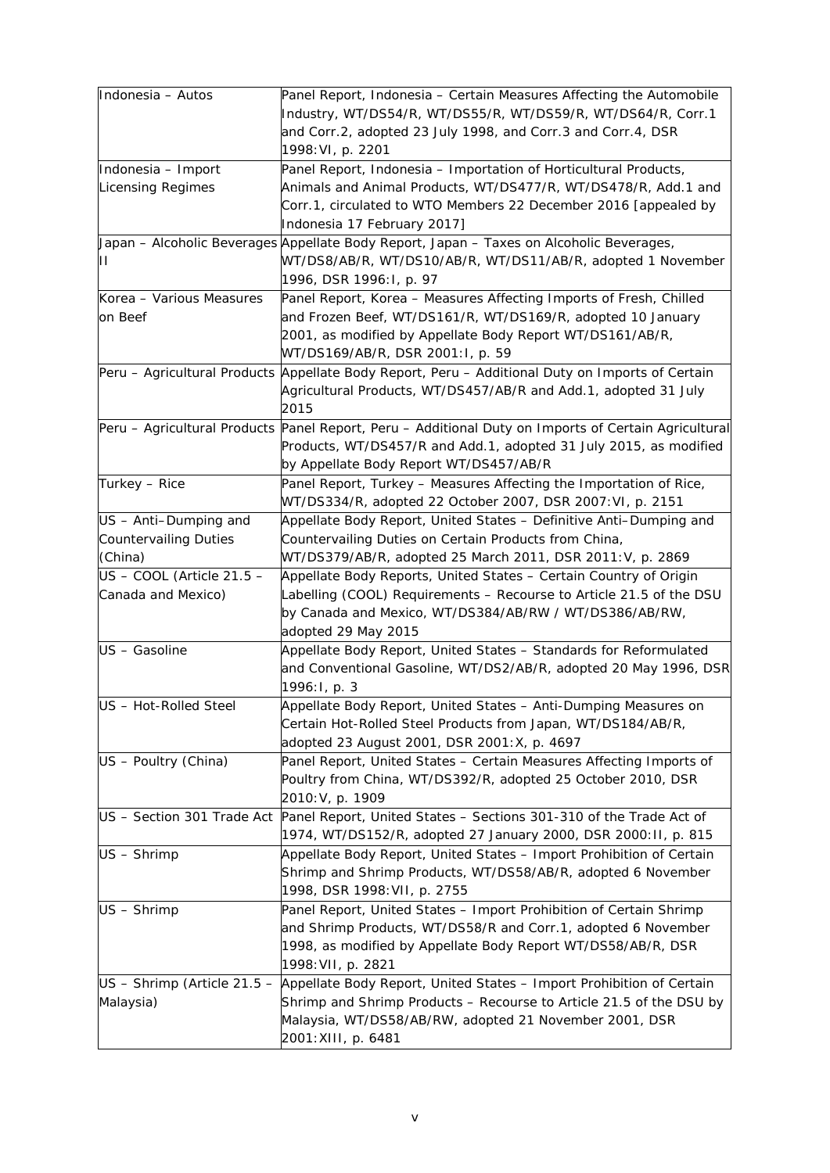| Indonesia - Autos                                                | Panel Report, Indonesia - Certain Measures Affecting the Automobile<br>Industry, WT/DS54/R, WT/DS55/R, WT/DS59/R, WT/DS64/R, Corr.1<br>and Corr.2, adopted 23 July 1998, and Corr.3 and Corr.4, DSR<br>1998: VI, p. 2201             |
|------------------------------------------------------------------|--------------------------------------------------------------------------------------------------------------------------------------------------------------------------------------------------------------------------------------|
| Indonesia - Import<br><b>Licensing Regimes</b>                   | Panel Report, Indonesia - Importation of Horticultural Products,<br>Animals and Animal Products, WT/DS477/R, WT/DS478/R, Add.1 and<br>Corr.1, circulated to WTO Members 22 December 2016 [appealed by<br>Indonesia 17 February 2017] |
| 77                                                               | <i>Japan – Alcoholic Beverages</i> Appellate Body Report, Japan – Taxes on Alcoholic Beverages,<br>WT/DS8/AB/R, WT/DS10/AB/R, WT/DS11/AB/R, adopted 1 November<br>1996, DSR 1996: I, p. 97                                           |
| Korea - Various Measures<br>on Beef                              | Panel Report, Korea - Measures Affecting Imports of Fresh, Chilled<br>and Frozen Beef, WT/DS161/R, WT/DS169/R, adopted 10 January<br>2001, as modified by Appellate Body Report WT/DS161/AB/R,<br>WT/DS169/AB/R, DSR 2001:1, p. 59   |
|                                                                  | Peru – Agricultural Products Appellate Body Report, Peru – Additional Duty on Imports of Certain<br>Agricultural Products, WT/DS457/AB/R and Add.1, adopted 31 July<br>2015                                                          |
|                                                                  | Peru - Agricultural Products Panel Report, Peru - Additional Duty on Imports of Certain Agricultural<br>Products, WT/DS457/R and Add.1, adopted 31 July 2015, as modified<br>by Appellate Body Report WT/DS457/AB/R                  |
| Turkey - Rice                                                    | Panel Report, Turkey - Measures Affecting the Importation of Rice,<br>WT/DS334/R, adopted 22 October 2007, DSR 2007: VI, p. 2151                                                                                                     |
| US - Anti-Dumping and<br><b>Countervailing Duties</b><br>(China) | Appellate Body Report, United States - Definitive Anti-Dumping and<br>Countervailing Duties on Certain Products from China,<br>WT/DS379/AB/R, adopted 25 March 2011, DSR 2011: V, p. 2869                                            |
| $US$ – COOL (Article 21.5 –<br>Canada and Mexico)                | Appellate Body Reports, United States - Certain Country of Origin<br>Labelling (COOL) Requirements - Recourse to Article 21.5 of the DSU<br>by Canada and Mexico, WT/DS384/AB/RW / WT/DS386/AB/RW,<br>adopted 29 May 2015            |
| US - Gasoline                                                    | Appellate Body Report, United States - Standards for Reformulated<br>and Conventional Gasoline, WT/DS2/AB/R, adopted 20 May 1996, DSR<br>1996: I, p. 3                                                                               |
| US - Hot-Rolled Steel                                            | Appellate Body Report, United States - Anti-Dumping Measures on<br>Certain Hot-Rolled Steel Products from Japan, WT/DS184/AB/R,<br>adopted 23 August 2001, DSR 2001:X, p. 4697                                                       |
| US - Poultry (China)                                             | Panel Report, United States - Certain Measures Affecting Imports of<br>Poultry from China, WT/DS392/R, adopted 25 October 2010, DSR<br>2010: V, p. 1909                                                                              |
|                                                                  | US - Section 301 Trade Act Panel Report, United States - Sections 301-310 of the Trade Act of<br>1974, WT/DS152/R, adopted 27 January 2000, DSR 2000: II, p. 815                                                                     |
| US - Shrimp                                                      | Appellate Body Report, United States - Import Prohibition of Certain<br>Shrimp and Shrimp Products, WT/DS58/AB/R, adopted 6 November<br>1998, DSR 1998: VII, p. 2755                                                                 |
| US - Shrimp                                                      | Panel Report, United States - Import Prohibition of Certain Shrimp<br>and Shrimp Products, WT/DS58/R and Corr.1, adopted 6 November<br>1998, as modified by Appellate Body Report WT/DS58/AB/R, DSR<br>1998: VII, p. 2821            |
| US - Shrimp (Article 21.5 -<br>Malaysia)                         | Appellate Body Report, United States - Import Prohibition of Certain<br>Shrimp and Shrimp Products - Recourse to Article 21.5 of the DSU by<br>Malaysia, WT/DS58/AB/RW, adopted 21 November 2001, DSR<br>2001: XIII, p. 6481         |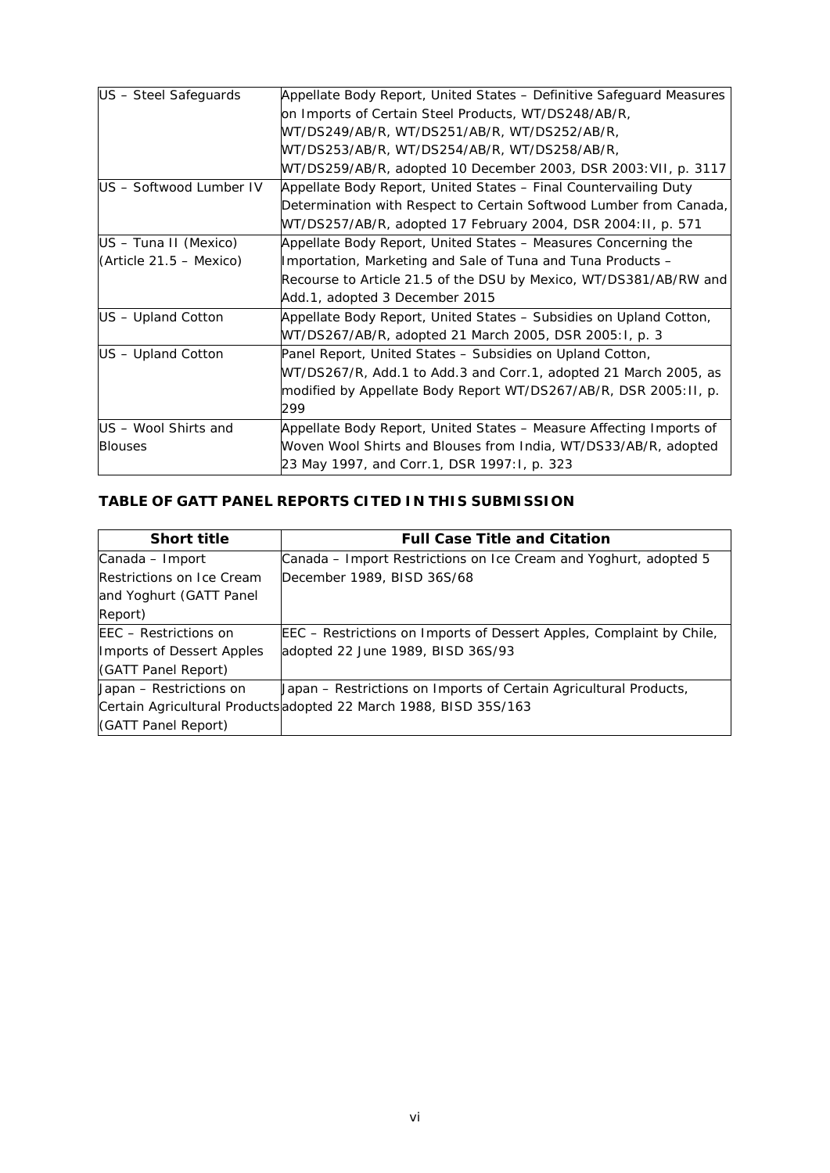| US - Steel Safeguards     | Appellate Body Report, United States – Definitive Safeguard Measures |
|---------------------------|----------------------------------------------------------------------|
|                           | on Imports of Certain Steel Products, WT/DS248/AB/R,                 |
|                           | WT/DS249/AB/R, WT/DS251/AB/R, WT/DS252/AB/R,                         |
|                           | WT/DS253/AB/R, WT/DS254/AB/R, WT/DS258/AB/R,                         |
|                           | WT/DS259/AB/R, adopted 10 December 2003, DSR 2003: VII, p. 3117      |
| US - Softwood Lumber IV   | Appellate Body Report, United States - Final Countervailing Duty     |
|                           | Determination with Respect to Certain Softwood Lumber from Canada,   |
|                           | WT/DS257/AB/R, adopted 17 February 2004, DSR 2004: II, p. 571        |
| US – Tuna II (Mexico)     | Appellate Body Report, United States - Measures Concerning the       |
| $(Article 21.5 - Mexico)$ | Importation, Marketing and Sale of Tuna and Tuna Products -          |
|                           | Recourse to Article 21.5 of the DSU by Mexico, WT/DS381/AB/RW and    |
|                           | Add.1, adopted 3 December 2015                                       |
| US - Upland Cotton        | Appellate Body Report, United States - Subsidies on Upland Cotton,   |
|                           | WT/DS267/AB/R, adopted 21 March 2005, DSR 2005:1, p. 3               |
| US - Upland Cotton        | Panel Report, United States - Subsidies on Upland Cotton,            |
|                           | WT/DS267/R, Add.1 to Add.3 and Corr.1, adopted 21 March 2005, as     |
|                           | modified by Appellate Body Report WT/DS267/AB/R, DSR 2005:11, p.     |
|                           | 299                                                                  |
| US - Wool Shirts and      | Appellate Body Report, United States - Measure Affecting Imports of  |
| <b>Blouses</b>            | Woven Wool Shirts and Blouses from India, WT/DS33/AB/R, adopted      |
|                           | 23 May 1997, and Corr.1, DSR 1997:1, p. 323                          |

# **TABLE OF GATT PANEL REPORTS CITED IN THIS SUBMISSION**

| <b>Short title</b>               | <b>Full Case Title and Citation</b>                                         |
|----------------------------------|-----------------------------------------------------------------------------|
| Canada – Import                  | Canada – Import Restrictions on Ice Cream and Yoghurt, adopted 5            |
| Restrictions on Ice Cream        | December 1989, BISD 36S/68                                                  |
| and Yoghurt (GATT Panel          |                                                                             |
| Report)                          |                                                                             |
| EEC – Restrictions on            | <i>EEC – Restrictions on Imports of Dessert Apples, Complaint by Chile,</i> |
| <b>Imports of Dessert Apples</b> | adopted 22 June 1989, BISD 36S/93                                           |
| (GATT Panel Report)              |                                                                             |
| Japan – Restrictions on          | Japan – Restrictions on Imports of Certain Agricultural Products,           |
|                                  | Certain Agricultural Products adopted 22 March 1988, BISD 35S/163           |
| (GATT Panel Report)              |                                                                             |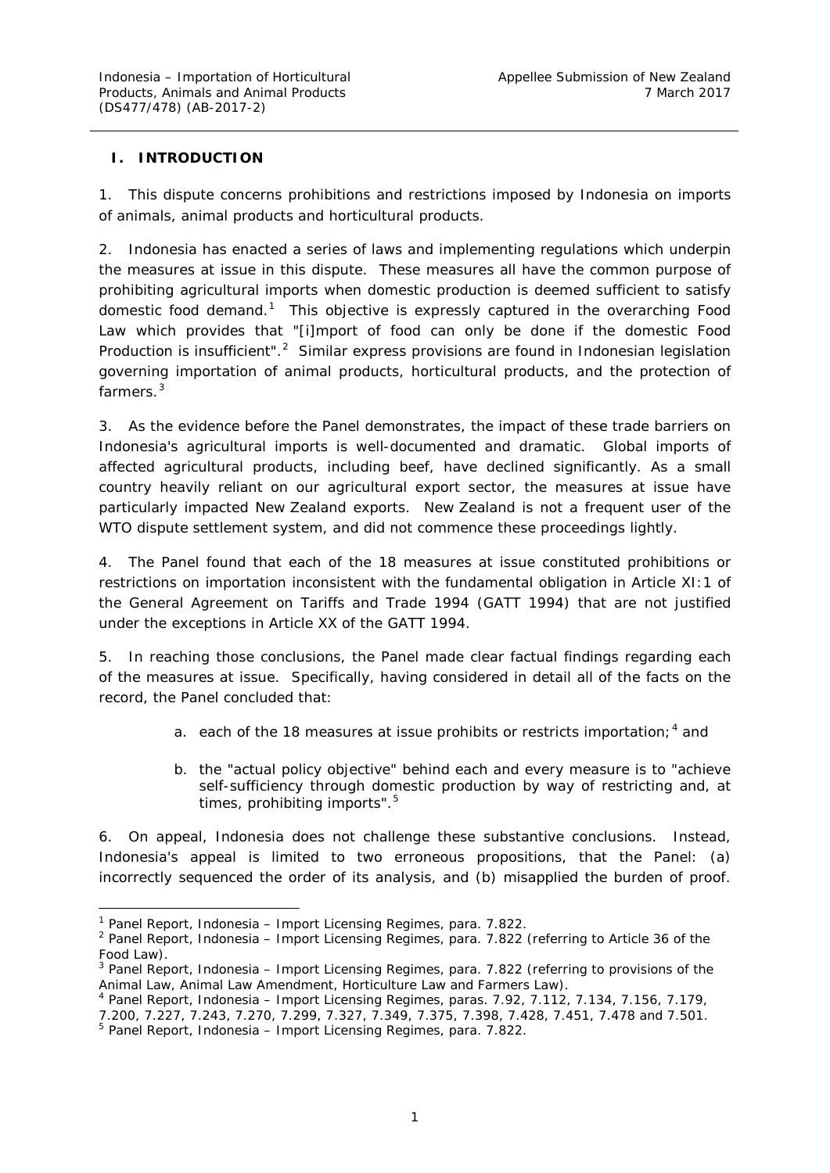### <span id="page-7-0"></span>**I. INTRODUCTION**

1. This dispute concerns prohibitions and restrictions imposed by Indonesia on imports of animals, animal products and horticultural products.

2. Indonesia has enacted a series of laws and implementing regulations which underpin the measures at issue in this dispute. These measures all have the common purpose of prohibiting agricultural imports when domestic production is deemed sufficient to satisfy domestic food demand.<sup>[1](#page-7-1)</sup> This objective is expressly captured in the overarching Food *Law* which provides that "[i]mport of food can only be done if the domestic Food Production is insufficient".<sup>[2](#page-7-2)</sup> Similar express provisions are found in Indonesian legislation governing importation of animal products, horticultural products, and the protection of farmers<sup>[3](#page-7-3)</sup>

3. As the evidence before the Panel demonstrates, the impact of these trade barriers on Indonesia's agricultural imports is well-documented and dramatic. Global imports of affected agricultural products, including beef, have declined significantly. As a small country heavily reliant on our agricultural export sector, the measures at issue have particularly impacted New Zealand exports. New Zealand is not a frequent user of the WTO dispute settlement system, and did not commence these proceedings lightly.

4. The Panel found that each of the 18 measures at issue constituted prohibitions or restrictions on importation inconsistent with the fundamental obligation in Article XI:1 of the *General Agreement on Tariffs and Trade 1994* (GATT 1994) that are not justified under the exceptions in Article XX of the GATT 1994.

5. In reaching those conclusions, the Panel made clear factual findings regarding each of the measures at issue. Specifically, having considered in detail all of the facts on the record, the Panel concluded that:

- a. each of the 18 measures at issue prohibits or restricts importation;  $4$  and
- b. the "actual policy objective" behind each and every measure is to "achieve self-sufficiency through domestic production by way of restricting and, at times, prohibiting imports".<sup>[5](#page-7-5)</sup>

6. On appeal, Indonesia does not challenge these substantive conclusions. Instead, Indonesia's appeal is limited to two erroneous propositions, that the Panel: (a) incorrectly sequenced the order of its analysis, and (b) misapplied the burden of proof.

<span id="page-7-1"></span> <sup>1</sup> Panel Report, *Indonesia – Import Licensing Regimes*, para. 7.822.

<span id="page-7-2"></span><sup>2</sup> Panel Report, *Indonesia – Import Licensing Regimes*, para. 7.822 (referring to Article 36 of the *Food Law*).

<span id="page-7-3"></span><sup>3</sup> Panel Report, *Indonesia – Import Licensing Regimes*, para. 7.822 (referring to provisions of the

<span id="page-7-4"></span>*Animal Law, Animal Law Amendment, Horticulture Law* and *Farmers Law*). 4 Panel Report, *Indonesia – Import Licensing Regimes*, paras. 7.92, 7.112, 7.134, 7.156, 7.179, 7.200, 7.227, 7.243, 7.270, 7.299, 7.327, 7.349, 7.375, 7.398, 7.428, 7.451, 7.478 and 7.501. 5 Panel Report, *Indonesia – Import Licensing Regimes*, para. 7.822.

<span id="page-7-5"></span>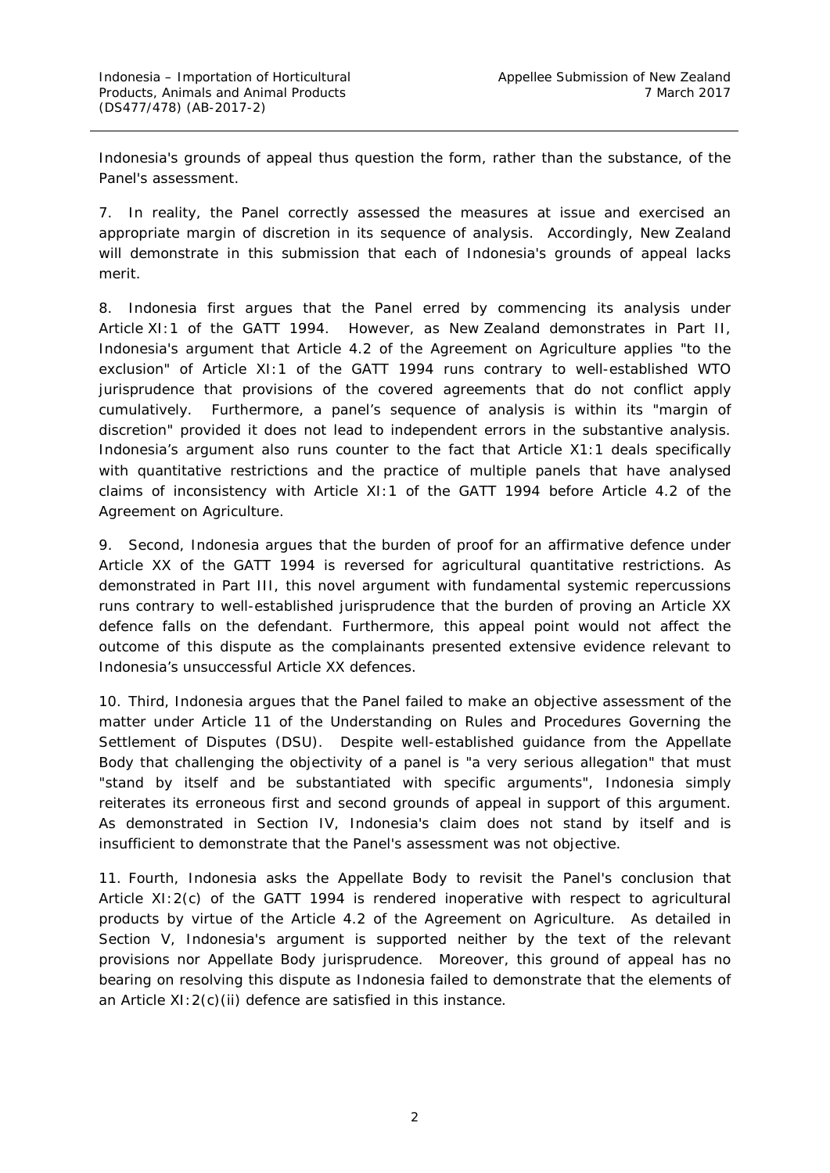Indonesia's grounds of appeal thus question the form, rather than the substance, of the Panel's assessment.

7. In reality, the Panel correctly assessed the measures at issue and exercised an appropriate margin of discretion in its sequence of analysis. Accordingly, New Zealand will demonstrate in this submission that each of Indonesia's grounds of appeal lacks merit.

8. Indonesia first argues that the Panel erred by commencing its analysis under Article XI:1 of the GATT 1994. However, as New Zealand demonstrates in Part II, Indonesia's argument that Article 4.2 of the Agreement on Agriculture applies "to the exclusion" of Article XI:1 of the GATT 1994 runs contrary to well-established WTO jurisprudence that provisions of the covered agreements that do not conflict apply cumulatively. Furthermore, a panel's sequence of analysis is within its "margin of discretion" provided it does not lead to independent errors in the substantive analysis. Indonesia's argument also runs counter to the fact that Article X1:1 deals specifically with quantitative restrictions and the practice of multiple panels that have analysed claims of inconsistency with Article XI:1 of the GATT 1994 before Article 4.2 of the Agreement on Agriculture.

9. Second, Indonesia argues that the burden of proof for an affirmative defence under Article XX of the GATT 1994 is *reversed* for agricultural quantitative restrictions. As demonstrated in Part III, this novel argument with fundamental systemic repercussions runs contrary to well-established jurisprudence that the burden of proving an Article XX defence falls on the defendant. Furthermore, this appeal point would not affect the outcome of this dispute as the complainants presented extensive evidence relevant to Indonesia's unsuccessful Article XX defences.

10. Third, Indonesia argues that the Panel failed to make an objective assessment of the matter under Article 11 of the *Understanding on Rules and Procedures Governing the Settlement of Disputes* (DSU). Despite well-established guidance from the Appellate Body that challenging the objectivity of a panel is "a very serious allegation" that must "stand by itself and be substantiated with specific arguments", Indonesia simply reiterates its erroneous first and second grounds of appeal in support of this argument. As demonstrated in Section IV, Indonesia's claim does not stand by itself and is insufficient to demonstrate that the Panel's assessment was not objective.

11. Fourth, Indonesia asks the Appellate Body to revisit the Panel's conclusion that Article XI:2(c) of the GATT 1994 is rendered inoperative with respect to agricultural products by virtue of the Article 4.2 of the Agreement on Agriculture. As detailed in Section V, Indonesia's argument is supported neither by the text of the relevant provisions nor Appellate Body jurisprudence. Moreover, this ground of appeal has no bearing on resolving this dispute as Indonesia failed to demonstrate that the elements of an Article XI:2(c)(ii) defence are satisfied in this instance.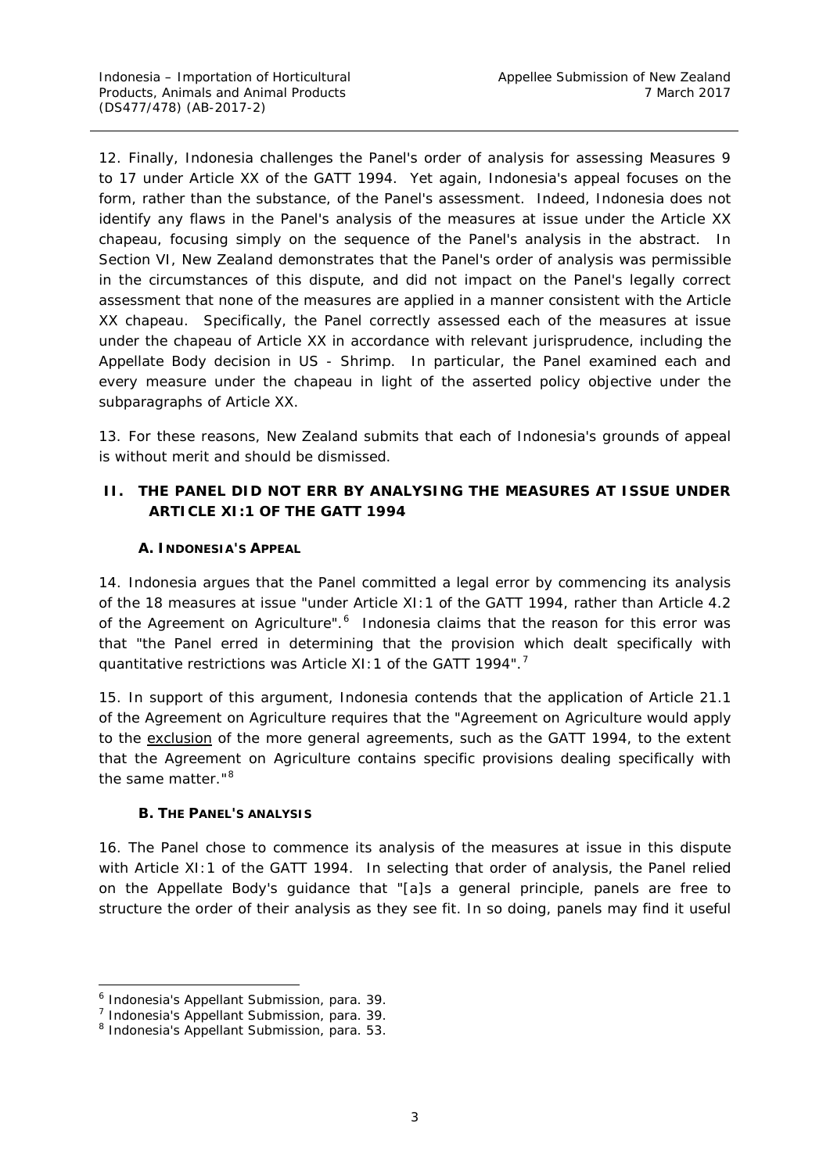12. Finally, Indonesia challenges the Panel's order of analysis for assessing Measures 9 to 17 under Article XX of the GATT 1994. Yet again, Indonesia's appeal focuses on the form, rather than the substance, of the Panel's assessment. Indeed, Indonesia does not identify any flaws in the Panel's analysis of the measures at issue under the Article XX *chapeau*, focusing simply on the sequence of the Panel's analysis in the abstract. In Section VI, New Zealand demonstrates that the Panel's order of analysis was permissible in the circumstances of this dispute, and did not impact on the Panel's legally correct assessment that none of the measures are applied in a manner consistent with the Article XX *chapeau*. Specifically, the Panel correctly assessed each of the measures at issue under the *chapeau* of Article XX in accordance with relevant jurisprudence, including the Appellate Body decision in *US - Shrimp*. In particular, the Panel examined each and every measure under the *chapeau* in light of the asserted policy objective under the subparagraphs of Article XX.

13. For these reasons, New Zealand submits that each of Indonesia's grounds of appeal is without merit and should be dismissed.

# <span id="page-9-0"></span>**II. THE PANEL DID NOT ERR BY ANALYSING THE MEASURES AT ISSUE UNDER ARTICLE XI:1 OF THE GATT 1994**

# **A. INDONESIA'S APPEAL**

<span id="page-9-1"></span>14. Indonesia argues that the Panel committed a legal error by commencing its analysis of the 18 measures at issue "under Article XI:1 of the GATT 1994, rather than Article 4.2 of the Agreement on Agriculture".<sup>[6](#page-9-3)</sup> Indonesia claims that the reason for this error was that "the Panel erred in determining that the provision which dealt specifically with quantitative restrictions was Article XI: 1 of the GATT 1994".<sup>[7](#page-9-4)</sup>

15. In support of this argument, Indonesia contends that the application of Article 21.1 of the Agreement on Agriculture requires that the "Agreement on Agriculture would apply to the exclusion of the more general agreements, such as the GATT 1994, to the extent that the Agreement on Agriculture contains specific provisions dealing specifically with the same matter."<sup>[8](#page-9-5)</sup>

### **B. THE PANEL'S ANALYSIS**

<span id="page-9-2"></span>16. The Panel chose to commence its analysis of the measures at issue in this dispute with Article XI:1 of the GATT 1994. In selecting that order of analysis, the Panel relied on the Appellate Body's guidance that "[a]s a general principle, panels are free to structure the order of their analysis as they see fit. In so doing, panels may find it useful

<span id="page-9-3"></span> <sup>6</sup> Indonesia's Appellant Submission, para. 39.

<span id="page-9-4"></span> $<sup>7</sup>$  Indonesia's Appellant Submission, para. 39.</sup>

<span id="page-9-5"></span><sup>8</sup> Indonesia's Appellant Submission, para. 53.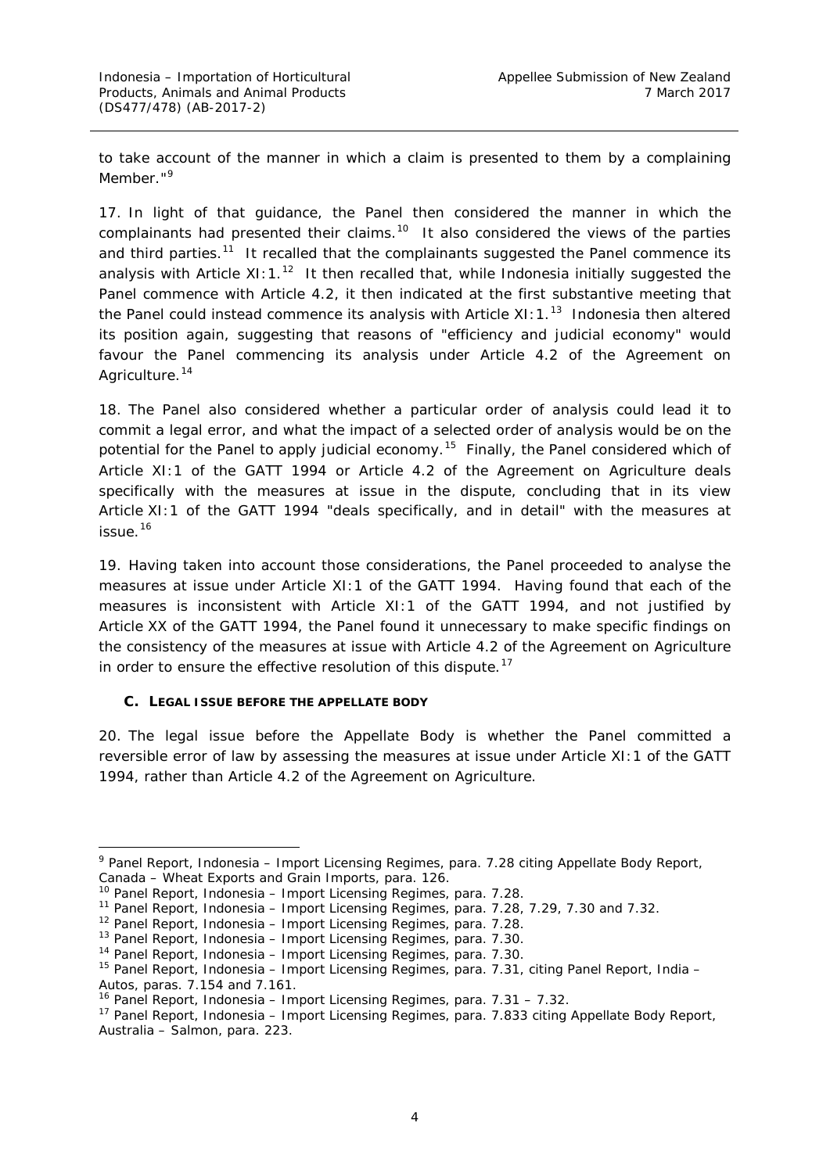to take account of the manner in which a claim is presented to them by a complaining Member."<sup>[9](#page-10-1)</sup>

17. In light of that guidance, the Panel then considered the manner in which the complainants had presented their claims.<sup>[10](#page-10-2)</sup> It also considered the views of the parties and third parties.<sup>[11](#page-10-3)</sup> It recalled that the complainants suggested the Panel commence its analysis with Article  $X1:1.^{12}$  It then recalled that, while Indonesia initially suggested the Panel commence with Article 4.2, it then indicated at the first substantive meeting that the Panel could instead commence its analysis with Article XI:  $1.^{13}$  $1.^{13}$  $1.^{13}$  Indonesia then altered its position again, suggesting that reasons of "efficiency and judicial economy" would favour the Panel commencing its analysis under Article 4.2 of the Agreement on Agriculture.<sup>[14](#page-10-6)</sup>

18. The Panel also considered whether a particular order of analysis could lead it to commit a legal error, and what the impact of a selected order of analysis would be on the potential for the Panel to apply judicial economy.<sup>[15](#page-10-7)</sup> Finally, the Panel considered which of Article XI:1 of the GATT 1994 or Article 4.2 of the Agreement on Agriculture deals specifically with the measures at issue in the dispute, concluding that in its view Article XI:1 of the GATT 1994 "deals specifically, and in detail" with the measures at issue. [16](#page-10-8)

19. Having taken into account those considerations, the Panel proceeded to analyse the measures at issue under Article XI:1 of the GATT 1994. Having found that each of the measures is inconsistent with Article XI:1 of the GATT 1994, and not justified by Article XX of the GATT 1994, the Panel found it unnecessary to make specific findings on the consistency of the measures at issue with Article 4.2 of the Agreement on Agriculture in order to ensure the effective resolution of this dispute.<sup>[17](#page-10-9)</sup>

#### <span id="page-10-0"></span>**C. LEGAL ISSUE BEFORE THE APPELLATE BODY**

20. The legal issue before the Appellate Body is whether the Panel committed a reversible error of law by assessing the measures at issue under Article XI:1 of the GATT 1994, rather than Article 4.2 of the Agreement on Agriculture.

<span id="page-10-1"></span> <sup>9</sup> Panel Report, *Indonesia – Import Licensing Regimes*, para. 7.28 citing Appellate Body Report, *Canada – Wheat Exports and Grain Imports*, para. 126.

<span id="page-10-2"></span><sup>10</sup> Panel Report, *Indonesia – Import Licensing Regimes*, para. 7.28.

<span id="page-10-3"></span><sup>11</sup> Panel Report, *Indonesia – Import Licensing Regimes*, para. 7.28, 7.29, 7.30 and 7.32.

<span id="page-10-4"></span><sup>12</sup> Panel Report, *Indonesia – Import Licensing Regimes*, para. 7.28.

<sup>13</sup> Panel Report, *Indonesia – Import Licensing Regimes*, para. 7.30.

<span id="page-10-6"></span><span id="page-10-5"></span><sup>14</sup> Panel Report, *Indonesia – Import Licensing Regimes*, para. 7.30.

<span id="page-10-7"></span><sup>15</sup> Panel Report, *Indonesia – Import Licensing Regimes*, para. 7.31, citing Panel Report, *India – Autos*, paras. 7.154 and 7.161.

<span id="page-10-8"></span><sup>16</sup> Panel Report, *Indonesia – Import Licensing Regimes*, para. 7.31 – 7.32.

<span id="page-10-9"></span><sup>17</sup> Panel Report, *Indonesia – Import Licensing Regimes*, para. 7.833 citing Appellate Body Report, *Australia – Salmon*, para. 223.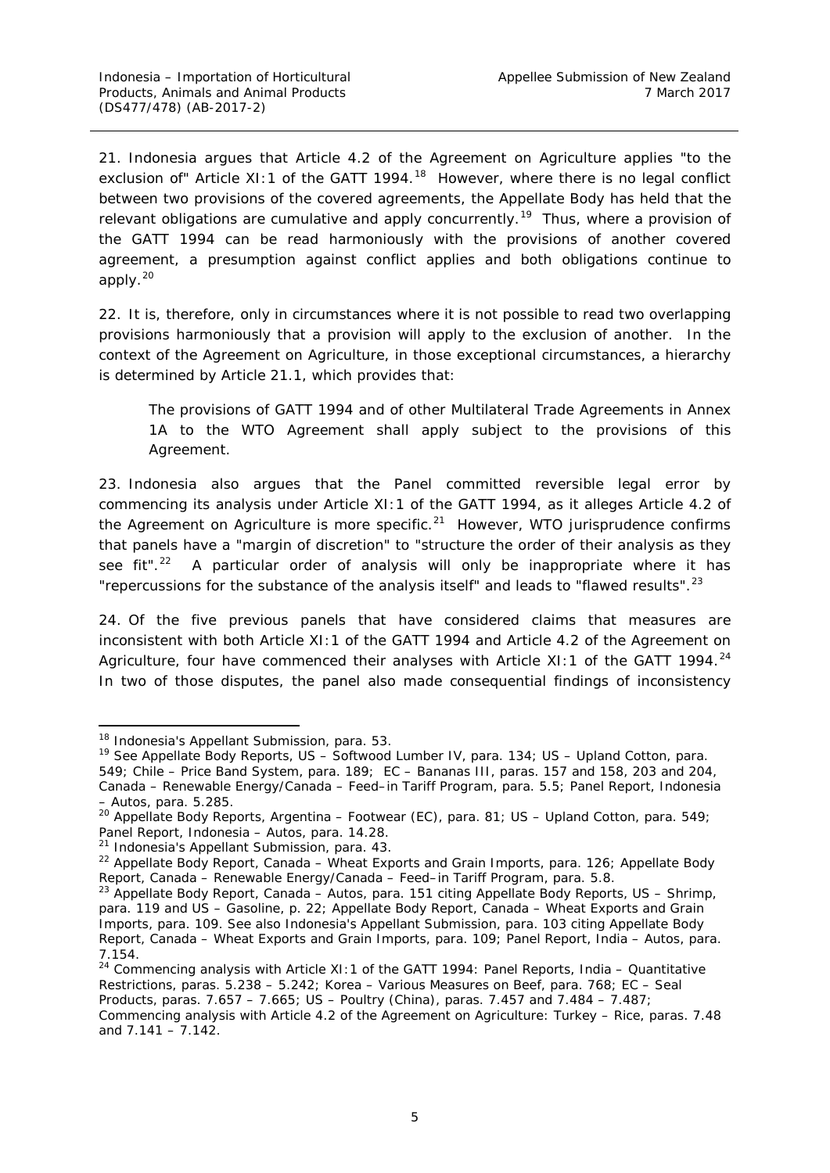21. Indonesia argues that Article 4.2 of the Agreement on Agriculture applies "to the exclusion of" Article XI:1 of the GATT 1994.<sup>18</sup> However, where there is no legal conflict between two provisions of the covered agreements, the Appellate Body has held that the relevant obligations are *cumulative* and apply concurrently. [19](#page-11-1) Thus, where a provision of the GATT 1994 can be read harmoniously with the provisions of another covered agreement, a presumption against conflict applies and both obligations continue to apply. $^{20}$  $^{20}$  $^{20}$ 

22. It is, therefore, only in circumstances where it is not possible to read two overlapping provisions harmoniously that a provision will apply to the *exclusion* of another. In the context of the Agreement on Agriculture, in those exceptional circumstances, a hierarchy is determined by Article 21.1, which provides that:

The provisions of GATT 1994 and of other Multilateral Trade Agreements in Annex 1A to the WTO Agreement shall apply subject to the provisions of this Agreement.

23. Indonesia also argues that the Panel committed reversible legal error by commencing its analysis under Article XI:1 of the GATT 1994, as it alleges Article 4.2 of the Agreement on Agriculture is more specific. $21$  However, WTO jurisprudence confirms that panels have a "margin of discretion" to "structure the order of their analysis as they see fit".<sup>22</sup> A particular order of analysis will only be inappropriate where it has "repercussions for the substance of the analysis itself" and leads to "flawed results".<sup>[23](#page-11-5)</sup>

24. Of the five previous panels that have considered claims that measures are inconsistent with both Article XI:1 of the GATT 1994 and Article 4.2 of the Agreement on Agriculture, four have commenced their analyses with Article XI: 1 of the GATT 1994.<sup>[24](#page-11-6)</sup> In two of those disputes, the panel also made consequential findings of inconsistency

<span id="page-11-0"></span> <sup>18</sup> Indonesia's Appellant Submission, para. 53.

<span id="page-11-1"></span><sup>19</sup> See Appellate Body Reports, *US – Softwood Lumber IV*, para. 134; *US – Upland Cotton*, para. 549; *Chile – Price Band System,* para. 189; *EC – Bananas III,* paras. 157 and 158, 203 and 204*, Canada – Renewable Energy/Canada – Feed–in Tariff Program,* para. 5.5; Panel Report, *Indonesia – Autos*, para. 5.285.

<span id="page-11-2"></span><sup>20</sup> Appellate Body Reports, *Argentina – Footwear (EC)*, para. 81; *US – Upland Cotton*, para. 549; Panel Report, *Indonesia – Autos*, para. 14.28.

<span id="page-11-3"></span><sup>21</sup> Indonesia's Appellant Submission, para. 43.

<span id="page-11-4"></span><sup>22</sup> Appellate Body Report, *Canada – Wheat Exports and Grain Imports*, para. 126; Appellate Body Report, *Canada – Renewable Energy/Canada – Feed–in Tariff Program,* para. 5.8.

<span id="page-11-5"></span><sup>23</sup> Appellate Body Report, *Canada – Autos*, para. 151 citing Appellate Body Reports, *US – Shrimp*, para. 119 and *US – Gasoline*, p. 22; Appellate Body Report, *Canada – Wheat Exports and Grain Imports*, para. 109. See also Indonesia's Appellant Submission, para. 103 citing Appellate Body Report, *Canada – Wheat Exports and Grain Imports*, para. 109; Panel Report, *India – Autos*, para. 7.154.

<span id="page-11-6"></span><sup>24</sup> Commencing analysis with Article XI:1 of the GATT 1994: Panel Reports, *India – Quantitative Restrictions*, paras. 5.238 – 5.242; *Korea – Various Measures on Beef*, para. 768; *EC – Seal Products*, paras. 7.657 – 7.665; *US – Poultry (China)*, paras. 7.457 and 7.484 – 7.487; Commencing analysis with Article 4.2 of the Agreement on Agriculture: *Turkey – Rice*, paras. 7.48 and  $7.141 - 7.142$ .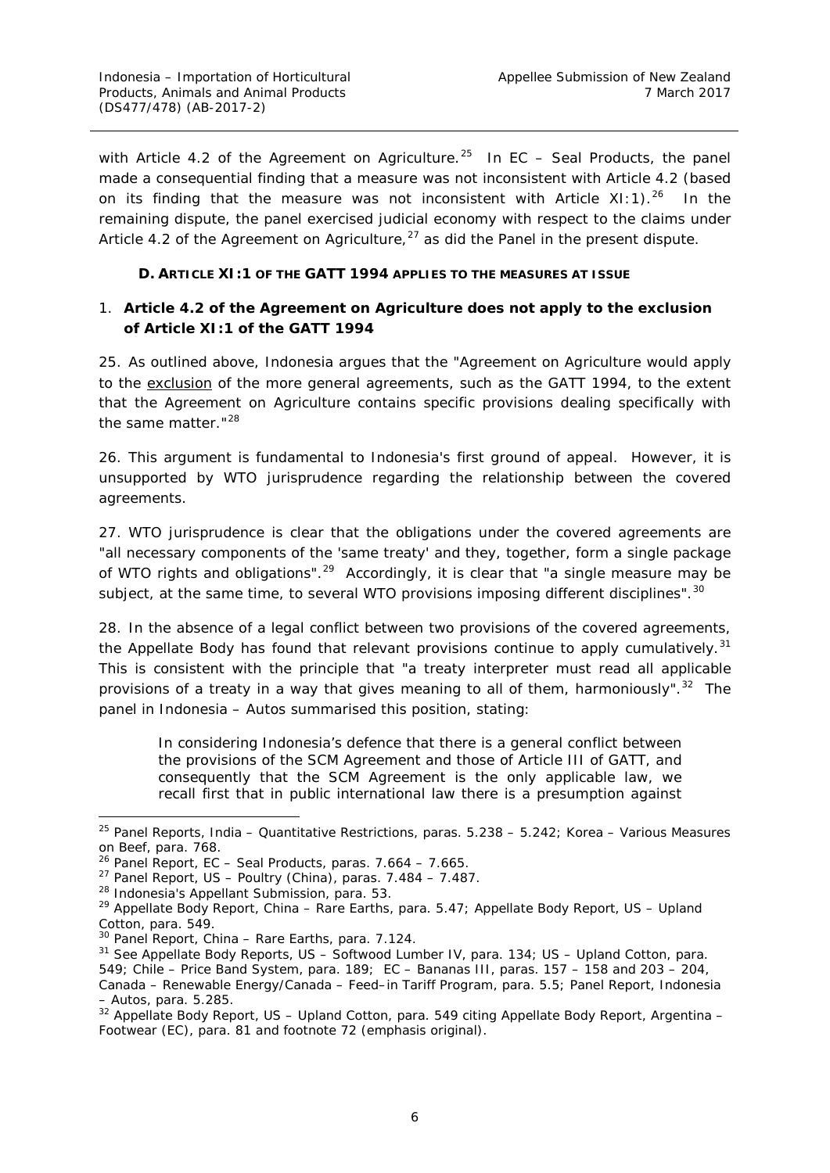with Article 4.2 of the Agreement on Agriculture. [25](#page-12-2) In *EC – Seal Products,* the panel made a consequential finding that a measure was not inconsistent with Article 4.2 (based on its finding that the measure was not inconsistent with Article XI:1).<sup>[26](#page-12-3)</sup> In the remaining dispute, the panel exercised judicial economy with respect to the claims under Article 4.2 of the Agreement on Agriculture, $^{27}$  $^{27}$  $^{27}$  as did the Panel in the present dispute.

## **D. ARTICLE XI:1 OF THE GATT 1994 APPLIES TO THE MEASURES AT ISSUE**

# <span id="page-12-1"></span><span id="page-12-0"></span>*1. Article 4.2 of the Agreement on Agriculture does not apply to the exclusion of Article XI:1 of the GATT 1994*

25. As outlined above, Indonesia argues that the "Agreement on Agriculture would apply to the exclusion of the more general agreements, such as the GATT 1994, to the extent that the Agreement on Agriculture contains specific provisions dealing specifically with the same matter."<sup>[28](#page-12-5)</sup>

26. This argument is fundamental to Indonesia's first ground of appeal. However, it is unsupported by WTO jurisprudence regarding the relationship between the covered agreements.

27. WTO jurisprudence is clear that the obligations under the covered agreements are "all necessary components of the 'same treaty' and they, together, form a single package of WTO rights and obligations".<sup>29</sup> Accordingly, it is clear that "a single measure may be subject, at the same time, to several WTO provisions imposing different disciplines".<sup>[30](#page-12-7)</sup>

28. In the absence of a legal conflict between two provisions of the covered agreements, the Appellate Body has found that relevant provisions continue to apply *cumulatively*. [31](#page-12-8) This is consistent with the principle that "a treaty interpreter must read all applicable provisions of a treaty in a way that gives meaning to *all* of them, harmoniously". [32](#page-12-9) The panel in *Indonesia – Autos* summarised this position, stating:

In considering Indonesia's defence that there is a general conflict between the provisions of the SCM Agreement and those of [Article III of GATT,](https://www.wto.org/english/res_e/booksp_e/analytic_index_e/gatt1994_02_e.htm#article3) and consequently that the SCM Agreement is the only applicable law, we recall first that in public international law there is a presumption against

<span id="page-12-5"></span><sup>28</sup> Indonesia's Appellant Submission, para. 53.

<span id="page-12-2"></span> <sup>25</sup> Panel Reports, *India – Quantitative Restrictions*, paras. 5.238 – 5.242; *Korea – Various Measures on Beef*, para. 768.

<span id="page-12-3"></span><sup>26</sup> Panel Report, *EC – Seal Products*, paras. 7.664 – 7.665.

<span id="page-12-4"></span><sup>27</sup> Panel Report, *US – Poultry (China)*, paras. 7.484 – 7.487.

<span id="page-12-6"></span><sup>29</sup> Appellate Body Report, *China – Rare Earths*, para. 5.47; Appellate Body Report, *US – Upland Cotton*, para. 549.

<span id="page-12-7"></span><sup>30</sup> Panel Report, *China – Rare Earths*, para. 7.124.

<span id="page-12-8"></span><sup>31</sup> See Appellate Body Reports, *US – Softwood Lumber IV*, para. 134; *US – Upland Cotton*, para. 549; *Chile – Price Band System,* para. 189; *EC – Bananas III,* paras. 157 – 158 and 203 – 204*, Canada – Renewable Energy/Canada – Feed–in Tariff Program,* para. 5.5; Panel Report, *Indonesia – Autos*, para. 5.285.

<span id="page-12-9"></span><sup>32</sup> Appellate Body Report, *US – Upland Cotton*, para. 549 citing Appellate Body Report, *Argentina – Footwear (EC)*, para. 81 and footnote 72 (emphasis original).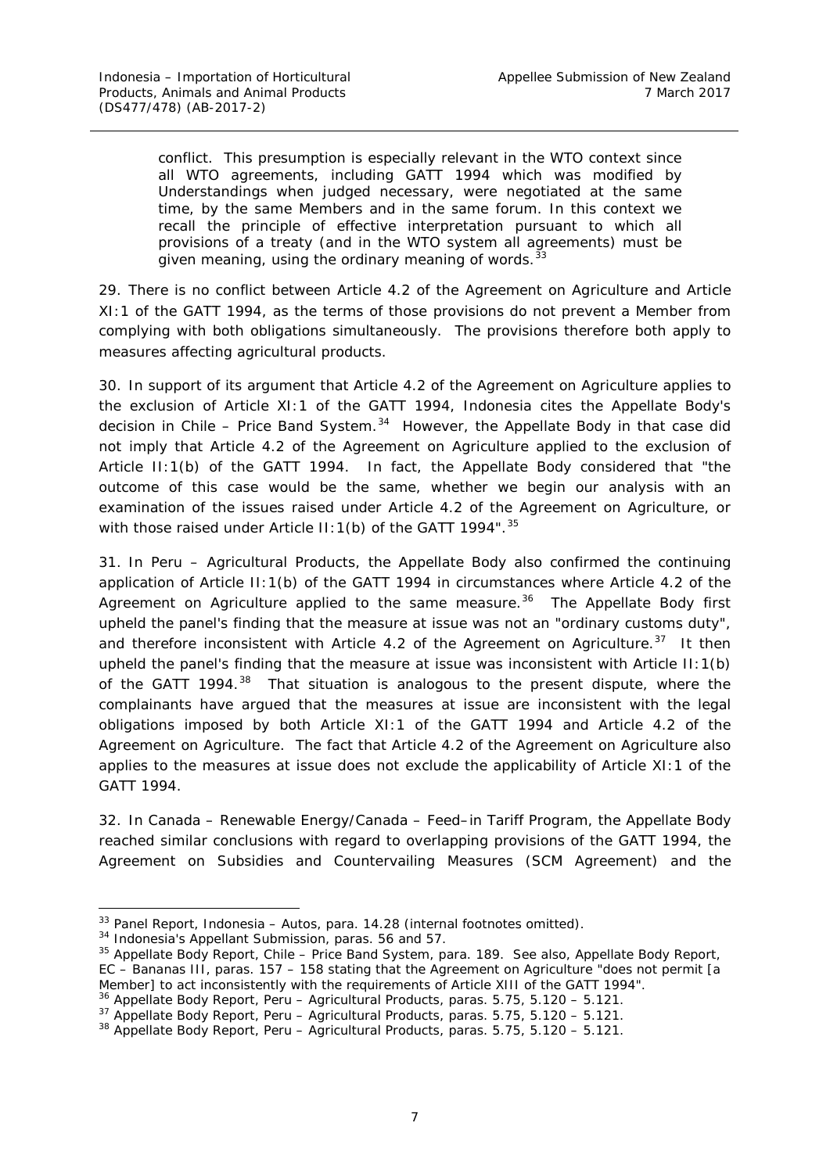conflict. This presumption is especially relevant in the WTO context since all WTO agreements, including GATT 1994 which was modified by Understandings when judged necessary, were negotiated at the same time, by the same Members and in the same forum. In this context we recall the principle of effective interpretation pursuant to which all provisions of a treaty (and in the WTO system all agreements) must be given meaning, using the ordinary meaning of words. $\frac{3}{2}$ 

29. There is no conflict between Article 4.2 of the Agreement on Agriculture and Article XI:1 of the GATT 1994, as the terms of those provisions do not prevent a Member from complying with both obligations simultaneously. The provisions therefore both apply to measures affecting agricultural products.

30. In support of its argument that Article 4.2 of the Agreement on Agriculture applies to the *exclusion* of Article XI:1 of the GATT 1994, Indonesia cites the Appellate Body's decision in *Chile – Price Band System*. [34](#page-13-1) However, the Appellate Body in that case did not imply that Article 4.2 of the Agreement on Agriculture applied *to the exclusion* of Article II:1(b) of the GATT 1994. In fact, the Appellate Body considered that "the outcome of this case would be the same, whether we begin our analysis with an examination of the issues raised under Article 4.2 of the Agreement on Agriculture, or with those raised under Article II: 1(b) of the GATT 1994".<sup>[35](#page-13-2)</sup>

31. In *Peru – Agricultural Products*, the Appellate Body also confirmed the continuing application of Article II:1(b) of the GATT 1994 in circumstances where Article 4.2 of the Agreement on Agriculture applied to the same measure.<sup>36</sup> The Appellate Body first upheld the panel's finding that the measure at issue was not an "ordinary customs duty", and therefore inconsistent with Article 4.2 of the Agreement on Agriculture.<sup>37</sup> It then upheld the panel's finding that the measure at issue was inconsistent with Article II:1(b) of the GATT 1994.<sup>[38](#page-13-5)</sup> That situation is analogous to the present dispute, where the complainants have argued that the measures at issue are inconsistent with the legal obligations imposed by both Article XI:1 of the GATT 1994 and Article 4.2 of the Agreement on Agriculture. The fact that Article 4.2 of the Agreement on Agriculture also applies to the measures at issue does not exclude the applicability of Article XI:1 of the GATT 1994.

32. In *Canada – Renewable Energy/Canada – Feed–in Tariff Program*, the Appellate Body reached similar conclusions with regard to overlapping provisions of the GATT 1994, the *Agreement on Subsidies and Countervailing Measures* (SCM Agreement) and the

<span id="page-13-0"></span><sup>&</sup>lt;sup>33</sup> Panel Report, *Indonesia – Autos*, para. 14.28 (internal footnotes omitted).<br><sup>34</sup> Indonesia's Appellant Submission, paras. 56 and 57.

<span id="page-13-2"></span><span id="page-13-1"></span><sup>35</sup> Appellate Body Report, *Chile – Price Band System,* para. 189*.* See also, Appellate Body Report, *EC – Bananas III*, paras. 157 – 158 stating that the Agreement on Agriculture "does not permit [a Member] to act inconsistently with the requirements of Article XIII of the GATT 1994".

<span id="page-13-3"></span><sup>36</sup> Appellate Body Report, *Peru – Agricultural Products*, paras. 5.75, 5.120 – 5.121.

<span id="page-13-4"></span><sup>37</sup> Appellate Body Report, *Peru – Agricultural Products*, paras. 5.75, 5.120 – 5.121. <sup>38</sup> Appellate Body Report, *Peru – Agricultural Products*, paras. 5.75, 5.120 – 5.121.

<span id="page-13-5"></span>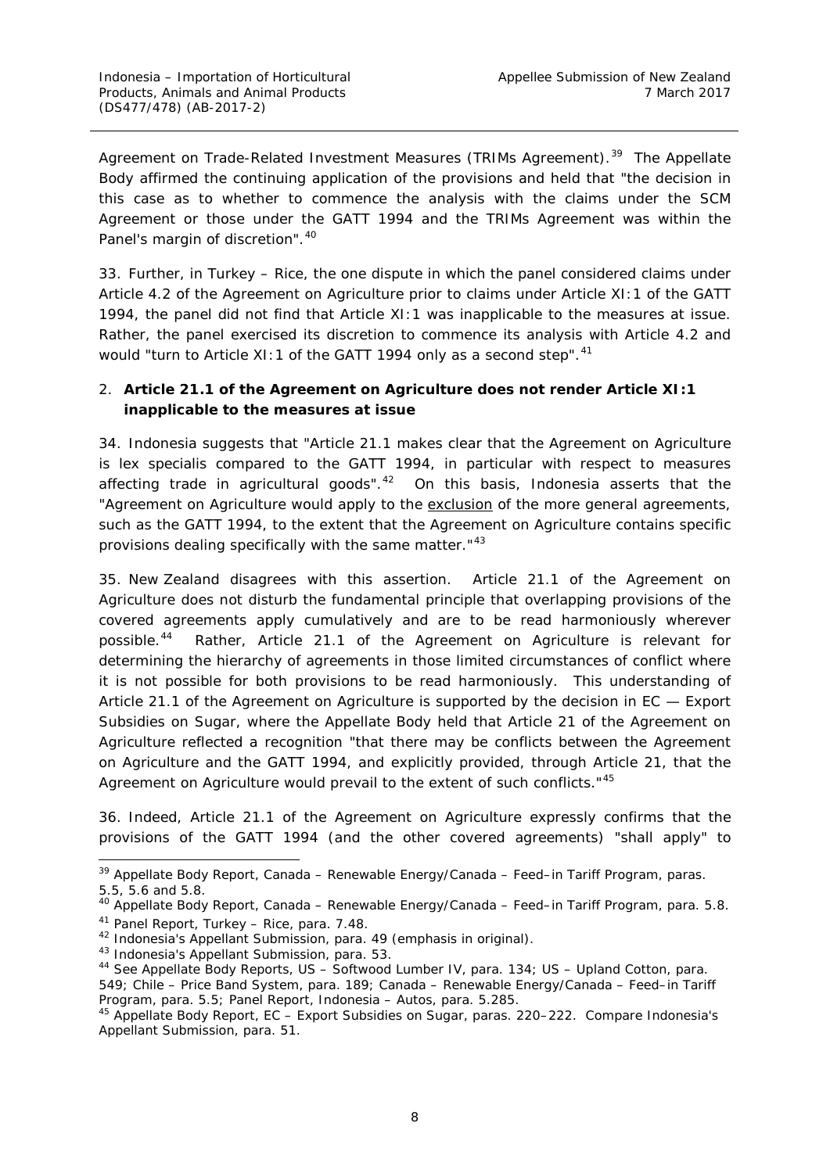Agreement on Trade-Related Investment Measures (TRIMs Agreement).<sup>39</sup> The Appellate Body affirmed the continuing application of the provisions and held that "the decision in this case as to whether to commence the analysis with the claims under the SCM Agreement or those under the GATT 1994 and the TRIMs Agreement was within the Panel's margin of discretion".<sup>[40](#page-14-2)</sup>

33. Further, in *Turkey – Rice*, the one dispute in which the panel considered claims under Article 4.2 of the Agreement on Agriculture prior to claims under Article XI:1 of the GATT 1994, the panel did not find that Article XI:1 was inapplicable to the measures at issue. Rather, the panel exercised its discretion to commence its analysis with Article 4.2 and would "turn to Article XI:1 of the GATT 1994 only as a second step". $^{41}$  $^{41}$  $^{41}$ 

# <span id="page-14-0"></span>*2. Article 21.1 of the Agreement on Agriculture does not render Article XI:1 inapplicable to the measures at issue*

34. Indonesia suggests that "Article 21.1 makes clear that the Agreement on Agriculture is *lex specialis* compared to the GATT 1994, in particular with respect to measures affecting trade *in agricultural goods*". [42](#page-14-4) On this basis, Indonesia asserts that the "Agreement on Agriculture would apply to the exclusion of the more general agreements, such as the GATT 1994, to the extent that the Agreement on Agriculture contains specific provisions dealing specifically with the same matter."[43](#page-14-5)

35. New Zealand disagrees with this assertion. Article 21.1 of the Agreement on Agriculture does not disturb the fundamental principle that overlapping provisions of the covered agreements apply cumulatively and are to be read harmoniously wherever possible.<sup>44</sup> Rather, Article 21.1 of the Agreement on Agriculture is relevant for determining the hierarchy of agreements in those limited circumstances of conflict where it is not possible for both provisions to be read harmoniously. This understanding of Article 21.1 of the Agreement on Agriculture is supported by the decision in *EC — Export Subsidies on Sugar*, where the Appellate Body held that Article 21 of the Agreement on Agriculture reflected a recognition "that there may be conflicts between the *Agreement on Agriculture* and the GATT 1994, and explicitly provided, through Article 21, that the *Agreement on Agriculture* would prevail to the extent of such conflicts."[45](#page-14-7)

36. Indeed, Article 21.1 of the Agreement on Agriculture expressly confirms that the provisions of the GATT 1994 (and the other covered agreements) "shall apply" to

<span id="page-14-1"></span> <sup>39</sup> Appellate Body Report, *Canada – Renewable Energy/Canada – Feed–in Tariff Program*, paras. 5.5, 5.6 and 5.8.

<span id="page-14-2"></span><sup>40</sup> Appellate Body Report, *Canada – Renewable Energy/Canada – Feed–in Tariff Program*, para. 5.8.

<span id="page-14-3"></span><sup>41</sup> Panel Report, *Turkey – Rice*, para. 7.48.

<span id="page-14-4"></span><sup>42</sup> Indonesia's Appellant Submission, para. 49 (emphasis in original).

<span id="page-14-5"></span><sup>43</sup> Indonesia's Appellant Submission, para. 53.

<span id="page-14-6"></span><sup>44</sup> See Appellate Body Reports, *US – Softwood Lumber IV*, para. 134; *US – Upland Cotton*, para.

<sup>549;</sup> *Chile – Price Band System,* para. 189; *Canada – Renewable Energy/Canada – Feed–in Tariff Program*, para. 5.5; Panel Report, *Indonesia – Autos*, para. 5.285.

<span id="page-14-7"></span><sup>45</sup> Appellate Body Report, *EC – Export Subsidies on Sugar*, paras. 220–222. Compare Indonesia's Appellant Submission, para. 51.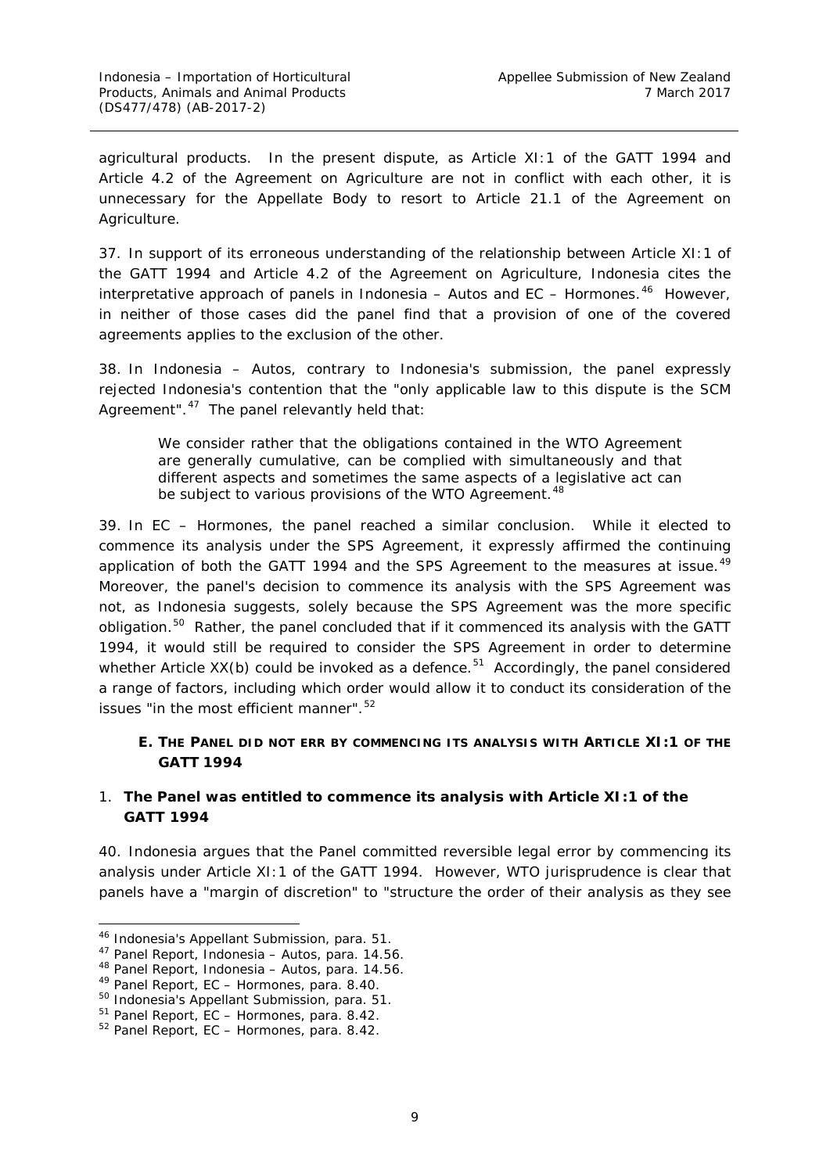agricultural products. In the present dispute, as Article XI:1 of the GATT 1994 and Article 4.2 of the Agreement on Agriculture are not in conflict with each other, it is unnecessary for the Appellate Body to resort to Article 21.1 of the Agreement on Agriculture.

37. In support of its erroneous understanding of the relationship between Article XI:1 of the GATT 1994 and Article 4.2 of the Agreement on Agriculture, Indonesia cites the interpretative approach of panels in *Indonesia – Autos* and *EC – Hormones*. [46](#page-15-2) However, in neither of those cases did the panel find that a provision of one of the covered agreements applies to the exclusion of the other.

38. In *Indonesia – Autos*, contrary to Indonesia's submission, the panel *expressly rejected* Indonesia's contention that the "only applicable law to this dispute is the SCM Agreement".<sup>[47](#page-15-3)</sup> The panel relevantly held that:

We consider rather that the obligations contained in the WTO Agreement are generally cumulative, can be complied with simultaneously and that different aspects and sometimes the same aspects of a legislative act can be subject to various provisions of the WTO Agreement.<sup>[48](#page-15-4)</sup>

39. In *EC – Hormones*, the panel reached a similar conclusion. While it elected to commence its analysis under the SPS Agreement, it expressly affirmed the continuing application of both the GATT 1994 and the SPS Agreement to the measures at issue.<sup>[49](#page-15-5)</sup> Moreover, the panel's decision to commence its analysis with the SPS Agreement was not, as Indonesia suggests, solely because the SPS Agreement was the more specific obligation.<sup>[50](#page-15-6)</sup> Rather, the panel concluded that if it commenced its analysis with the GATT 1994, it would still be required to consider the SPS Agreement in order to determine whether Article  $XX(b)$  could be invoked as a defence.<sup>51</sup> Accordingly, the panel considered a range of factors, including which order would allow it to conduct its consideration of the issues "in the most efficient manner". [52](#page-15-8)

### <span id="page-15-0"></span>**E. THE PANEL DID NOT ERR BY COMMENCING ITS ANALYSIS WITH ARTICLE XI:1 OF THE GATT 1994**

### <span id="page-15-1"></span>*1. The Panel was entitled to commence its analysis with Article XI:1 of the GATT 1994*

40. Indonesia argues that the Panel committed reversible legal error by commencing its analysis under Article XI:1 of the GATT 1994. However, WTO jurisprudence is clear that panels have a "margin of discretion" to "structure the order of their analysis as they see

<span id="page-15-3"></span><span id="page-15-2"></span> <sup>46</sup> Indonesia's Appellant Submission, para. 51.

<sup>47</sup> Panel Report, *Indonesia – Autos*, para. 14.56.

<sup>48</sup> Panel Report, *Indonesia – Autos*, para. 14.56.

<span id="page-15-5"></span><span id="page-15-4"></span><sup>49</sup> Panel Report, *EC – Hormones*, para. 8.40.

<span id="page-15-6"></span><sup>50</sup> Indonesia's Appellant Submission, para. 51.

<span id="page-15-7"></span><sup>51</sup> Panel Report, *EC – Hormones*, para. 8.42.

<span id="page-15-8"></span><sup>52</sup> Panel Report, *EC – Hormones*, para. 8.42.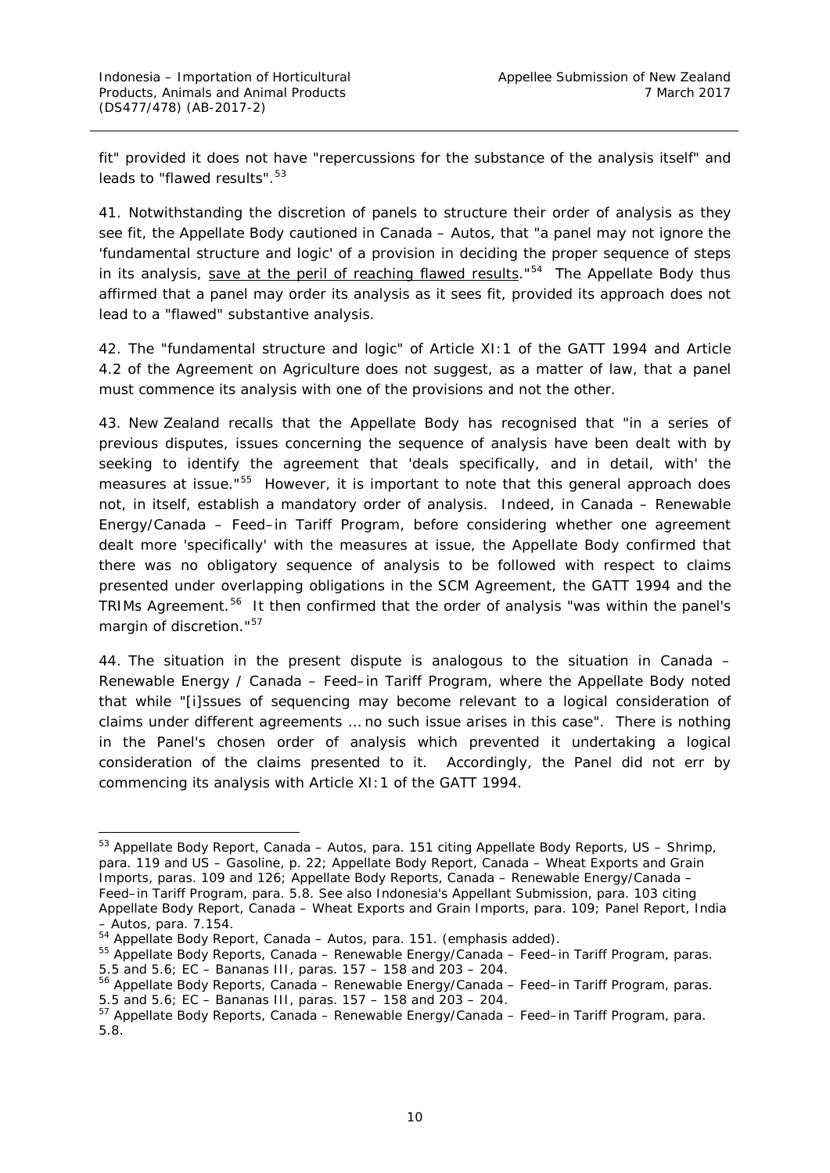fit" provided it does not have "repercussions for the substance of the analysis itself" and leads to "flawed results".<sup>[53](#page-16-0)</sup>

41. Notwithstanding the discretion of panels to structure their order of analysis as they see fit, the Appellate Body cautioned in *Canada – Autos,* that "a panel may not ignore the 'fundamental structure and logic' of a provision in deciding the proper sequence of steps in its analysis, save at the peril of reaching flawed results." $54$  The Appellate Body thus affirmed that a panel may order its analysis as it sees fit, provided its approach does not lead to a "flawed" substantive analysis.

42. The "fundamental structure and logic" of Article XI:1 of the GATT 1994 and Article 4.2 of the Agreement on Agriculture does not suggest, as a matter of law, that a panel *must* commence its analysis with one of the provisions and not the other.

43. New Zealand recalls that the Appellate Body has recognised that "in a series of previous disputes, issues concerning the sequence of analysis have been dealt with by seeking to identify the agreement that 'deals specifically, and in detail, with' the measures at issue."<sup>55</sup> However, it is important to note that this general approach does not, in itself, establish a mandatory order of analysis. Indeed, in *Canada – Renewable Energy/Canada – Feed–in Tariff Program*, before considering whether one agreement dealt more 'specifically' with the measures at issue, the Appellate Body confirmed that there was no obligatory sequence of analysis to be followed with respect to claims presented under overlapping obligations in the SCM Agreement, the GATT 1994 and the TRIMs Agreement.<sup>[56](#page-16-3)</sup> It then confirmed that the order of analysis "was within the panel's margin of discretion."<sup>[57](#page-16-4)</sup>

44. The situation in the present dispute is analogous to the situation in *Canada – Renewable Energy / Canada – Feed–in Tariff Program*, where the Appellate Body noted that while "[i]ssues of sequencing may become relevant to a logical consideration of claims under different agreements … no such issue arises in this case". There is nothing in the Panel's chosen order of analysis which prevented it undertaking a logical consideration of the claims presented to it. Accordingly, the Panel did not err by commencing its analysis with Article XI:1 of the GATT 1994.

<span id="page-16-0"></span> <sup>53</sup> Appellate Body Report, *Canada – Autos*, para. 151 citing Appellate Body Reports, *US – Shrimp*, para. 119 and *US – Gasoline*, p. 22; Appellate Body Report, *Canada – Wheat Exports and Grain Imports*, paras. 109 and 126; Appellate Body Reports, *Canada – Renewable Energy/Canada – Feed–in Tariff Program*, para. 5.8. See also Indonesia's Appellant Submission, para. 103 citing Appellate Body Report, *Canada – Wheat Exports and Grain Imports*, para. 109; Panel Report, *India – Autos*, para. 7.154.

<sup>54</sup> Appellate Body Report, *Canada – Autos*, para. 151. (emphasis added).

<span id="page-16-2"></span><span id="page-16-1"></span><sup>55</sup> Appellate Body Reports, *Canada – Renewable Energy/Canada – Feed–in Tariff Program*, paras.

<sup>5.5</sup> and 5.6; *EC – Bananas III*, paras. 157 – 158 and 203 – 204.

<span id="page-16-3"></span><sup>56</sup> Appellate Body Reports, *Canada – Renewable Energy/Canada – Feed–in Tariff Program*, paras. 5.5 and 5.6; *EC – Bananas III*, paras. 157 – 158 and 203 – 204.

<span id="page-16-4"></span><sup>57</sup> Appellate Body Reports, *Canada – Renewable Energy/Canada – Feed–in Tariff Program*, para. 5.8.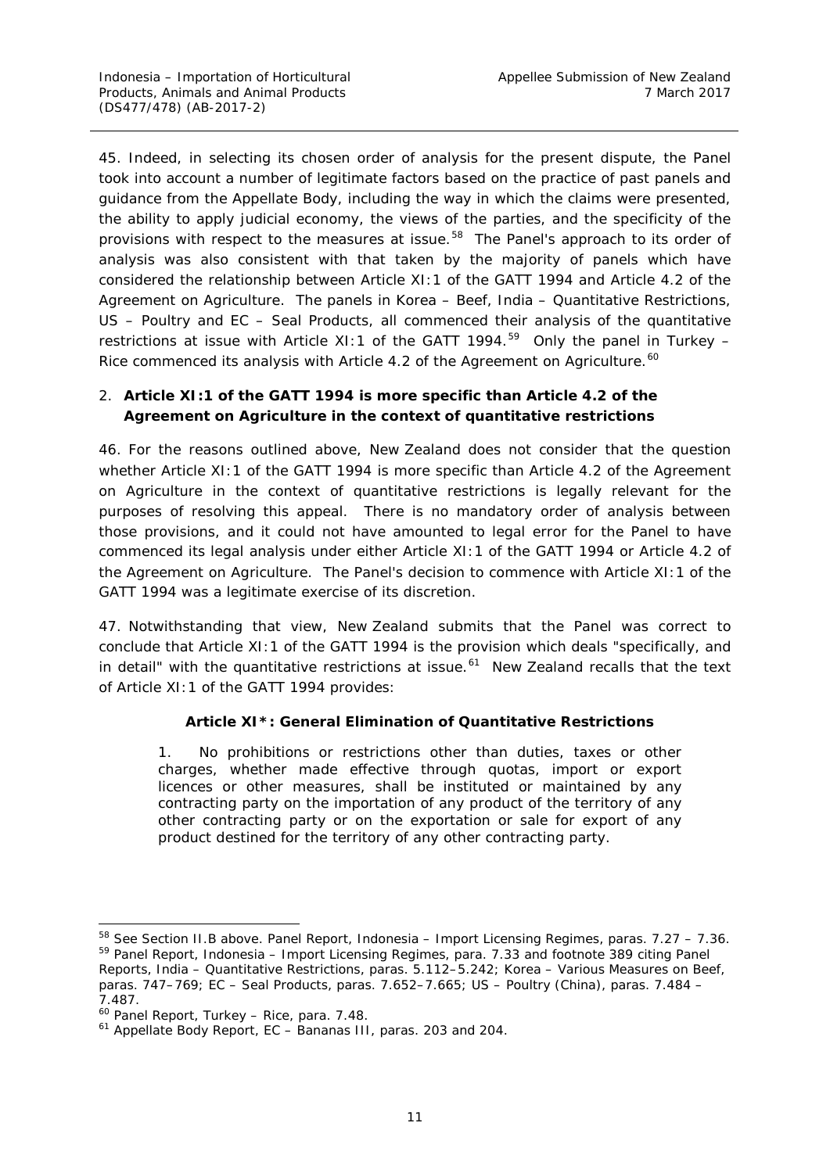45. Indeed, in selecting its chosen order of analysis for the present dispute, the Panel took into account a number of legitimate factors based on the practice of past panels and guidance from the Appellate Body, including the way in which the claims were presented, the ability to apply judicial economy, the views of the parties, and the specificity of the provisions with respect to the measures at issue.<sup>[58](#page-17-1)</sup> The Panel's approach to its order of analysis was also consistent with that taken by the majority of panels which have considered the relationship between Article XI:1 of the GATT 1994 and Article 4.2 of the Agreement on Agriculture. The panels in *Korea – Beef, India – Quantitative Restrictions*, *US – Poultry* and *EC – Seal Products*, all commenced their analysis of the quantitative restrictions at issue with Article XI:1 of the GATT 1994. [59](#page-17-2) Only the panel in *Turkey –* Rice commenced its analysis with Article 4.2 of the Agreement on Agriculture.<sup>[60](#page-17-3)</sup>

# <span id="page-17-0"></span>*2. Article XI:1 of the GATT 1994 is more specific than Article 4.2 of the Agreement on Agriculture in the context of quantitative restrictions*

46. For the reasons outlined above, New Zealand does not consider that the question whether Article XI:1 of the GATT 1994 is more specific than Article 4.2 of the Agreement on Agriculture in the context of quantitative restrictions is legally relevant for the purposes of resolving this appeal. There is no mandatory order of analysis between those provisions, and it could not have amounted to legal error for the Panel to have commenced its legal analysis under either Article XI:1 of the GATT 1994 *or* Article 4.2 of the Agreement on Agriculture. The Panel's decision to commence with Article XI:1 of the GATT 1994 was a legitimate exercise of its discretion.

47. Notwithstanding that view, New Zealand submits that the Panel was correct to conclude that Article XI:1 of the GATT 1994 is the provision which deals "specifically, and in detail" with the quantitative restrictions at issue. $61$  New Zealand recalls that the text of Article XI:1 of the GATT 1994 provides:

### **Article XI\*: General Elimination of Quantitative Restrictions**

1. No prohibitions or restrictions other than duties, taxes or other charges, whether made effective through quotas, import or export licences or other measures, shall be instituted or maintained by any contracting party on the importation of any product of the territory of any other contracting party or on the exportation or sale for export of any product destined for the territory of any other contracting party.

<span id="page-17-2"></span><span id="page-17-1"></span> <sup>58</sup> See Section II.B above. Panel Report, *Indonesia – Import Licensing Regimes,* paras. 7.27 – 7.36. <sup>59</sup> Panel Report, *Indonesia – Import Licensing Regimes*, para. 7.33 and footnote 389 citing Panel Reports, *India – Quantitative Restrictions*, paras. 5.112–5.242; *Korea – Various Measures on Beef*, paras. 747–769; *EC – Seal Products*, paras. 7.652–7.665; *US – Poultry (China)*, paras. 7.484 – 7.487.

<sup>60</sup> Panel Report, *Turkey – Rice*, para. 7.48.

<span id="page-17-4"></span><span id="page-17-3"></span><sup>61</sup> Appellate Body Report, *EC – Bananas III*, paras. 203 and 204.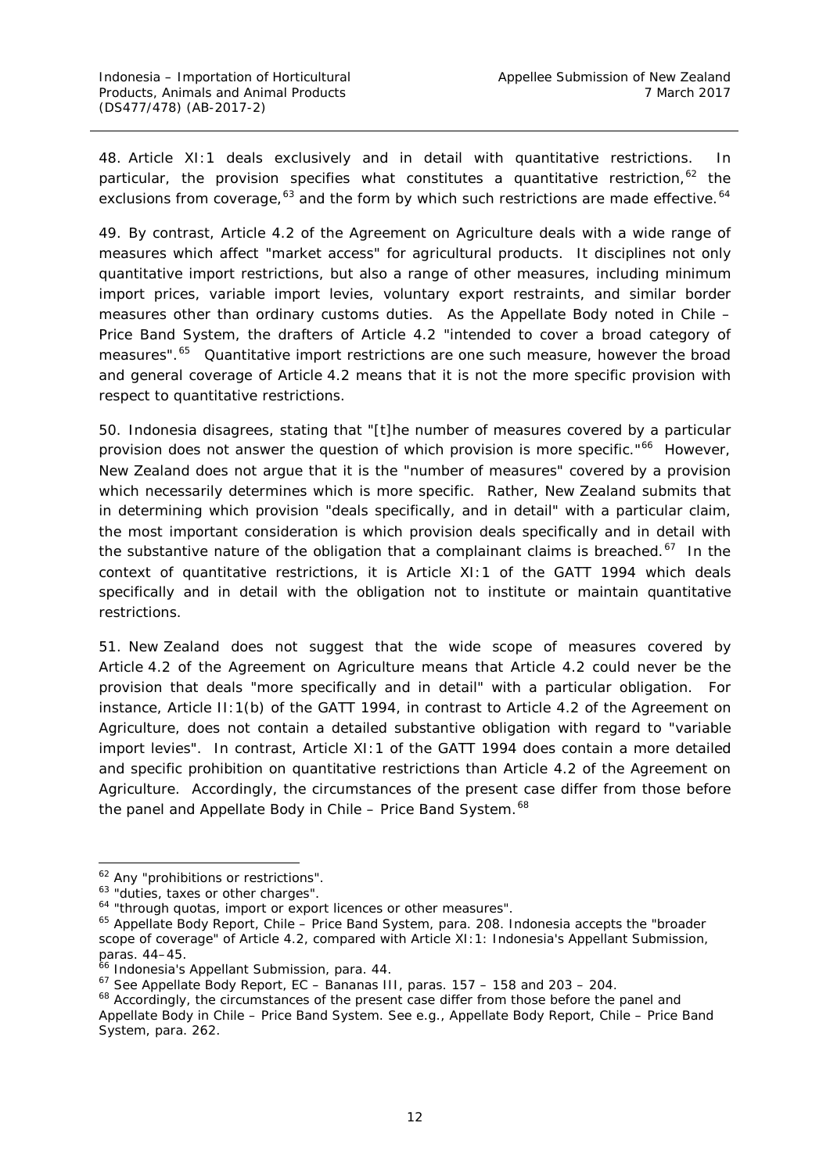48. Article XI:1 deals exclusively and in detail with quantitative restrictions. In particular, the provision specifies what constitutes a quantitative restriction,  $62$  the exclusions from coverage, $^{63}$  $^{63}$  $^{63}$  and the form by which such restrictions are made effective.  $^{64}$  $^{64}$  $^{64}$ 

49. By contrast, Article 4.2 of the Agreement on Agriculture deals with a wide range of measures which affect "market access" for agricultural products. It disciplines not only quantitative import restrictions, but also a range of other measures, including minimum import prices, variable import levies, voluntary export restraints, and similar border measures other than ordinary customs duties. As the Appellate Body noted in *Chile – Price Band System*, the drafters of Article 4.2 "intended to cover a broad category of measures".<sup>[65](#page-18-3)</sup> Quantitative import restrictions are one such measure, however the broad and general coverage of Article 4.2 means that it is not the more specific provision with respect to quantitative restrictions.

50. Indonesia disagrees, stating that "[t]he number of measures covered by a particular provision does not answer the question of which provision is more specific."<sup>[66](#page-18-4)</sup> However, New Zealand does not argue that it is the "number of measures" covered by a provision which necessarily determines which is more specific. Rather, New Zealand submits that in determining which provision "deals specifically, and in detail" with a particular claim, the most important consideration is which provision deals specifically and in detail with the substantive nature of the obligation that a complainant claims is breached. $67$  In the context of quantitative restrictions, it is Article XI:1 of the GATT 1994 which deals specifically and in detail with the obligation not to institute or maintain quantitative restrictions.

51. New Zealand does not suggest that the wide scope of measures covered by Article 4.2 of the Agreement on Agriculture means that Article 4.2 could never be the provision that deals "more specifically and in detail" with a particular obligation. For instance, Article II:1(b) of the GATT 1994, in contrast to Article 4.2 of the Agreement on Agriculture, does not contain a detailed substantive obligation with regard to "variable import levies". In contrast, Article XI:1 of the GATT 1994 does contain a more detailed and specific prohibition on quantitative restrictions than Article 4.2 of the Agreement on Agriculture. Accordingly, the circumstances of the present case differ from those before the panel and Appellate Body in *Chile – Price Band System.[68](#page-18-6)*

<span id="page-18-0"></span><sup>&</sup>lt;sup>62</sup> Any "prohibitions or restrictions".

<span id="page-18-1"></span><sup>&</sup>lt;sup>63</sup> "duties, taxes or other charges".

<span id="page-18-2"></span><sup>&</sup>lt;sup>64</sup> "through quotas, import or export licences or other measures".

<span id="page-18-3"></span><sup>65</sup> Appellate Body Report, *Chile – Price Band System*, para. 208. Indonesia accepts the "broader scope of coverage" of Article 4.2, compared with Article XI:1: Indonesia's Appellant Submission, paras. 44–45.

<span id="page-18-4"></span><sup>&</sup>lt;sup>66</sup> Indonesia's Appellant Submission, para. 44.

<span id="page-18-5"></span><sup>67</sup> See Appellate Body Report, *EC – Bananas III*, paras. 157 – 158 and 203 – 204.

<span id="page-18-6"></span><sup>&</sup>lt;sup>68</sup> Accordingly, the circumstances of the present case differ from those before the panel and Appellate Body in *Chile – Price Band System.* See e.g., Appellate Body Report, *Chile – Price Band System*, para. 262.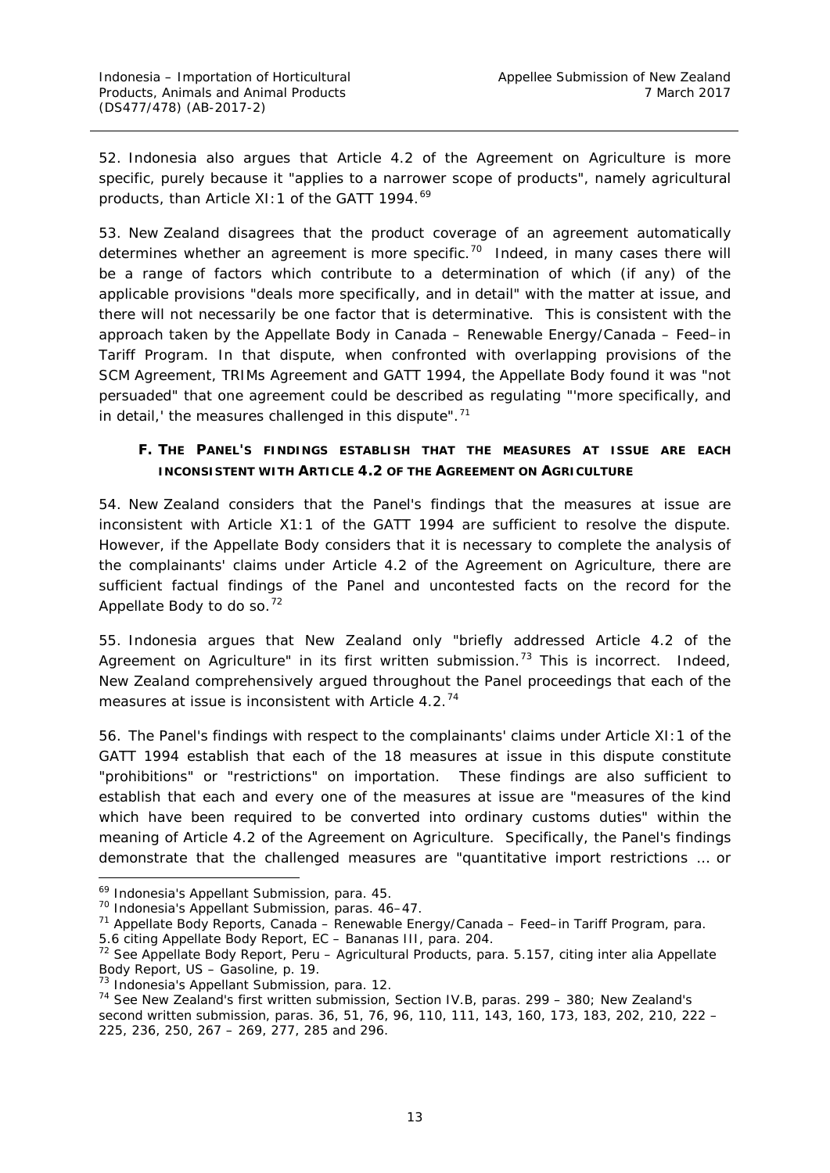52. Indonesia also argues that Article 4.2 of the Agreement on Agriculture is more specific, purely because it "applies to a *narrower scope of products*", namely agricultural products, than Article XI: 1 of the GATT 1994.<sup>[69](#page-19-1)</sup>

53. New Zealand disagrees that the product coverage of an agreement automatically determines whether an agreement is more specific.<sup>70</sup> Indeed, in many cases there will be a range of factors which contribute to a determination of which (if any) of the applicable provisions "deals more specifically, and in detail" with the matter at issue, and there will not necessarily be one factor that is determinative. This is consistent with the approach taken by the Appellate Body in *Canada – Renewable Energy/Canada – Feed–in Tariff Program*. In that dispute, when confronted with overlapping provisions of the SCM Agreement, TRIMs Agreement and GATT 1994, the Appellate Body found it was "not persuaded" that one agreement could be described as regulating "'more specifically, and in detail,' the measures challenged in this dispute".<sup>[71](#page-19-3)</sup>

# <span id="page-19-0"></span>**F. THE PANEL'S FINDINGS ESTABLISH THAT THE MEASURES AT ISSUE ARE EACH INCONSISTENT WITH ARTICLE 4.2 OF THE AGREEMENT ON AGRICULTURE**

54. New Zealand considers that the Panel's findings that the measures at issue are inconsistent with Article X1:1 of the GATT 1994 are sufficient to resolve the dispute. However, if the Appellate Body considers that it is necessary to complete the analysis of the complainants' claims under Article 4.2 of the Agreement on Agriculture, there are sufficient factual findings of the Panel and uncontested facts on the record for the Appellate Body to do so.<sup>[72](#page-19-4)</sup>

55. Indonesia argues that New Zealand only "briefly addressed Article 4.2 of the Agreement on Agriculture" in its first written submission.<sup>[73](#page-19-5)</sup> This is incorrect. Indeed, New Zealand comprehensively argued throughout the Panel proceedings that each of the measures at issue is inconsistent with Article 4.2.<sup>[74](#page-19-6)</sup>

56. The Panel's findings with respect to the complainants' claims under Article XI:1 of the GATT 1994 establish that each of the 18 measures at issue in this dispute constitute "prohibitions" or "restrictions" on importation. These findings are also sufficient to establish that each and every one of the measures at issue are "measures of the kind which have been required to be converted into ordinary customs duties" within the meaning of Article 4.2 of the Agreement on Agriculture. Specifically, the Panel's findings demonstrate that the challenged measures are "quantitative import restrictions … or

5.6 citing Appellate Body Report, *EC – Bananas III*, para. 204.

<span id="page-19-1"></span> <sup>69</sup> Indonesia's Appellant Submission, para. 45.

<span id="page-19-2"></span><sup>70</sup> Indonesia's Appellant Submission, paras. 46–47.

<span id="page-19-3"></span><sup>71</sup> Appellate Body Reports, *Canada – Renewable Energy/Canada – Feed–in Tariff Program,* para.

<span id="page-19-4"></span><sup>72</sup> See Appellate Body Report, *Peru – Agricultural Products*, para. 5.157, citing *inter alia* Appellate Body Report, *US – Gasoline*, p. 19.

<span id="page-19-5"></span>

<span id="page-19-6"></span> $74$  See New Zealand's first written submission, Section IV.B, paras. 299 – 380; New Zealand's second written submission, paras. 36, 51, 76, 96, 110, 111, 143, 160, 173, 183, 202, 210, 222 – 225, 236, 250, 267 – 269, 277, 285 and 296.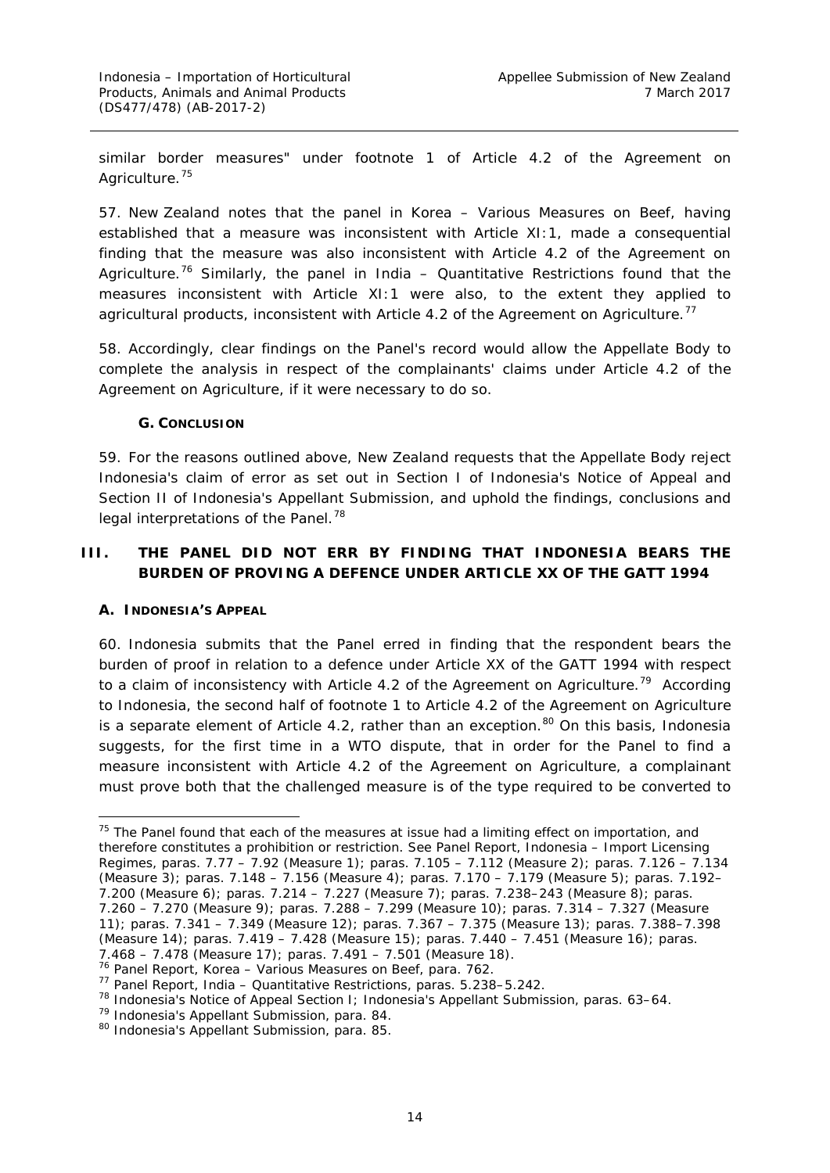similar border measures" under footnote 1 of Article 4.2 of the Agreement on Agriculture.<sup>[75](#page-20-3)</sup>

57. New Zealand notes that the panel in *Korea – Various Measures on Beef*, having established that a measure was inconsistent with Article XI:1, made a consequential finding that the measure was also inconsistent with Article 4.2 of the Agreement on Agriculture.[76](#page-20-4) Similarly, the panel in *India – Quantitative Restrictions* found that the measures inconsistent with Article XI:1 were also, to the extent they applied to agricultural products, inconsistent with Article 4.2 of the Agreement on Agriculture.<sup>[77](#page-20-5)</sup>

58. Accordingly, clear findings on the Panel's record would allow the Appellate Body to complete the analysis in respect of the complainants' claims under Article 4.2 of the Agreement on Agriculture, if it were necessary to do so.

#### **G. CONCLUSION**

<span id="page-20-0"></span>59. For the reasons outlined above, New Zealand requests that the Appellate Body reject Indonesia's claim of error as set out in Section I of Indonesia's Notice of Appeal and Section II of Indonesia's Appellant Submission, and uphold the findings, conclusions and legal interpretations of the Panel.<sup>[78](#page-20-6)</sup>

# <span id="page-20-1"></span>**III. THE PANEL DID NOT ERR BY FINDING THAT INDONESIA BEARS THE BURDEN OF PROVING A DEFENCE UNDER ARTICLE XX OF THE GATT 1994**

#### <span id="page-20-2"></span>**A. INDONESIA'S APPEAL**

60. Indonesia submits that the Panel erred in finding that the respondent bears the burden of proof in relation to a defence under Article XX of the GATT 1994 with respect to a claim of inconsistency with Article 4.2 of the Agreement on Agriculture.<sup>[79](#page-20-7)</sup> According to Indonesia, the second half of footnote 1 to Article 4.2 of the Agreement on Agriculture is a separate element of Article 4.2, rather than an exception.<sup>[80](#page-20-8)</sup> On this basis, Indonesia suggests, for the first time in a WTO dispute, that in order for the Panel to find a measure inconsistent with Article 4.2 of the Agreement on Agriculture, a complainant must prove both that the challenged measure is of the type required to be converted to

<span id="page-20-3"></span> $75$  The Panel found that each of the measures at issue had a limiting effect on importation, and therefore constitutes a prohibition or restriction. See Panel Report, *Indonesia – Import Licensing Regimes,* paras. 7.77 – 7.92 (Measure 1); paras. 7.105 – 7.112 (Measure 2); paras. 7.126 – 7.134 (Measure 3); paras. 7.148 – 7.156 (Measure 4); paras. 7.170 – 7.179 (Measure 5); paras. 7.192– 7.200 (Measure 6); paras. 7.214 – 7.227 (Measure 7); paras. 7.238–243 (Measure 8); paras. 7.260 – 7.270 (Measure 9); paras. 7.288 – 7.299 (Measure 10); paras. 7.314 – 7.327 (Measure 11); paras. 7.341 – 7.349 (Measure 12); paras. 7.367 – 7.375 (Measure 13); paras. 7.388–7.398 (Measure 14); paras. 7.419 – 7.428 (Measure 15); paras. 7.440 – 7.451 (Measure 16); paras. 7.468 – 7.478 (Measure 17); paras. 7.491 – 7.501 (Measure 18).

<span id="page-20-4"></span><sup>76</sup> Panel Report, *Korea – Various Measures on Beef*, para. 762. 77 Panel Report, *India – Quantitative Restrictions*, paras. 5.238–5.242.

<span id="page-20-6"></span><span id="page-20-5"></span><sup>78</sup> Indonesia's Notice of Appeal Section I; Indonesia's Appellant Submission, paras. 63–64.

<span id="page-20-7"></span><sup>79</sup> Indonesia's Appellant Submission, para. 84.

<span id="page-20-8"></span><sup>80</sup> Indonesia's Appellant Submission, para. 85.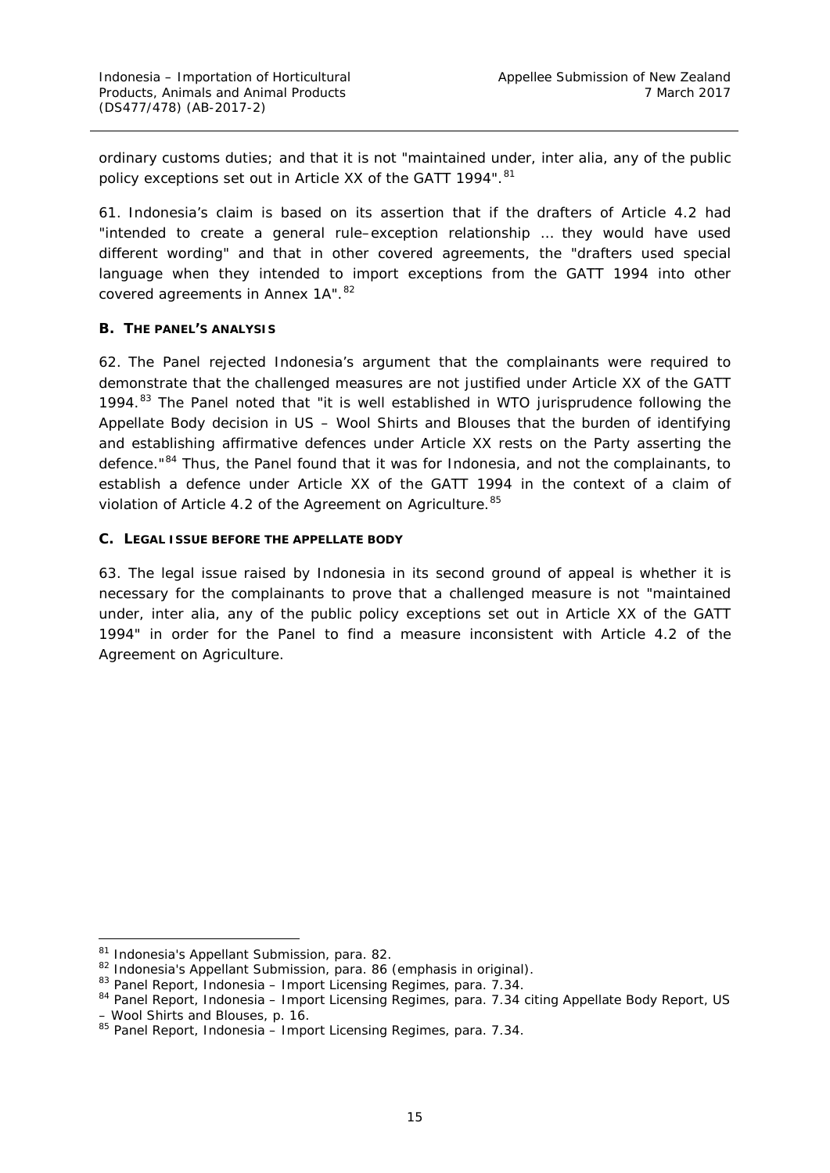ordinary customs duties; and that it is not "maintained under, *inter alia*, any of the public policy exceptions set out in Article XX of the GATT 1994". [81](#page-21-2)

61. Indonesia's claim is based on its assertion that if the drafters of Article 4.2 had "intended to create a general rule–exception relationship … they would have used different wording" and that in other covered agreements, the "drafters used special language when they intended to import *exceptions* from the GATT 1994 into other *covered agreements in Annex 1A*". [82](#page-21-3)

#### <span id="page-21-0"></span>**B. THE PANEL'S ANALYSIS**

62. The Panel rejected Indonesia's argument that the complainants were required to demonstrate that the challenged measures are not justified under Article XX of the GATT 1994.<sup>[83](#page-21-4)</sup> The Panel noted that "it is well established in WTO jurisprudence following the Appellate Body decision in *US – Wool Shirts and Blouses* that the burden of identifying and establishing affirmative defences under Article XX rests on the Party asserting the defence."<sup>[84](#page-21-5)</sup> Thus, the Panel found that it was for Indonesia, and not the complainants, to establish a defence under Article XX of the GATT 1994 in the context of a claim of violation of Article 4.2 of the Agreement on Agriculture. [85](#page-21-6)

#### <span id="page-21-1"></span>**C. LEGAL ISSUE BEFORE THE APPELLATE BODY**

63. The legal issue raised by Indonesia in its second ground of appeal is whether it is necessary for the complainants to prove that a challenged measure is not "maintained under, *inter alia*, any of the public policy exceptions set out in Article XX of the GATT 1994" in order for the Panel to find a measure inconsistent with Article 4.2 of the Agreement on Agriculture.

<span id="page-21-2"></span><sup>81</sup> Indonesia's Appellant Submission, para. 82.

<span id="page-21-3"></span><sup>82</sup> Indonesia's Appellant Submission, para. 86 (emphasis in original).

<span id="page-21-4"></span><sup>83</sup> Panel Report, *Indonesia – Import Licensing Regimes,* para. 7.34.

<span id="page-21-5"></span><sup>84</sup> Panel Report, *Indonesia – Import Licensing Regimes,* para. 7.34 citing Appellate Body Report, *US – Wool Shirts and Blouses*, p. 16.

<span id="page-21-6"></span><sup>85</sup> Panel Report, *Indonesia – Import Licensing Regimes*, para. 7.34.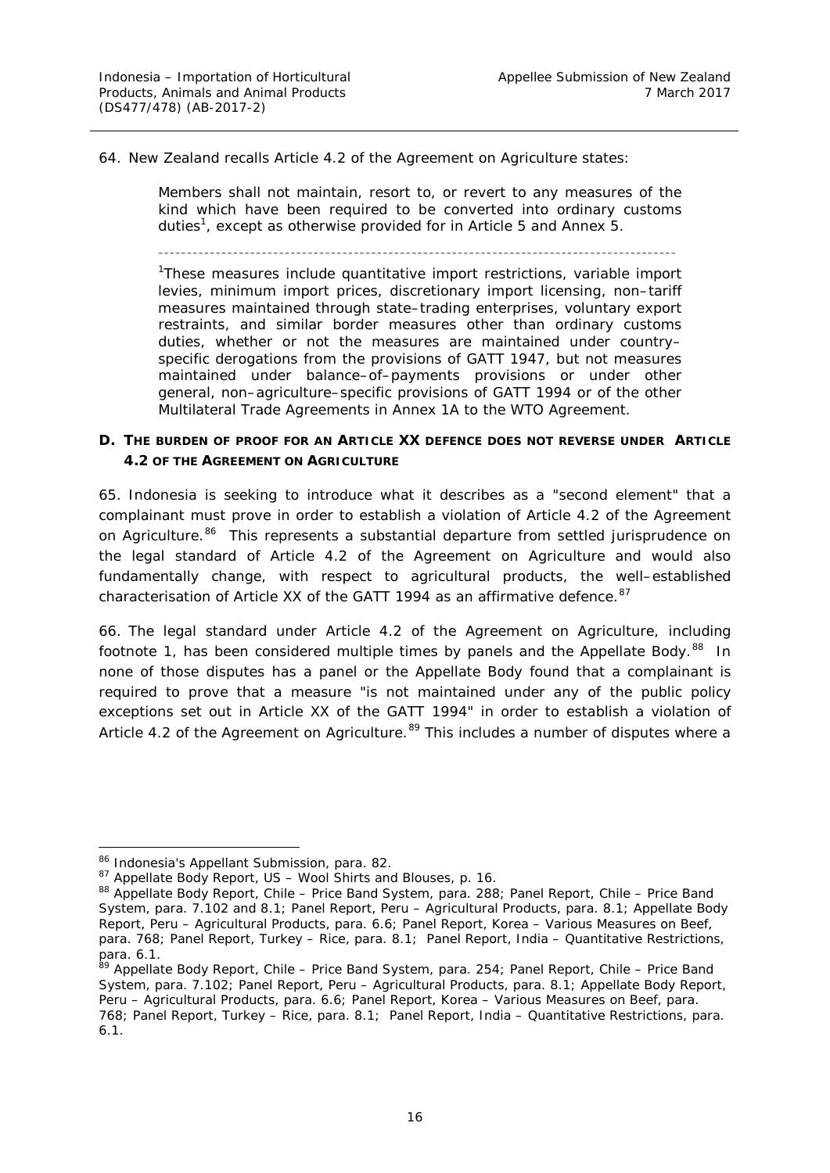64. New Zealand recalls Article 4.2 of the Agreement on Agriculture states:

Members shall not maintain, resort to, or revert to any measures of the kind which have been required to be converted into ordinary customs duties<sup>1</sup>, except as otherwise provided for in Article 5 and Annex 5.

––––––––––––––––––––––––––––––––––––––––––––––––––––––––––––––––––––––––––––––––––––––––––

<sup>1</sup>These measures include quantitative import restrictions, variable import levies, minimum import prices, discretionary import licensing, non–tariff measures maintained through state–trading enterprises, voluntary export restraints, and similar border measures other than ordinary customs duties, whether or not the measures are maintained under country– specific derogations from the provisions of GATT 1947, but not measures maintained under balance–of–payments provisions or under other general, non–agriculture–specific provisions of GATT 1994 or of the other Multilateral Trade Agreements in Annex 1A to the WTO Agreement.

#### <span id="page-22-0"></span>**D. THE BURDEN OF PROOF FOR AN ARTICLE XX DEFENCE DOES NOT REVERSE UNDER ARTICLE 4.2 OF THE AGREEMENT ON AGRICULTURE**

65. Indonesia is seeking to introduce what it describes as a "second element" that a complainant must prove in order to establish a violation of Article 4.2 of the Agreement on Agriculture.<sup>[86](#page-22-1)</sup> This represents a substantial departure from settled jurisprudence on the legal standard of Article 4.2 of the Agreement on Agriculture and would also fundamentally change, with respect to agricultural products, the well–established characterisation of Article XX of the GATT 1994 as an affirmative defence. <sup>[87](#page-22-2)</sup>

66. The legal standard under Article 4.2 of the Agreement on Agriculture, including footnote 1, has been considered multiple times by panels and the Appellate Body.<sup>88</sup> In none of those disputes has a panel or the Appellate Body found that a complainant is required to prove that a measure "is not maintained under any of the public policy exceptions set out in Article XX of the GATT 1994" in order to establish a violation of Article 4.2 of the Agreement on Agriculture.<sup>[89](#page-22-4)</sup> This includes a number of disputes where a

<span id="page-22-1"></span> <sup>86</sup> Indonesia's Appellant Submission, para. 82.

<span id="page-22-2"></span><sup>87</sup> Appellate Body Report, *US – Wool Shirts and Blouses*, p. 16.

<span id="page-22-3"></span><sup>88</sup> Appellate Body Report, *Chile – Price Band System*, para. 288; Panel Report, *Chile – Price Band System,* para. 7.102 and 8.1; Panel Report, *Peru – Agricultural Products,* para. 8.1; Appellate Body Report, *Peru – Agricultural Products,* para. 6.6; Panel Report, *Korea – Various Measures on Beef*, para. 768; Panel Report, *Turkey – Rice,* para. 8.1; Panel Report, *India – Quantitative Restrictions*, para. 6.1.

<span id="page-22-4"></span><sup>89</sup> Appellate Body Report, *Chile – Price Band System*, para. 254; Panel Report, *Chile – Price Band System,* para. 7.102; Panel Report, *Peru – Agricultural Products,* para. 8.1; Appellate Body Report, *Peru – Agricultural Products,* para. 6.6; Panel Report, *Korea – Various Measures on Beef*, para. 768; Panel Report, *Turkey – Rice,* para. 8.1; Panel Report, *India – Quantitative Restrictions*, para. 6.1.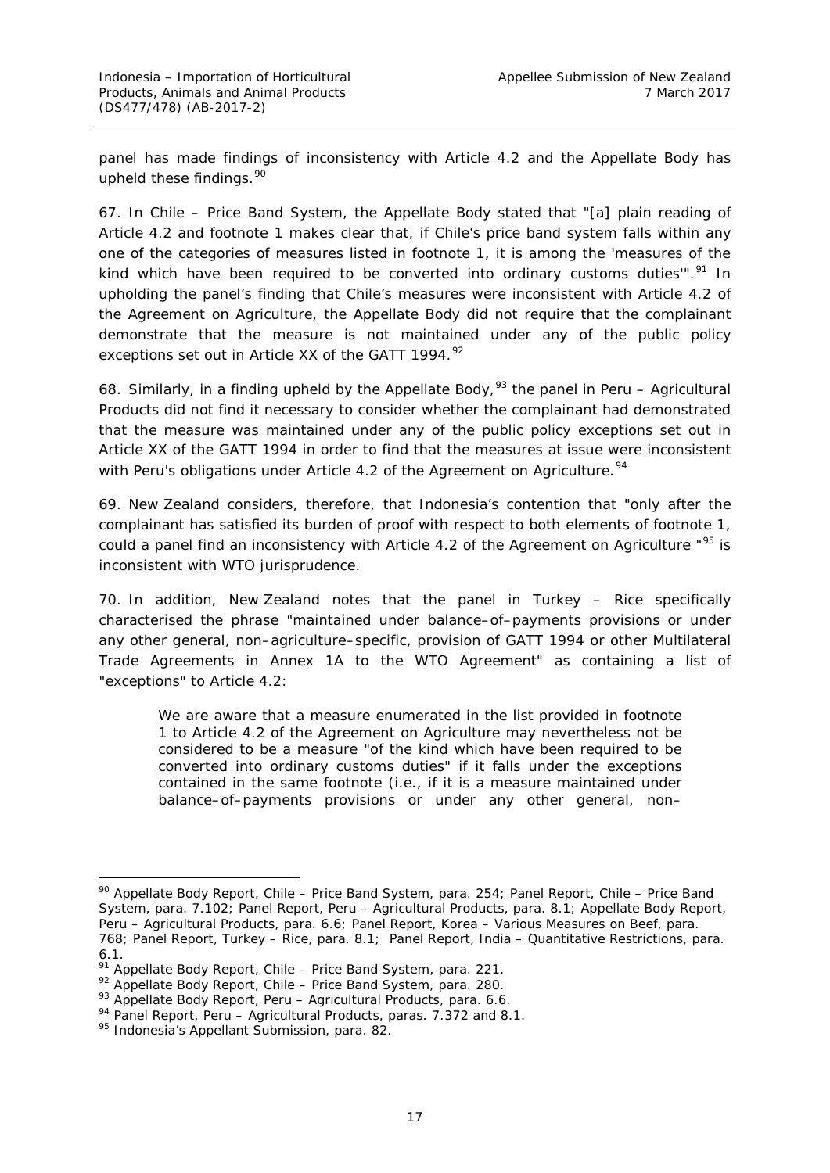panel has made findings of inconsistency with Article 4.2 and the Appellate Body has upheld these findings. [90](#page-23-0)

67. In *Chile – Price Band System,* the Appellate Body stated that "[a] plain reading of Article 4.2 and footnote 1 makes clear that, if Chile's price band system falls within any *one* of the categories of measures listed in footnote 1, it is among the 'measures of the kind which have been required to be converted into ordinary customs duties"<sup>", [91](#page-23-1)</sup> In upholding the panel's finding that Chile's measures were inconsistent with Article 4.2 of the Agreement on Agriculture, the Appellate Body did not require that the complainant demonstrate that the measure is not maintained under any of the public policy exceptions set out in Article XX of the GATT 1994.<sup>[92](#page-23-2)</sup>

68. Similarly, in a finding upheld by the Appellate Body, [93](#page-23-3) the panel in *Peru – Agricultural Products* did not find it necessary to consider whether the complainant had demonstrated that the measure was maintained under any of the public policy exceptions set out in Article XX of the GATT 1994 in order to find that the measures at issue were inconsistent with Peru's obligations under Article 4.2 of the Agreement on Agriculture.<sup>[94](#page-23-4)</sup>

69. New Zealand considers, therefore, that Indonesia's contention that "only after the complainant has satisfied its burden of proof with respect to both elements of footnote 1, could a panel find an inconsistency with Article 4.2 of the Agreement on Agriculture "<sup>[95](#page-23-5)</sup> is inconsistent with WTO jurisprudence.

70. In addition, New Zealand notes that the panel in *Turkey – Rice* specifically characterised the phrase "maintained under balance–of–payments provisions or under any other general, non–agriculture–specific, provision of GATT 1994 or other Multilateral Trade Agreements in Annex 1A to the WTO Agreement" as containing a list of "exceptions" to Article 4.2:

We are aware that a measure enumerated in the list provided in footnote 1 to Article 4.2 of the Agreement on Agriculture may nevertheless not be considered to be a measure "of the kind which have been required to be converted into ordinary customs duties" if it falls *under the exceptions* contained in the same footnote (i.e., if it is a measure maintained under balance–of–payments provisions or under any other general, non–

<span id="page-23-0"></span> <sup>90</sup> Appellate Body Report, *Chile – Price Band System*, para. 254; Panel Report, *Chile – Price Band System,* para. 7.102; Panel Report, *Peru – Agricultural Products,* para. 8.1; Appellate Body Report, *Peru – Agricultural Products,* para. 6.6; Panel Report, *Korea – Various Measures on Beef*, para. 768; Panel Report, *Turkey – Rice,* para. 8.1; Panel Report, *India – Quantitative Restrictions*, para. 6.1.

<span id="page-23-1"></span><sup>91</sup> Appellate Body Report, *Chile – Price Band System*, para. 221.

<span id="page-23-2"></span><sup>92</sup> Appellate Body Report, *Chile – Price Band System*, para. 280.

<span id="page-23-3"></span><sup>93</sup> Appellate Body Report, *Peru – Agricultural Products,* para. 6.6.

<sup>94</sup> Panel Report, *Peru – Agricultural Products,* paras. 7.372 and 8.1.

<span id="page-23-5"></span><span id="page-23-4"></span><sup>95</sup> Indonesia's Appellant Submission, para. 82.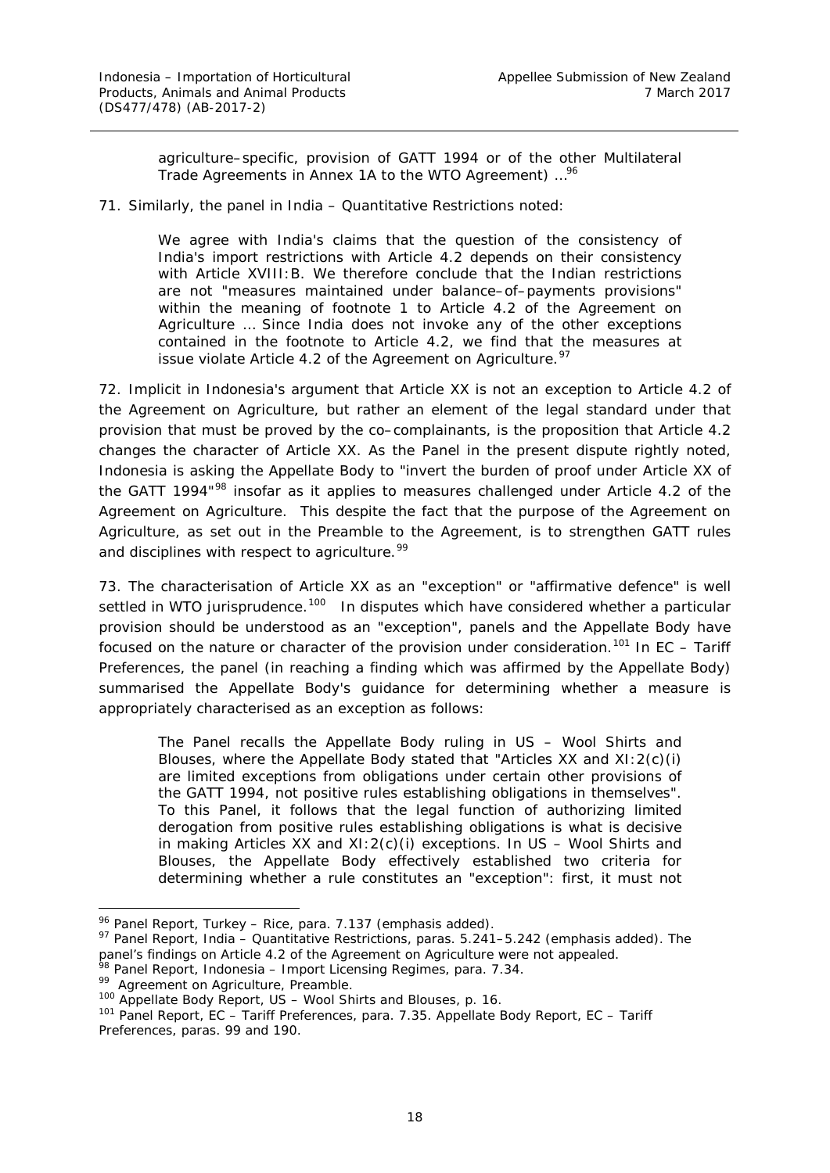agriculture–specific, provision of GATT 1994 or of the other Multilateral Trade Agreements in Annex 1A to the WTO Agreement) …[96](#page-24-0)

71. Similarly, the panel in *India – Quantitative Restrictions* noted:

We agree with India's claims that the question of the consistency of India's import restrictions with Article 4.2 depends on their consistency with Article XVIII:B. We therefore conclude that the Indian restrictions are not "measures maintained under balance–of–payments provisions" within the meaning of footnote 1 to Article 4.2 of the Agreement on Agriculture … Since *India does not invoke any of the other exceptions contained in the footnote to Article 4.2*, we find that the measures at issue violate Article 4.2 of the Agreement on Agriculture. $97$ 

72. Implicit in Indonesia's argument that Article XX is not an *exception* to Article 4.2 of the Agreement on Agriculture, but rather an *element* of the legal standard under that provision that must be proved by the co–complainants, is the proposition that Article 4.2 *changes the character of Article XX.* As the Panel in the present dispute rightly noted, Indonesia is asking the Appellate Body to "invert the burden of proof under Article XX of the GATT 1994"<sup>[98](#page-24-2)</sup> insofar as it applies to measures challenged under Article 4.2 of the Agreement on Agriculture. This despite the fact that the purpose of the Agreement on Agriculture, as set out in the Preamble to the Agreement, is to strengthen GATT rules and disciplines with respect to agriculture.  $99$ 

73. The characterisation of Article XX as an "exception" or "affirmative defence" is well settled in WTO jurisprudence.<sup>100</sup> In disputes which have considered whether a particular provision should be understood as an "exception", panels and the Appellate Body have focused on the nature or character of the provision under consideration. [101](#page-24-5) In *EC – Tariff Preferences*, the panel (in reaching a finding which was affirmed by the Appellate Body) summarised the Appellate Body's guidance for determining whether a measure is appropriately characterised as an exception as follows:

The Panel recalls the Appellate Body ruling in *US – Wool Shirts and Blouses*, where the Appellate Body stated that "Articles XX and XI:2(c)(i) are limited exceptions from obligations under certain other provisions of the GATT 1994, not positive rules establishing obligations in themselves". To this Panel, it follows that the legal function of authorizing limited derogation from positive rules establishing obligations is what is decisive in making Articles XX and XI:2(c)(i) exceptions. In *US – Wool Shirts and Blouses*, the Appellate Body effectively established two criteria for determining whether a rule constitutes an "exception": first, it must not

 <sup>96</sup> Panel Report, *Turkey – Rice*, para. 7.137 (emphasis added).

<span id="page-24-1"></span><span id="page-24-0"></span><sup>97</sup> Panel Report, *India – Quantitative Restrictions,* paras. 5.241–5.242 (emphasis added). The panel's findings on Article 4.2 of the Agreement on Agriculture were not appealed.

<span id="page-24-2"></span><sup>98</sup> Panel Report, *Indonesia – Import Licensing Regimes*, para. 7.34.

<span id="page-24-3"></span><sup>99</sup> Agreement on Agriculture, Preamble.

<span id="page-24-4"></span><sup>100</sup> Appellate Body Report, *US – Wool Shirts and Blouses*, p. 16.

<span id="page-24-5"></span><sup>101</sup> Panel Report, *EC – Tariff Preferences*, para. 7.35. Appellate Body Report, *EC – Tariff Preferences*, paras. 99 and 190.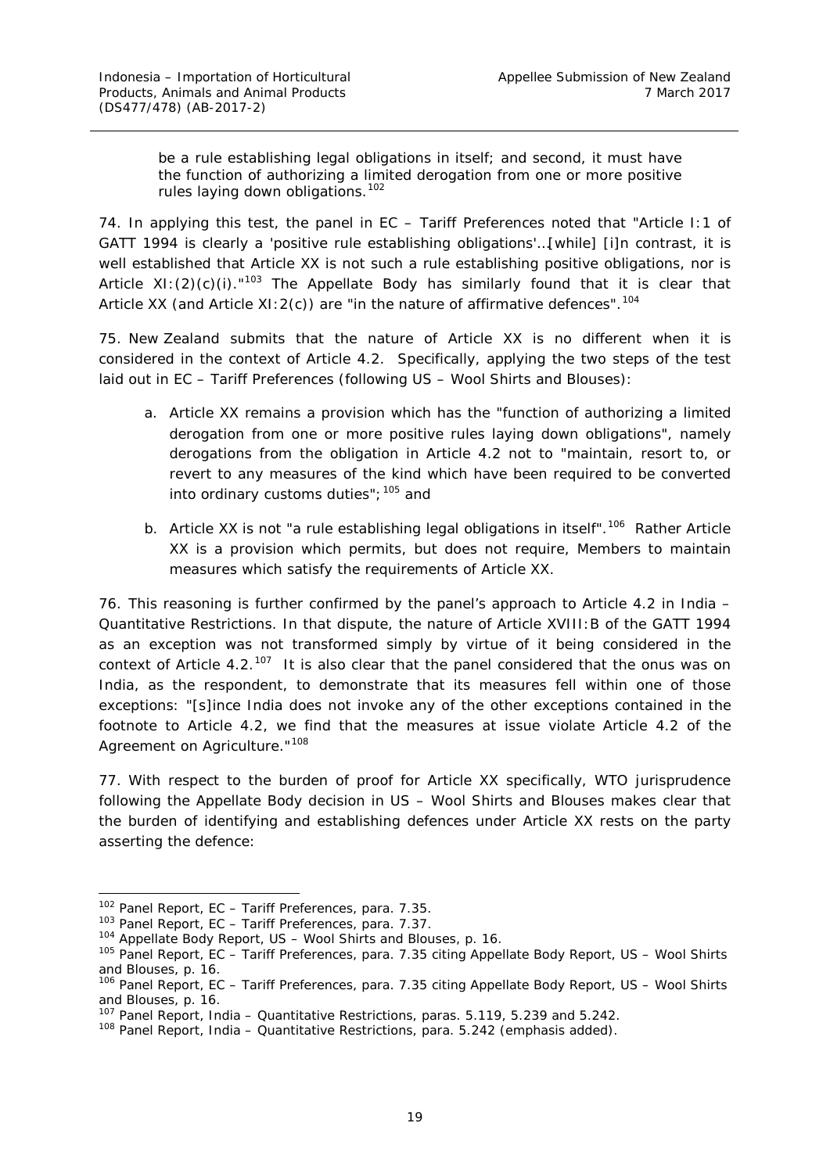be a rule establishing legal obligations in itself; and second, it must have the function of authorizing a limited derogation from one or more positive rules laying down obligations.<sup>[102](#page-25-0)</sup>

74. In applying this test, the panel in *EC – Tariff Preferences* noted that "Article I:1 of GATT 1994 is clearly a 'positive rule establishing obligations'…[while] [i]n contrast, it is well established that Article XX is not such a rule establishing positive obligations, nor is Article XI: $(2)(c)(i)$ ."<sup>[103](#page-25-1)</sup> The Appellate Body has similarly found that it is clear that Article XX (and Article XI:2(c)) are "in the nature of affirmative defences".<sup>[104](#page-25-2)</sup>

75. New Zealand submits that the nature of Article XX is no different when it is considered in the context of Article 4.2. Specifically, applying the two steps of the test laid out in *EC – Tariff Preferences* (following *US – Wool Shirts and Blouses*):

- a. Article XX remains a provision which has the "function of authorizing a limited derogation from one or more positive rules laying down obligations", namely derogations from the obligation in Article 4.2 not to "maintain, resort to, or revert to any measures of the kind which have been required to be converted into ordinary customs duties";  $105$  and
- b. Article XX is not "a rule establishing legal obligations in itself".<sup>[106](#page-25-4)</sup> Rather Article XX is a provision which *permits, but does not require,* Members to maintain measures which satisfy the requirements of Article XX.

76. This reasoning is further confirmed by the panel's approach to Article 4.2 in *India – Quantitative Restrictions.* In that dispute, the nature of Article XVIII:B of the GATT 1994 as an exception was not transformed simply by virtue of it being considered in the context of Article 4.2.<sup>[107](#page-25-5)</sup> It is also clear that the panel considered that the onus was on India, as the respondent, to demonstrate that its measures fell within one of those exceptions: "[s]ince *India does not invoke* any of the other exceptions contained in the footnote to Article 4.2, we find that the measures at issue violate Article 4.2 of the Agreement on Agriculture."<sup>[108](#page-25-6)</sup>

77. With respect to the burden of proof for Article XX specifically, WTO jurisprudence following the Appellate Body decision in *US – Wool Shirts and Blouses* makes clear that the burden of identifying and establishing defences under Article XX rests on the party asserting the defence:

<span id="page-25-0"></span> <sup>102</sup> Panel Report, *EC – Tariff Preferences*, para. 7.35.

<span id="page-25-1"></span><sup>103</sup> Panel Report, *EC – Tariff Preferences*, para. 7.37.

<span id="page-25-2"></span><sup>104</sup> Appellate Body Report, *US – Wool Shirts and Blouses*, p. 16.

<span id="page-25-3"></span><sup>105</sup> Panel Report, *EC – Tariff Preferences*, para. 7.35 citing Appellate Body Report, *US – Wool Shirts and Blouses*, p. 16.

<span id="page-25-4"></span><sup>106</sup> Panel Report, *EC – Tariff Preferences*, para. 7.35 citing Appellate Body Report, *US – Wool Shirts and Blouses*, p. 16.

<sup>107</sup> Panel Report, *India – Quantitative Restrictions*, paras. 5.119, 5.239 and 5.242.

<span id="page-25-6"></span><span id="page-25-5"></span><sup>108</sup> Panel Report, *India – Quantitative Restrictions,* para. 5.242 (emphasis added).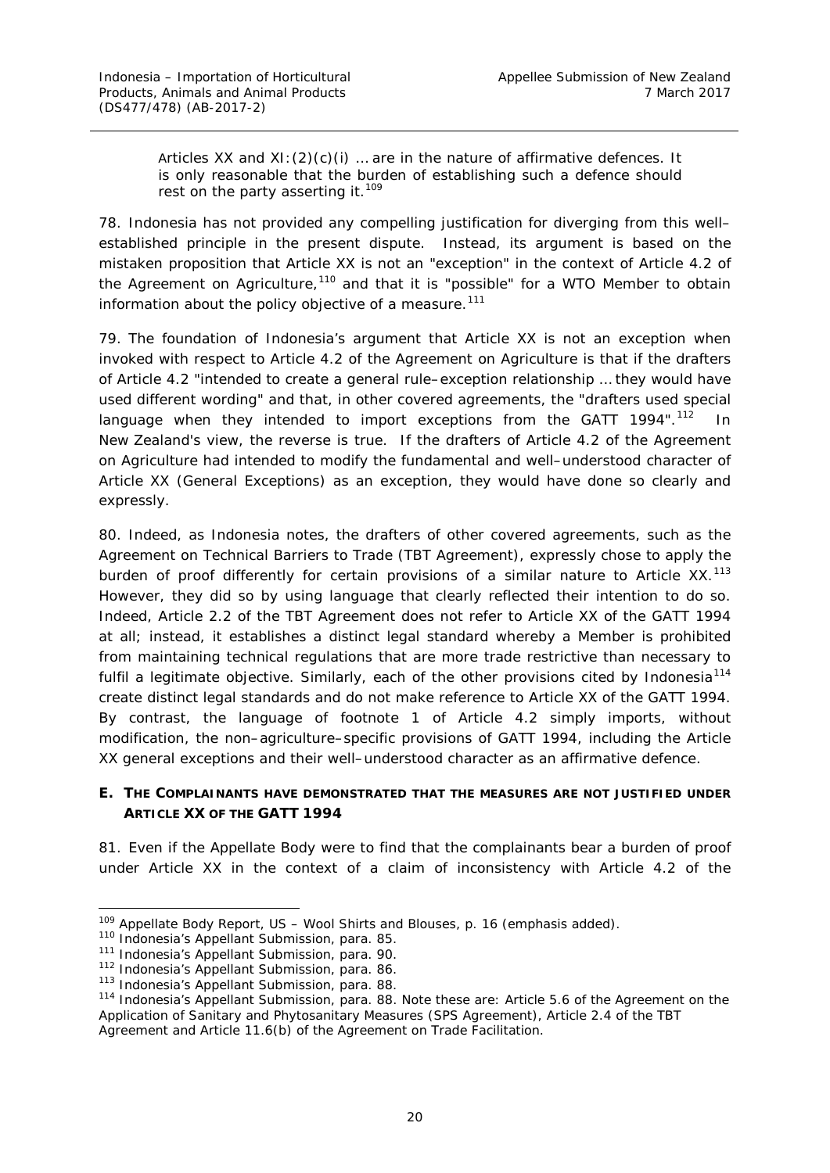Articles XX and  $XI: (2)(c)(i)$  ... are in the nature of affirmative defences. It is only reasonable that the burden of establishing such a defence should rest on the party asserting it.<sup>[109](#page-26-1)</sup>

78. Indonesia has not provided any compelling justification for diverging from this well– established principle in the present dispute. Instead, its argument is based on the mistaken proposition that Article XX is not an "exception" in the context of Article 4.2 of the Agreement on Agriculture,<sup>[110](#page-26-2)</sup> and that it is "possible" for a WTO Member to obtain information about the policy objective of a measure.<sup>[111](#page-26-3)</sup>

79. The foundation of Indonesia's argument that Article XX is not an exception when invoked with respect to Article 4.2 of the Agreement on Agriculture is that if the drafters of Article 4.2 "intended to create a general rule–exception relationship … they would have used different wording" and that, in other covered agreements, the "drafters used special language when they intended to import *exceptions* from the GATT 1994".<sup>[112](#page-26-4)</sup> In New Zealand's view, the reverse is true. If the drafters of Article 4.2 of the Agreement on Agriculture had intended to modify the fundamental and well–understood character of Article XX (General Exceptions) as an exception, they would have done so clearly and expressly.

80. Indeed, as Indonesia notes, the drafters of other covered agreements, such as the *Agreement on Technical Barriers to Trade* (TBT Agreement), expressly chose to apply the burden of proof differently for certain provisions of a similar nature to Article XX.<sup>[113](#page-26-5)</sup> However, they did so by using language that clearly reflected their intention to do so. Indeed, Article 2.2 of the TBT Agreement does not refer to Article XX of the GATT 1994 at all; instead, it establishes a *distinct legal standard* whereby a Member is prohibited from maintaining technical regulations that are more trade restrictive than necessary to fulfil a legitimate objective. Similarly, each of the other provisions cited by Indonesia<sup>[114](#page-26-6)</sup> create distinct legal standards and do not make reference to Article XX of the GATT 1994. By contrast, the language of footnote 1 of Article 4.2 simply imports, without modification, the non–agriculture–specific provisions of GATT 1994, including the Article XX general exceptions and their well–understood character as an affirmative defence.

### <span id="page-26-0"></span>**E. THE COMPLAINANTS HAVE DEMONSTRATED THAT THE MEASURES ARE NOT JUSTIFIED UNDER ARTICLE XX OF THE GATT 1994**

81. Even if the Appellate Body were to find that the complainants bear a burden of proof under Article XX in the context of a claim of inconsistency with Article 4.2 of the

<span id="page-26-1"></span> <sup>109</sup> Appellate Body Report, *US – Wool Shirts and Blouses*, p. 16 (emphasis added).

<span id="page-26-2"></span><sup>110</sup> Indonesia's Appellant Submission, para. 85.

<span id="page-26-3"></span><sup>&</sup>lt;sup>111</sup> Indonesia's Appellant Submission, para. 90.

<span id="page-26-4"></span><sup>112</sup> Indonesia's Appellant Submission, para. 86.

<sup>113</sup> Indonesia's Appellant Submission, para. 88.

<span id="page-26-6"></span><span id="page-26-5"></span><sup>114</sup> Indonesia's Appellant Submission, para. 88. Note these are: Article 5.6 of the *Agreement on the Application of Sanitary and Phytosanitary Measure*s (SPS Agreement), Article 2.4 of the TBT Agreement and Article 11.6(b) of the Agreement on Trade Facilitation.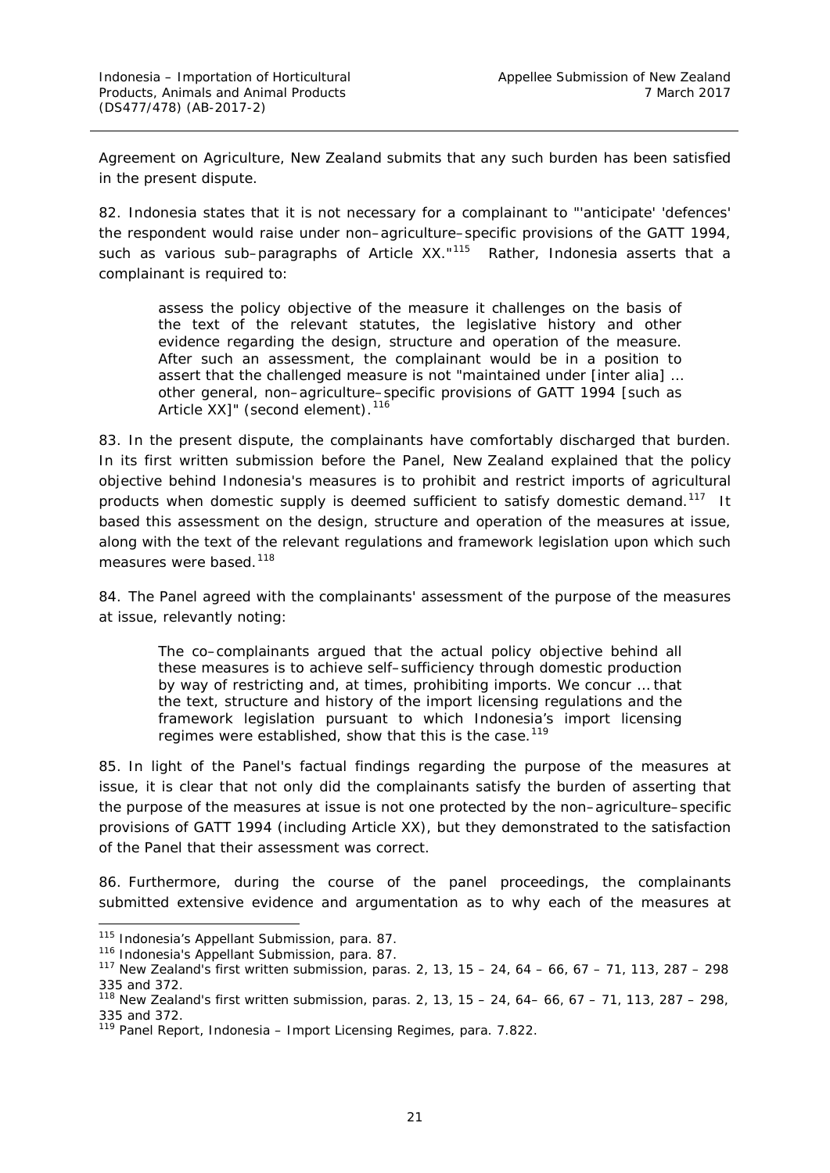Agreement on Agriculture, New Zealand submits that any such burden has been satisfied in the present dispute.

82. Indonesia states that it is not necessary for a complainant to "'anticipate' 'defences' the respondent would raise under non–agriculture–specific provisions of the GATT 1994, such as various sub–paragraphs of Article XX."<sup>[115](#page-27-0)</sup> Rather, Indonesia asserts that a complainant is required to:

assess the policy objective of the measure it challenges on the basis of the text of the relevant statutes, the legislative history and other evidence regarding the design, structure and operation of the measure. After such an assessment, the complainant would be in a position to assert that the challenged measure is not "maintained under [*inter alia*] … other general, non–agriculture–specific provisions of GATT 1994 [such as Article XX]" (second element).<sup>[116](#page-27-1)</sup>

83. In the present dispute, the complainants have comfortably discharged that burden. In its first written submission before the Panel, New Zealand explained that the policy objective behind Indonesia's measures is to prohibit and restrict imports of agricultural products when domestic supply is deemed sufficient to satisfy domestic demand.<sup>[117](#page-27-2)</sup> It based this assessment on the design, structure and operation of the measures at issue, along with the text of the relevant regulations and framework legislation upon which such measures were based.<sup>[118](#page-27-3)</sup>

84. The Panel agreed with the complainants' assessment of the purpose of the measures at issue, relevantly noting:

The co–complainants argued that the actual policy objective behind all these measures is to achieve self–sufficiency through domestic production by way of restricting and, at times, prohibiting imports. We concur … that the text, structure and history of the import licensing regulations and the framework legislation pursuant to which Indonesia's import licensing regimes were established, show that this is the case.<sup>[119](#page-27-4)</sup>

85. In light of the Panel's factual findings regarding the purpose of the measures at issue, it is clear that not only did the complainants satisfy the burden of *asserting* that the purpose of the measures at issue is not one protected by the non–agriculture–specific provisions of GATT 1994 (*including* Article XX), but they demonstrated to the satisfaction of the Panel that their assessment was correct.

86. Furthermore, during the course of the panel proceedings, the complainants submitted extensive evidence and argumentation as to why each of the measures at

<span id="page-27-0"></span><sup>115</sup> Indonesia's Appellant Submission, para. 87.

<span id="page-27-1"></span><sup>116</sup> Indonesia's Appellant Submission, para. 87.

<span id="page-27-2"></span><sup>117</sup> New Zealand's first written submission, paras. 2, 13, 15 – 24, 64 – 66, 67 – 71, 113, 287 – 298 335 and 372.

<span id="page-27-3"></span><sup>&</sup>lt;sup>118</sup> New Zealand's first written submission, paras. 2, 13, 15 – 24, 64– 66, 67 – 71, 113, 287 – 298, 335 and 372.

<span id="page-27-4"></span><sup>119</sup> Panel Report, *Indonesia – Import Licensing Regimes*, para. 7.822.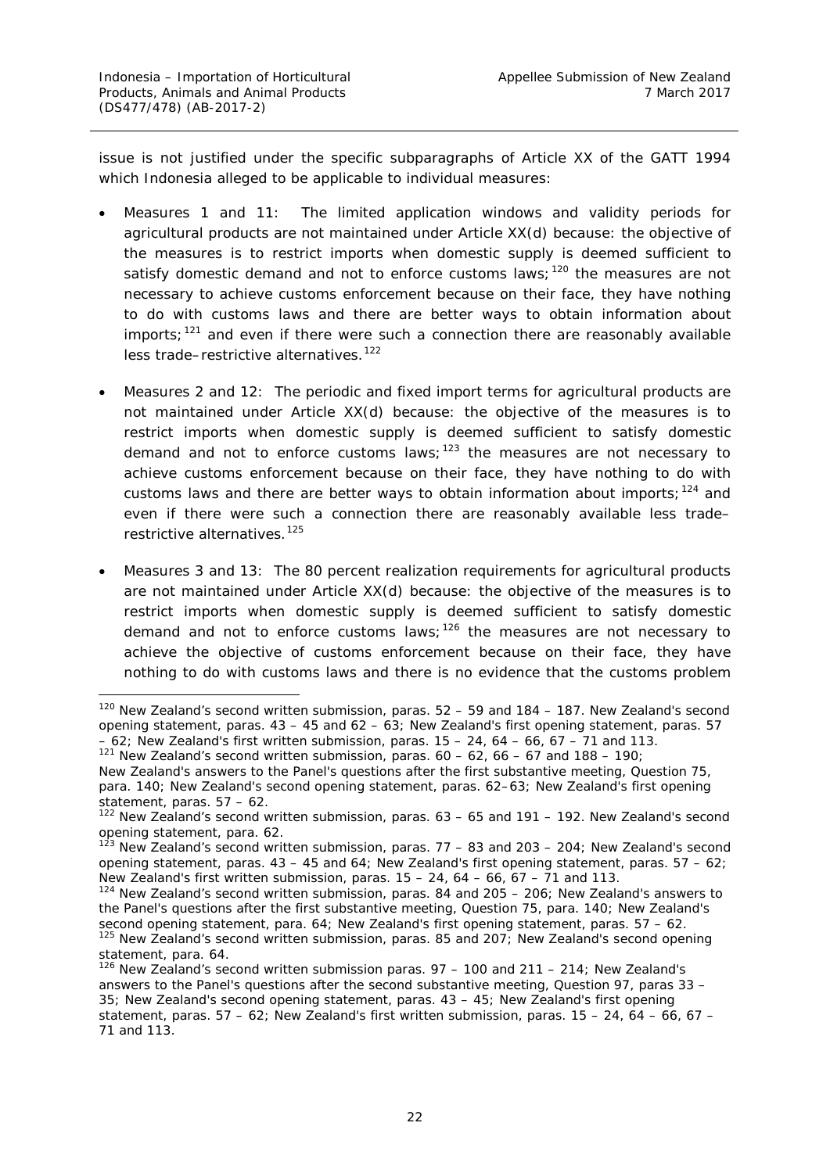issue is not justified under the specific subparagraphs of Article XX of the GATT 1994 which Indonesia alleged to be applicable to individual measures:

- Measures 1 and 11: The limited application windows and validity periods for agricultural products are not maintained under Article XX(d) because: the objective of the measures is to restrict imports when domestic supply is deemed sufficient to satisfy domestic demand and not to enforce customs laws;  $120$  the measures are not necessary to achieve customs enforcement because on their face, they have nothing to do with customs laws and there are better ways to obtain information about imports;  $121$  and even if there were such a connection there are reasonably available less trade-restrictive alternatives.<sup>[122](#page-28-2)</sup>
- Measures 2 and 12: The periodic and fixed import terms for agricultural products are not maintained under Article XX(d) because: the objective of the measures is to restrict imports when domestic supply is deemed sufficient to satisfy domestic demand and not to enforce customs laws;  $123$  the measures are not necessary to achieve customs enforcement because on their face, they have nothing to do with customs laws and there are better ways to obtain information about imports;  $124$  and even if there were such a connection there are reasonably available less trade– restrictive alternatives.<sup>[125](#page-28-5)</sup>
- Measures 3 and 13: The 80 percent realization requirements for agricultural products are not maintained under Article XX(d) because: the objective of the measures is to restrict imports when domestic supply is deemed sufficient to satisfy domestic demand and not to enforce customs laws;  $126$  the measures are not necessary to achieve the objective of customs enforcement because on their face, they have nothing to do with customs laws and there is no evidence that the customs problem

<span id="page-28-0"></span><sup>&</sup>lt;sup>120</sup> New Zealand's second written submission, paras. 52 - 59 and 184 - 187. New Zealand's second opening statement, paras.  $43 - 45$  and  $62 - 63$ ; New Zealand's first opening statement, paras. 57  $-62$ ; New Zealand's first written submission, paras.  $15 - 24$ ,  $64 - 66$ ,  $67 - 71$  and 113.

<span id="page-28-1"></span> $121$  New Zealand's second written submission, paras.  $60 - 62$ ,  $66 - 67$  and  $188 - 190$ ;

New Zealand's answers to the Panel's questions after the first substantive meeting, Question 75, para. 140; New Zealand's second opening statement, paras. 62–63; New Zealand's first opening statement, paras. 57 – 62.

<span id="page-28-2"></span><sup>&</sup>lt;sup>122</sup> New Zealand's second written submission, paras. 63 – 65 and 191 – 192. New Zealand's second opening statement, para. 62.

<span id="page-28-3"></span> $1^{23}$  New Zealand's second written submission, paras. 77 – 83 and 203 – 204; New Zealand's second opening statement, paras.  $43 - 45$  and  $64$ ; New Zealand's first opening statement, paras.  $57 - 62$ ; New Zealand's first written submission, paras.  $15 - 24$ ,  $64 - 66$ ,  $67 - 71$  and 113.

<span id="page-28-4"></span><sup>&</sup>lt;sup>124</sup> New Zealand's second written submission, paras. 84 and 205 – 206; New Zealand's answers to the Panel's questions after the first substantive meeting, Question 75, para. 140; New Zealand's second opening statement, para. 64; New Zealand's first opening statement, paras. 57 – 62.<br><sup>125</sup> New Zealand's second written submission, paras. 85 and 207; New Zealand's second opening statement, para. 64.

<span id="page-28-6"></span><span id="page-28-5"></span> $126$  New Zealand's second written submission paras.  $97 - 100$  and  $211 - 214$ ; New Zealand's answers to the Panel's questions after the second substantive meeting, Question 97, paras 33 – 35; New Zealand's second opening statement, paras. 43 – 45; New Zealand's first opening statement, paras.  $57 - 62$ ; New Zealand's first written submission, paras.  $15 - 24$ ,  $64 - 66$ ,  $67 -$ 71 and 113.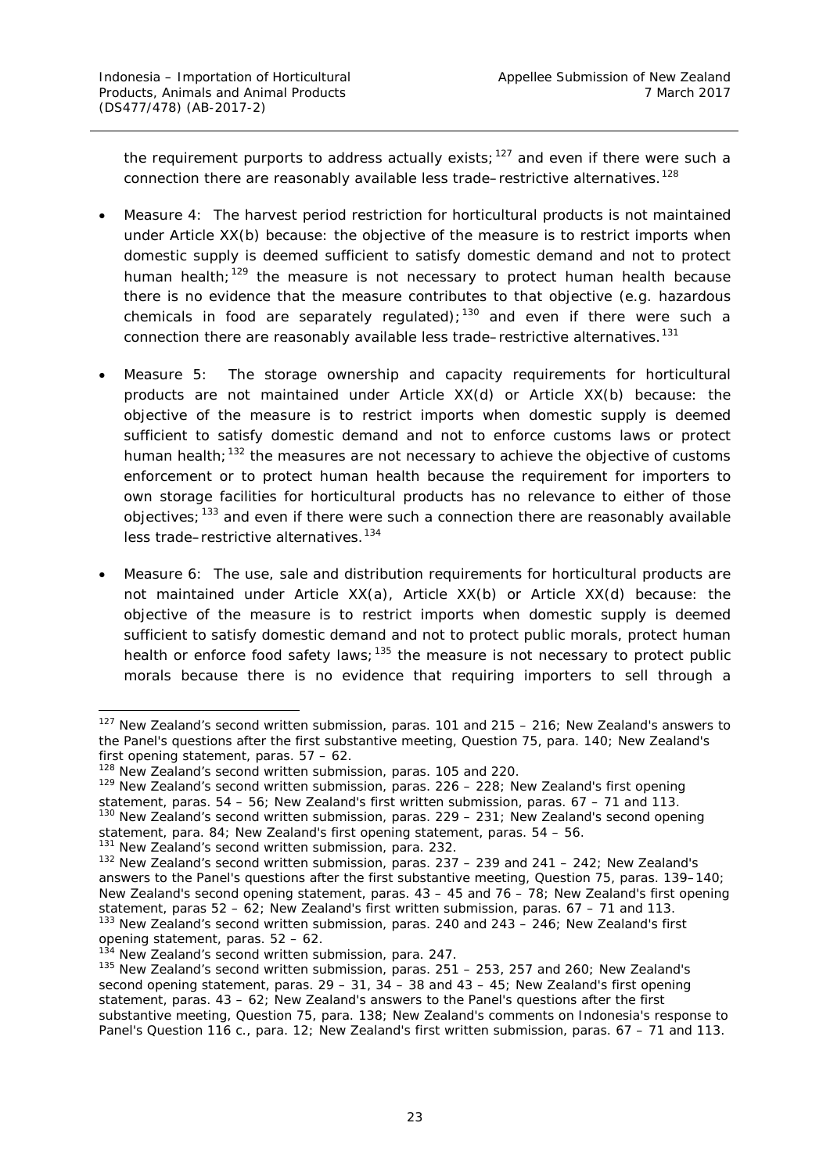the requirement purports to address actually exists;<sup>[127](#page-29-0)</sup> and even if there were such a connection there are reasonably available less trade–restrictive alternatives.<sup>128</sup>

- Measure 4: The harvest period restriction for horticultural products is not maintained under Article XX(b) because: the objective of the measure is to restrict imports when domestic supply is deemed sufficient to satisfy domestic demand and not to protect human health;<sup>[129](#page-29-2)</sup> the measure is not necessary to protect human health because there is no evidence that the measure contributes to that objective (e.g. hazardous chemicals in food are separately regulated);<sup>[130](#page-29-3)</sup> and even if there were such a connection there are reasonably available less trade–restrictive alternatives.<sup>[131](#page-29-4)</sup>
- Measure 5: The storage ownership and capacity requirements for horticultural products are not maintained under Article XX(d) or Article XX(b) because: the objective of the measure is to restrict imports when domestic supply is deemed sufficient to satisfy domestic demand and not to enforce customs laws or protect human health; $132$  the measures are not necessary to achieve the objective of customs enforcement or to protect human health because the requirement for importers to *own* storage facilities for horticultural products has no relevance to either of those objectives;[133](#page-29-6) and even if there were such a connection there are reasonably available less trade–restrictive alternatives.<sup>[134](#page-29-7)</sup>
- Measure 6: The use, sale and distribution requirements for horticultural products are not maintained under Article XX(a), Article XX(b) or Article XX(d) because: the objective of the measure is to restrict imports when domestic supply is deemed sufficient to satisfy domestic demand and not to protect public morals, protect human health or enforce food safety laws;  $135$  the measure is not necessary to protect public morals because there is no evidence that requiring importers to sell through a

<span id="page-29-0"></span> $127$  New Zealand's second written submission, paras. 101 and 215 – 216; New Zealand's answers to the Panel's questions after the first substantive meeting, Question 75, para. 140; New Zealand's first opening statement, paras.  $57 - 62$ .<br><sup>128</sup> New Zealand's second written submission, paras. 105 and 220.

<span id="page-29-2"></span><span id="page-29-1"></span><sup>&</sup>lt;sup>129</sup> New Zealand's second written submission, paras. 226 - 228; New Zealand's first opening

<span id="page-29-3"></span>statement, paras.  $54 - 56$ ; New Zealand's first written submission, paras.  $67 - 71$  and  $113$ . <sup>130</sup> New Zealand's second written submission, paras. 229 – 231; New Zealand's second opening statement, para. 84; New Zealand's first opening statement, para.

<span id="page-29-4"></span> $131$  New Zealand's second written submission, para. 232.

<span id="page-29-5"></span> $132$  New Zealand's second written submission, paras. 237 – 239 and 241 – 242; New Zealand's answers to the Panel's questions after the first substantive meeting, Question 75, paras. 139–140; New Zealand's second opening statement, paras. 43 – 45 and 76 – 78; New Zealand's first opening statement, paras 52 – 62; New Zealand's first written submission, paras. 67 – 71 and 113.  $133$  New Zealand's second written submission, paras. 240 and 243 – 246; New Zealand's first opening statement, paras.  $52 - 62$ .<br> $134$  New Zealand's second written submission. para. 247.

<span id="page-29-7"></span><span id="page-29-6"></span>

<span id="page-29-8"></span> $135$  New Zealand's second written submission, paras. 251 – 253, 257 and 260; New Zealand's second opening statement, paras.  $29 - 31$ ,  $34 - 38$  and  $43 - 45$ ; New Zealand's first opening statement, paras. 43 – 62; New Zealand's answers to the Panel's questions after the first substantive meeting, Question 75, para. 138; New Zealand's comments on Indonesia's response to Panel's Question 116 c., para. 12; New Zealand's first written submission, paras. 67 – 71 and 113.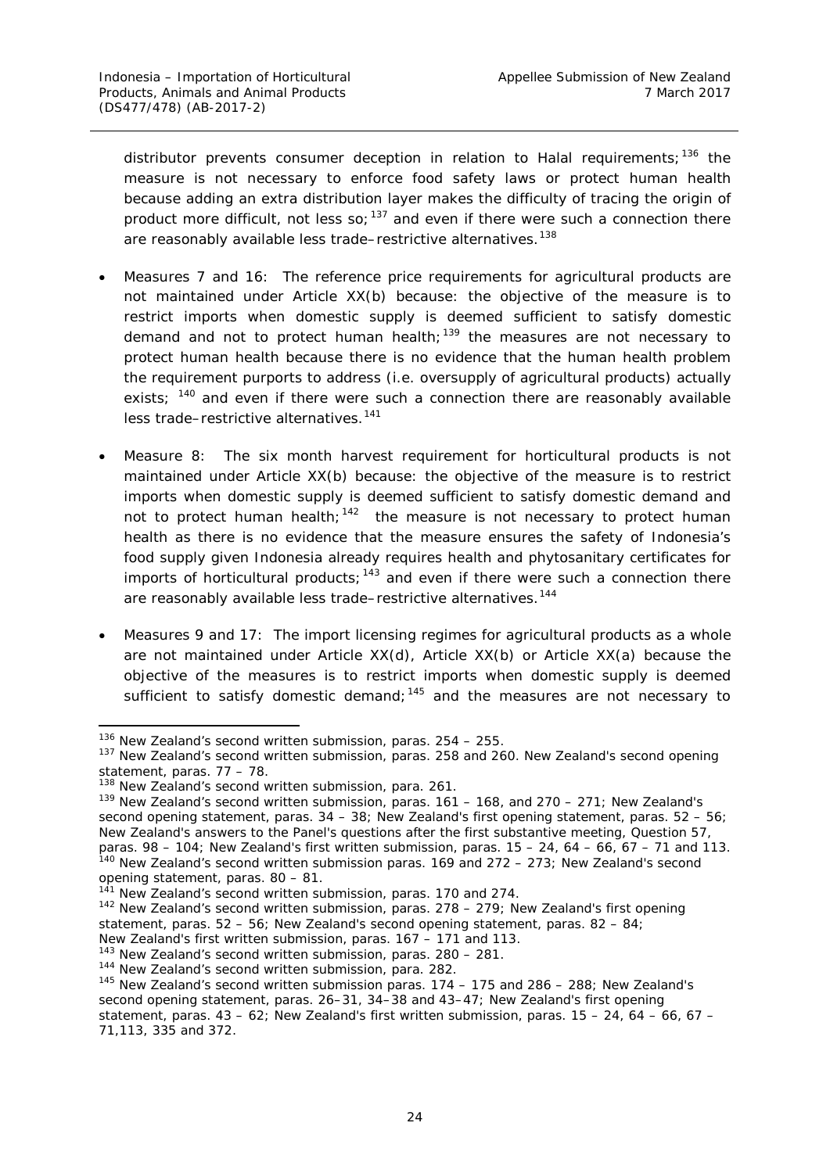distributor prevents consumer deception in relation to Halal requirements;<sup>[136](#page-30-0)</sup> the measure is not necessary to enforce food safety laws or protect human health because adding an extra distribution layer makes the difficulty of tracing the origin of product more difficult, not less so;  $137$  and even if there were such a connection there are reasonably available less trade–restrictive alternatives.<sup>[138](#page-30-2)</sup>

- Measures 7 and 16: The reference price requirements for agricultural products are not maintained under Article XX(b) because: the objective of the measure is to restrict imports when domestic supply is deemed sufficient to satisfy domestic demand and not to protect human health;  $139$  the measures are not necessary to protect human health because there is no evidence that the human health problem the requirement purports to address (i.e. oversupply of agricultural products) actually exists; <sup>[140](#page-30-4)</sup> and even if there were such a connection there are reasonably available less trade–restrictive alternatives.<sup>[141](#page-30-5)</sup>
- Measure 8: The six month harvest requirement for horticultural products is not maintained under Article XX(b) because: the objective of the measure is to restrict imports when domestic supply is deemed sufficient to satisfy domestic demand and not to protect human health;<sup>142</sup> the measure is not necessary to protect human health as there is no evidence that the measure ensures the safety of Indonesia's food supply given Indonesia already requires health and phytosanitary certificates for imports of horticultural products;  $143$  and even if there were such a connection there are reasonably available less trade–restrictive alternatives.<sup>[144](#page-30-8)</sup>
- Measures 9 and 17: The import licensing regimes for agricultural products as a whole are not maintained under Article XX(d), Article XX(b) or Article XX(a) because the objective of the measures is to restrict imports when domestic supply is deemed sufficient to satisfy domestic demand;  $145$  and the measures are not necessary to

<span id="page-30-1"></span><span id="page-30-0"></span><sup>&</sup>lt;sup>136</sup> New Zealand's second written submission, paras. 254 – 255.<br><sup>137</sup> New Zealand's second written submission, paras. 258 and 260. New Zealand's second opening statement, paras. 77 – 78.

<span id="page-30-2"></span><sup>&</sup>lt;sup>138</sup> New Zealand's second written submission, para. 261.

<span id="page-30-3"></span><sup>&</sup>lt;sup>139</sup> New Zealand's second written submission, paras.  $161 - 168$ , and  $270 - 271$ ; New Zealand's second opening statement, paras. 34 – 38; New Zealand's first opening statement, paras. 52 – 56; New Zealand's answers to the Panel's questions after the first substantive meeting, Question 57, paras. 98 – 104; New Zealand's first written submission, paras. 15 – 24, 64 – 66, 67 – 71 and 113.  $140$  New Zealand's second written submission paras. 169 and 272 – 273; New Zealand's second opening statement, paras. 80 – 81.

<span id="page-30-4"></span>New Zealand's second written submission, paras. 170 and 274.

<span id="page-30-6"></span><span id="page-30-5"></span><sup>&</sup>lt;sup>142</sup> New Zealand's second written submission, paras. 278 – 279; New Zealand's first opening statement, paras. 52 – 56; New Zealand's second opening statement, paras. 82 – 84; New Zealand's first written submission, paras. 167 – 171 and 113.

<span id="page-30-7"></span><sup>143</sup> New Zealand's second written submission, paras. 280 – 281.

<span id="page-30-8"></span><sup>&</sup>lt;sup>144</sup> New Zealand's second written submission, para. 282.

<span id="page-30-9"></span><sup>145</sup> New Zealand's second written submission paras. 174 – 175 and 286 – 288; New Zealand's second opening statement, paras. 26–31, 34–38 and 43–47; New Zealand's first opening statement, paras.  $43 - 62$ ; New Zealand's first written submission, paras.  $15 - 24$ ,  $64 - 66$ ,  $67 -$ 71,113, 335 and 372.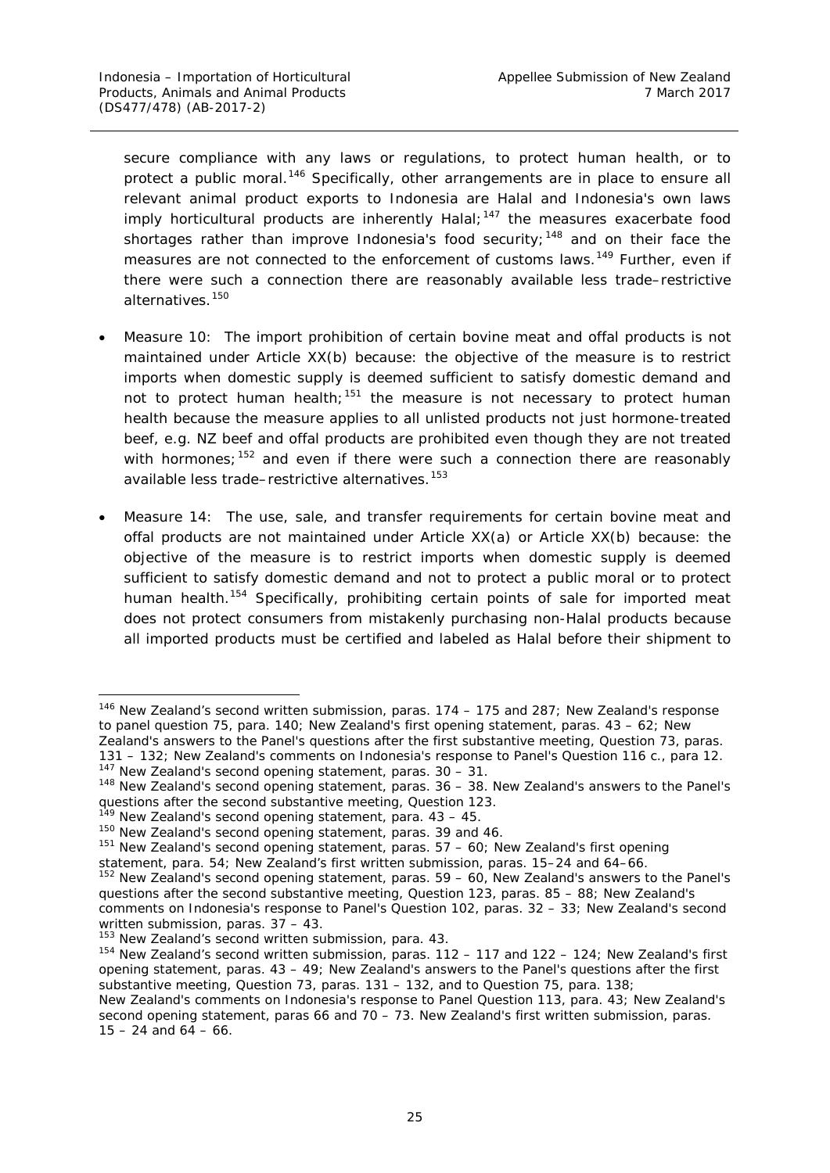secure compliance with any laws or regulations, to protect human health, or to protect a public moral.<sup>[146](#page-31-0)</sup> Specifically, other arrangements are in place to ensure all relevant animal product exports to Indonesia are Halal and Indonesia's own laws imply horticultural products are inherently Halal; $147$  the measures exacerbate food shortages rather than improve Indonesia's food security;<sup>[148](#page-31-2)</sup> and on their face the measures are not connected to the enforcement of customs laws.<sup>[149](#page-31-3)</sup> Further, even if there were such a connection there are reasonably available less trade–restrictive alternatives.[150](#page-31-4)

- Measure 10: The import prohibition of certain bovine meat and offal products is not maintained under Article XX(b) because: the objective of the measure is to restrict imports when domestic supply is deemed sufficient to satisfy domestic demand and not to protect human health; $151$  the measure is not necessary to protect human health because the measure applies to all unlisted products not just hormone-treated beef, e.g. NZ beef and offal products are prohibited even though they are not treated with hormones;  $152$  and even if there were such a connection there are reasonably available less trade–restrictive alternatives.<sup>[153](#page-31-7)</sup>
- Measure 14: The use, sale, and transfer requirements for certain bovine meat and offal products are not maintained under Article XX(a) or Article XX(b) because: the objective of the measure is to restrict imports when domestic supply is deemed sufficient to satisfy domestic demand and not to protect a public moral or to protect human health.<sup>[154](#page-31-8)</sup> Specifically, prohibiting certain points of sale for imported meat does not protect consumers from mistakenly purchasing non-Halal products because all imported products must be certified and labeled as Halal before their shipment to

<span id="page-31-0"></span><sup>&</sup>lt;sup>146</sup> New Zealand's second written submission, paras. 174 - 175 and 287; New Zealand's response to panel question 75, para. 140; New Zealand's first opening statement, paras.  $43 - 62$ ; New Zealand's answers to the Panel's questions after the first substantive meeting, Question 73, paras. 131 – 132; New Zealand's comments on Indonesia's response to Panel's Question 116 c., para 12.<br><sup>147</sup> New Zealand's second opening statement, paras. 30 – 31.

<span id="page-31-1"></span>

<span id="page-31-2"></span><sup>148</sup> New Zealand's second opening statement, paras. 36 – 38. New Zealand's answers to the Panel's questions after the second substantive meeting, Question 123.

<sup>&</sup>lt;sup>9</sup> New Zealand's second opening statement, para.  $43 - 45$ .

<span id="page-31-4"></span><span id="page-31-3"></span><sup>150</sup> New Zealand's second opening statement, paras. 39 and 46.

<span id="page-31-5"></span> $151$  New Zealand's second opening statement, paras.  $57 - 60$ ; New Zealand's first opening

statement, para. 54; New Zealand's first written submission, paras. 15–24 and 64–66.

<span id="page-31-6"></span><sup>&</sup>lt;sup>152</sup> New Zealand's second opening statement, paras. 59 – 60, New Zealand's answers to the Panel's questions after the second substantive meeting, Question 123, paras. 85 – 88; New Zealand's comments on Indonesia's response to Panel's Question 102, paras. 32 – 33; New Zealand's second written submission, paras. 37 – 43.

<span id="page-31-7"></span><sup>&</sup>lt;sup>153</sup> New Zealand's second written submission, para. 43.

<span id="page-31-8"></span><sup>154</sup> New Zealand's second written submission, paras. 112 – 117 and 122 – 124; New Zealand's first opening statement, paras. 43 – 49; New Zealand's answers to the Panel's questions after the first substantive meeting, Question 73, paras. 131 – 132, and to Question 75, para. 138;

New Zealand's comments on Indonesia's response to Panel Question 113, para. 43; New Zealand's second opening statement, paras 66 and 70 – 73. New Zealand's first written submission, paras.  $15 - 24$  and  $64 - 66$ .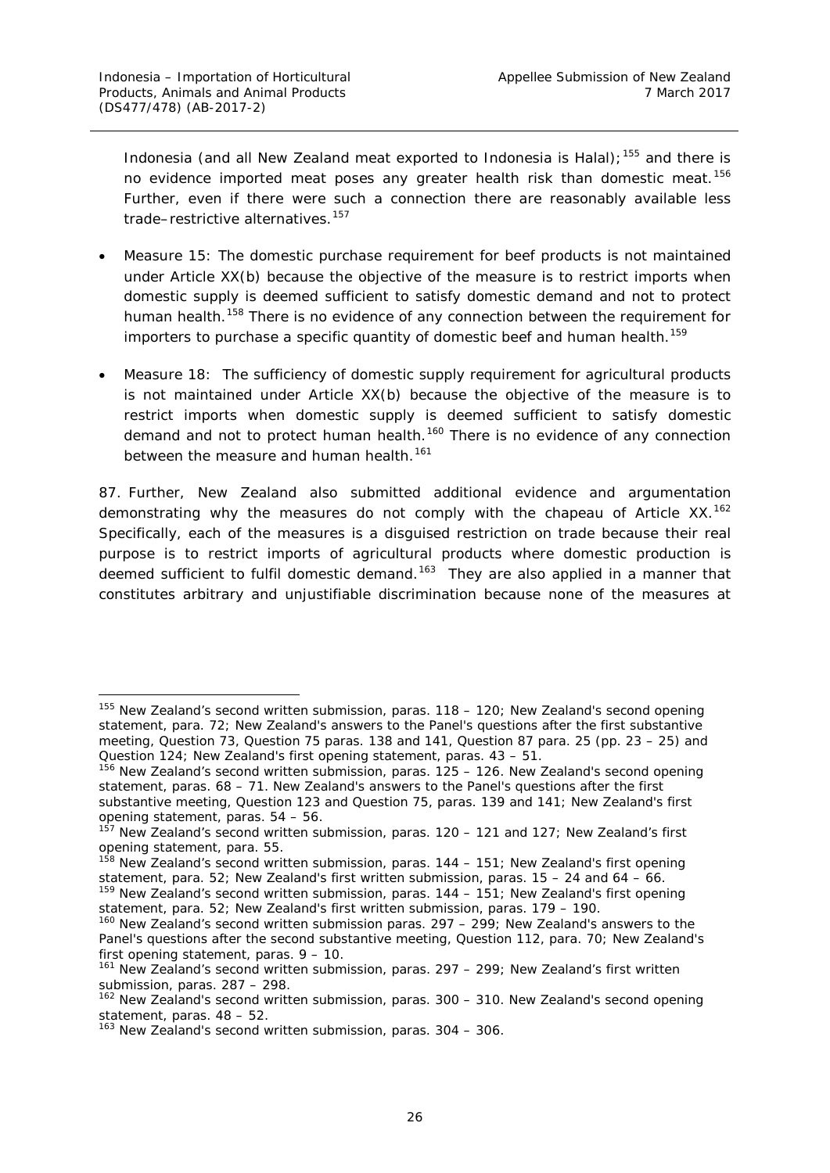Indonesia (and all New Zealand meat exported to Indonesia is Halal);  $155$  and there is no evidence imported meat poses any greater health risk than domestic meat.<sup>[156](#page-32-1)</sup> Further, even if there were such a connection there are reasonably available less trade–restrictive alternatives.<sup>[157](#page-32-2)</sup>

- Measure 15: The domestic purchase requirement for beef products is not maintained under Article XX(b) because the objective of the measure is to restrict imports when domestic supply is deemed sufficient to satisfy domestic demand and not to protect human health.<sup>[158](#page-32-3)</sup> There is no evidence of any connection between the requirement for importers to purchase a specific quantity of domestic beef and human health.<sup>[159](#page-32-4)</sup>
- Measure 18: The sufficiency of domestic supply requirement for agricultural products is not maintained under Article XX(b) because the objective of the measure is to restrict imports when domestic supply is deemed sufficient to satisfy domestic demand and not to protect human health.<sup>[160](#page-32-5)</sup> There is no evidence of any connection between the measure and human health.<sup>[161](#page-32-6)</sup>

87. Further, New Zealand also submitted additional evidence and argumentation demonstrating why the measures do not comply with the *chapeau* of Article XX.<sup>[162](#page-32-7)</sup> Specifically, each of the measures is a disguised restriction on trade because their real purpose is to restrict imports of agricultural products where domestic production is deemed sufficient to fulfil domestic demand.<sup>[163](#page-32-8)</sup> They are also applied in a manner that constitutes arbitrary and unjustifiable discrimination because none of the measures at

<span id="page-32-0"></span><sup>&</sup>lt;sup>155</sup> New Zealand's second written submission, paras. 118 - 120; New Zealand's second opening statement, para. 72; New Zealand's answers to the Panel's questions after the first substantive meeting, Question 73, Question 75 paras. 138 and 141, Question 87 para. 25 (pp. 23 – 25) and Question 124; New Zealand's first opening statement, paras. 43 – 51.

<span id="page-32-1"></span><sup>&</sup>lt;sup>156</sup> New Zealand's second written submission, paras. 125 – 126. New Zealand's second opening statement, paras. 68 – 71. New Zealand's answers to the Panel's questions after the first substantive meeting, Question 123 and Question 75, paras. 139 and 141; New Zealand's first opening statement, paras. 54 – 56.

<span id="page-32-2"></span> $157$  New Zealand's second written submission, paras. 120 – 121 and 127; New Zealand's first opening statement, para. 55.

<span id="page-32-3"></span> $^{58}$  New Zealand's second written submission, paras. 144 – 151; New Zealand's first opening statement, para. 52; New Zealand's first written submission, paras.  $15 - 24$  and  $64 - 66$ .

<span id="page-32-4"></span> $159$  New Zealand's second written submission, paras.  $144 - 151$ ; New Zealand's first opening statement, para. 52; New Zealand's first written submission, paras. 179 – 190.

<span id="page-32-5"></span> $160$  New Zealand's second written submission paras. 297 – 299; New Zealand's answers to the Panel's questions after the second substantive meeting, Question 112, para. 70; New Zealand's first opening statement, paras. 9 – 10.

<span id="page-32-6"></span> $161$  New Zealand's second written submission, paras. 297 – 299; New Zealand's first written submission, paras. 287 – 298.

<span id="page-32-7"></span><sup>&</sup>lt;sup>162</sup> New Zealand's second written submission, paras. 300 - 310. New Zealand's second opening statement, paras. 48 – 52.

<span id="page-32-8"></span><sup>&</sup>lt;sup>163</sup> New Zealand's second written submission, paras. 304 - 306.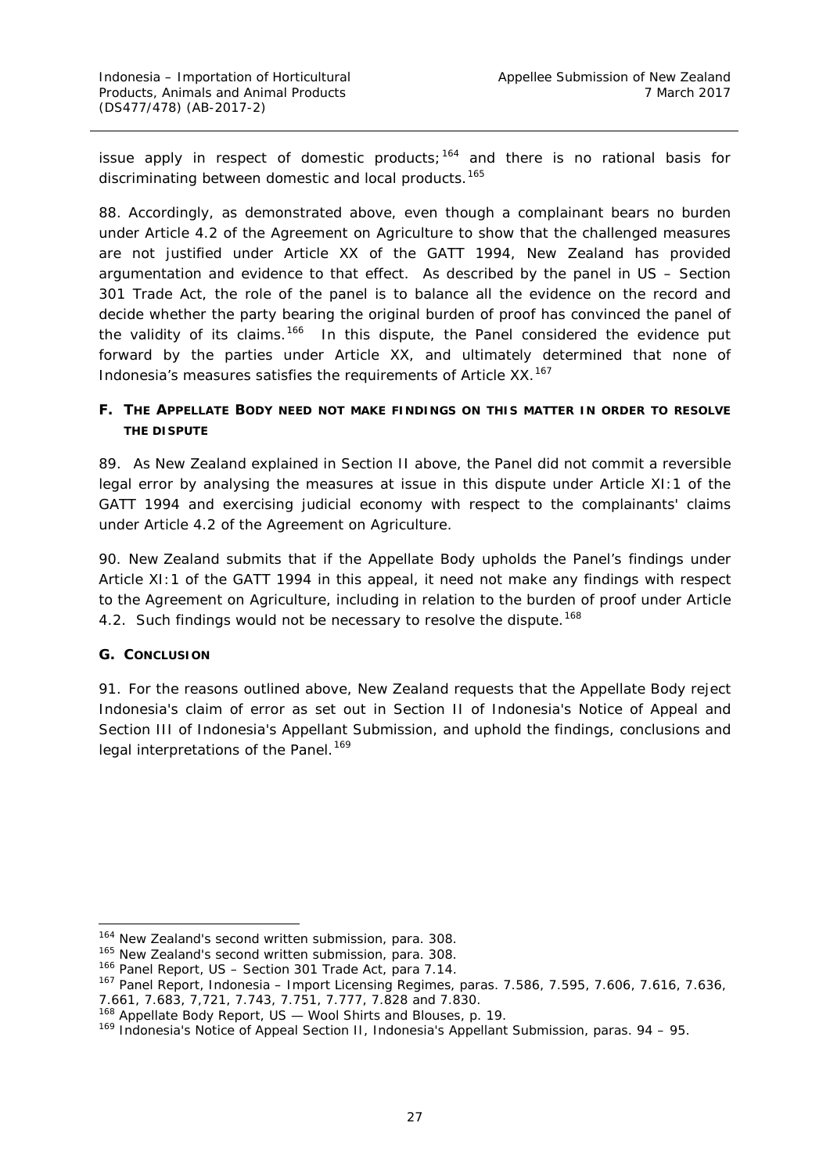issue apply in respect of domestic products;<sup>[164](#page-33-2)</sup> and there is no rational basis for discriminating between domestic and local products.<sup>[165](#page-33-3)</sup>

88. Accordingly, as demonstrated above, even though a complainant bears no burden under Article 4.2 of the Agreement on Agriculture to show that the challenged measures are not justified under Article XX of the GATT 1994, New Zealand has provided argumentation and evidence to that effect. As described by the panel in *US – Section 301 Trade Act*, the role of the panel is to balance all the evidence on the record and decide whether the party bearing the original burden of proof has convinced the panel of the validity of its claims.<sup>[166](#page-33-4)</sup> In this dispute, the Panel considered the evidence put forward by the parties under Article XX, and ultimately determined that none of Indonesia's measures satisfies the requirements of Article XX.<sup>[167](#page-33-5)</sup>

## <span id="page-33-0"></span>**F. THE APPELLATE BODY NEED NOT MAKE FINDINGS ON THIS MATTER IN ORDER TO RESOLVE THE DISPUTE**

89. As New Zealand explained in Section II above, the Panel did not commit a reversible legal error by analysing the measures at issue in this dispute under Article XI:1 of the GATT 1994 and exercising judicial economy with respect to the complainants' claims under Article 4.2 of the Agreement on Agriculture.

90. New Zealand submits that if the Appellate Body upholds the Panel's findings under Article XI:1 of the GATT 1994 in this appeal, it need not make any findings with respect to the Agreement on Agriculture, including in relation to the burden of proof under Article 4.2. Such findings would not be necessary to resolve the dispute.<sup>[168](#page-33-6)</sup>

### <span id="page-33-1"></span>**G. CONCLUSION**

91. For the reasons outlined above, New Zealand requests that the Appellate Body reject Indonesia's claim of error as set out in Section II of Indonesia's Notice of Appeal and Section III of Indonesia's Appellant Submission, and uphold the findings, conclusions and legal interpretations of the Panel.<sup>[169](#page-33-7)</sup>

<span id="page-33-2"></span><sup>&</sup>lt;sup>164</sup> New Zealand's second written submission, para. 308.

<span id="page-33-3"></span><sup>&</sup>lt;sup>165</sup> New Zealand's second written submission, para. 308.

<span id="page-33-4"></span><sup>166</sup> Panel Report, *US – Section 301 Trade Act*, para 7.14.

<span id="page-33-5"></span><sup>167</sup> Panel Report, *Indonesia – Import Licensing Regimes,* paras. 7.586, 7.595, 7.606, 7.616, 7.636, 7.661, 7.683, 7,721, 7.743, 7.751, 7.777, 7.828 and 7.830.

<span id="page-33-6"></span><sup>168</sup> Appellate Body Report, *US — Wool Shirts and Blouses*, p. 19.

<span id="page-33-7"></span><sup>&</sup>lt;sup>169</sup> Indonesia's Notice of Appeal Section II, Indonesia's Appellant Submission, paras. 94 – 95.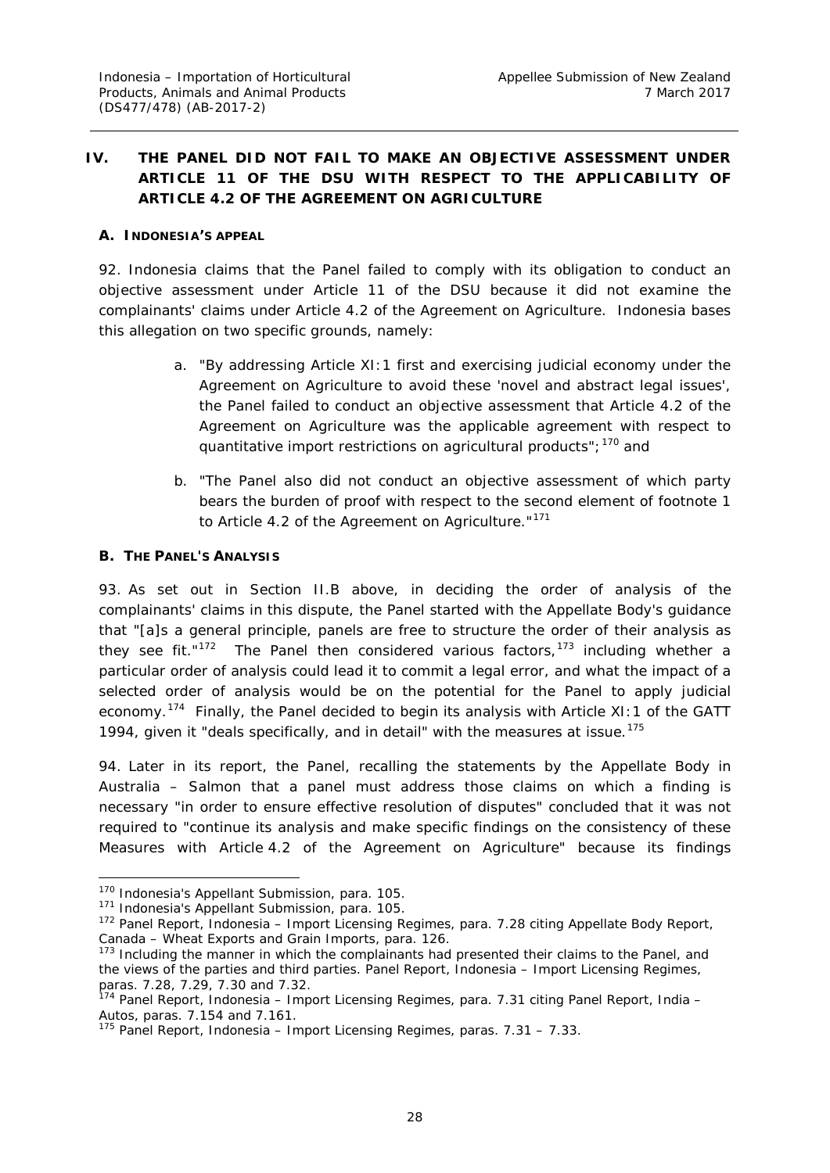# <span id="page-34-0"></span>**IV. THE PANEL DID NOT FAIL TO MAKE AN OBJECTIVE ASSESSMENT UNDER ARTICLE 11 OF THE DSU WITH RESPECT TO THE APPLICABILITY OF ARTICLE 4.2 OF THE AGREEMENT ON AGRICULTURE**

#### <span id="page-34-1"></span>**A. INDONESIA'S APPEAL**

92. Indonesia claims that the Panel failed to comply with its obligation to conduct an objective assessment under Article 11 of the DSU because it did not examine the complainants' claims under Article 4.2 of the Agreement on Agriculture. Indonesia bases this allegation on two specific grounds, namely:

- a. "By addressing Article XI:1 first and exercising judicial economy under the Agreement on Agriculture to avoid these 'novel and abstract legal issues', the Panel failed to conduct an objective assessment that Article 4.2 of the Agreement on Agriculture was the applicable agreement with respect to quantitative import restrictions on agricultural products": <sup>[170](#page-34-3)</sup> and
- b. "The Panel also did not conduct an objective assessment of which party bears the burden of proof with respect to the second element of footnote 1 to Article 4.2 of the Agreement on Agriculture."<sup>[171](#page-34-4)</sup>

#### <span id="page-34-2"></span>**B. THE PANEL'S ANALYSIS**

93. As set out in Section II.B above, in deciding the order of analysis of the complainants' claims in this dispute, the Panel started with the Appellate Body's guidance that "[a]s a general principle, panels are free to structure the order of their analysis as they see fit." $172$  The Panel then considered various factors,  $173$  including whether a particular order of analysis could lead it to commit a legal error, and what the impact of a selected order of analysis would be on the potential for the Panel to apply judicial economy.<sup>174</sup> Finally, the Panel decided to begin its analysis with Article XI:1 of the GATT 1994, given it "deals specifically, and in detail" with the measures at issue.<sup>[175](#page-34-8)</sup>

94. Later in its report, the Panel, recalling the statements by the Appellate Body in *Australia – Salmon* that a panel must address those claims on which a finding is necessary "in order to ensure effective resolution of disputes" concluded that it was not required to "continue its analysis and make specific findings on the consistency of these Measures with Article 4.2 of the Agreement on Agriculture" because its findings

<span id="page-34-3"></span><sup>170</sup> Indonesia's Appellant Submission, para. 105.

<span id="page-34-4"></span><sup>&</sup>lt;sup>171</sup> Indonesia's Appellant Submission, para. 105.

<span id="page-34-5"></span><sup>172</sup> Panel Report, *Indonesia – Import Licensing Regimes*, para. 7.28 citing Appellate Body Report, *Canada – Wheat Exports and Grain Imports*, para. 126.

<span id="page-34-6"></span><sup>&</sup>lt;sup>173</sup> Including the manner in which the complainants had presented their claims to the Panel, and the views of the parties and third parties. Panel Report, *Indonesia – Import Licensing Regimes*, paras. 7.28, 7.29, 7.30 and 7.32.

<span id="page-34-7"></span><sup>174</sup> Panel Report, *Indonesia – Import Licensing Regimes*, para. 7.31 citing Panel Report, *India – Autos*, paras. 7.154 and 7.161.

<span id="page-34-8"></span><sup>175</sup> Panel Report, *Indonesia – Import Licensing Regimes*, paras. 7.31 – 7.33.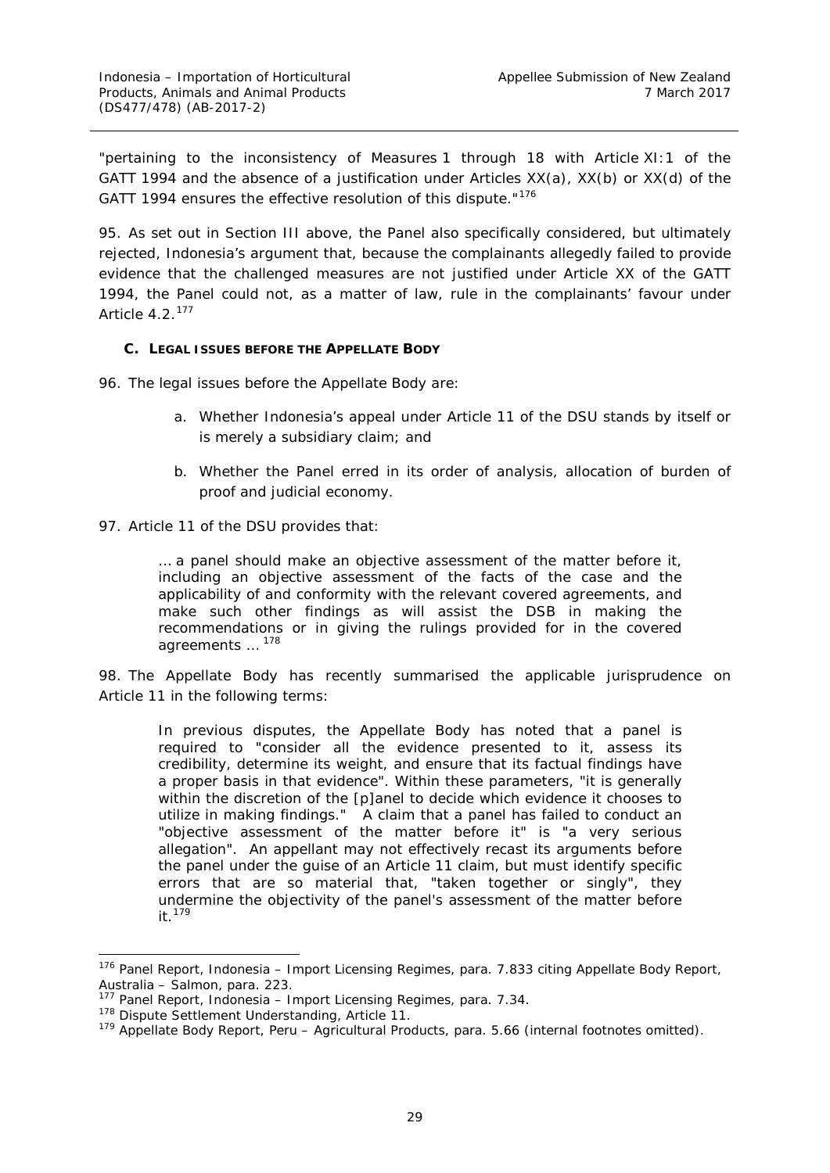"pertaining to the inconsistency of Measures 1 through 18 with Article XI:1 of the GATT 1994 and the absence of a justification under Articles  $XX(a)$ ,  $XX(b)$  or  $XX(d)$  of the GATT 1994 ensures the effective resolution of this dispute."<sup>[176](#page-35-1)</sup>

95. As set out in Section III above, the Panel also specifically considered, but ultimately rejected, Indonesia's argument that, because the complainants allegedly failed to provide evidence that the challenged measures are not justified under Article XX of the GATT 1994, the Panel could not, as a matter of law, rule in the complainants' favour under Article 4.2.[177](#page-35-2)

#### <span id="page-35-0"></span>**C. LEGAL ISSUES BEFORE THE APPELLATE BODY**

96. The legal issues before the Appellate Body are:

- a. Whether Indonesia's appeal under Article 11 of the DSU stands by itself or is merely a subsidiary claim; and
- b. Whether the Panel erred in its order of analysis, allocation of burden of proof and judicial economy.
- 97. Article 11 of the DSU provides that:

… a panel should make an objective assessment of the matter before it, including an objective assessment of the facts of the case and the applicability of and conformity with the relevant covered agreements, and make such other findings as will assist the DSB in making the recommendations or in giving the rulings provided for in the covered agreements ... <sup>[178](#page-35-3)</sup>

98. The Appellate Body has recently summarised the applicable jurisprudence on Article 11 in the following terms:

In previous disputes, the Appellate Body has noted that a panel is required to "consider all the evidence presented to it, assess its credibility, determine its weight, and ensure that its factual findings have a proper basis in that evidence". Within these parameters, "it is generally within the discretion of the [p]anel to decide which evidence it chooses to utilize in making findings." A claim that a panel has failed to conduct an "objective assessment of the matter before it" is "a very serious allegation". An appellant may not effectively recast its arguments before the panel under the guise of an Article 11 claim, but must identify specific errors that are so material that, "taken together or singly", they undermine the objectivity of the panel's assessment of the matter before it.[179](#page-35-4)

<span id="page-35-1"></span> <sup>176</sup> Panel Report, *Indonesia – Import Licensing Regimes*, para. 7.833 citing Appellate Body Report, *Australia – Salmon*, para. 223.

<sup>177</sup> Panel Report, *Indonesia – Import Licensing Regimes*, para. 7.34.

<span id="page-35-3"></span><span id="page-35-2"></span><sup>&</sup>lt;sup>178</sup> Dispute Settlement Understanding, Article 11.

<span id="page-35-4"></span><sup>179</sup> Appellate Body Report, *Peru – Agricultural Products*, para. 5.66 (internal footnotes omitted).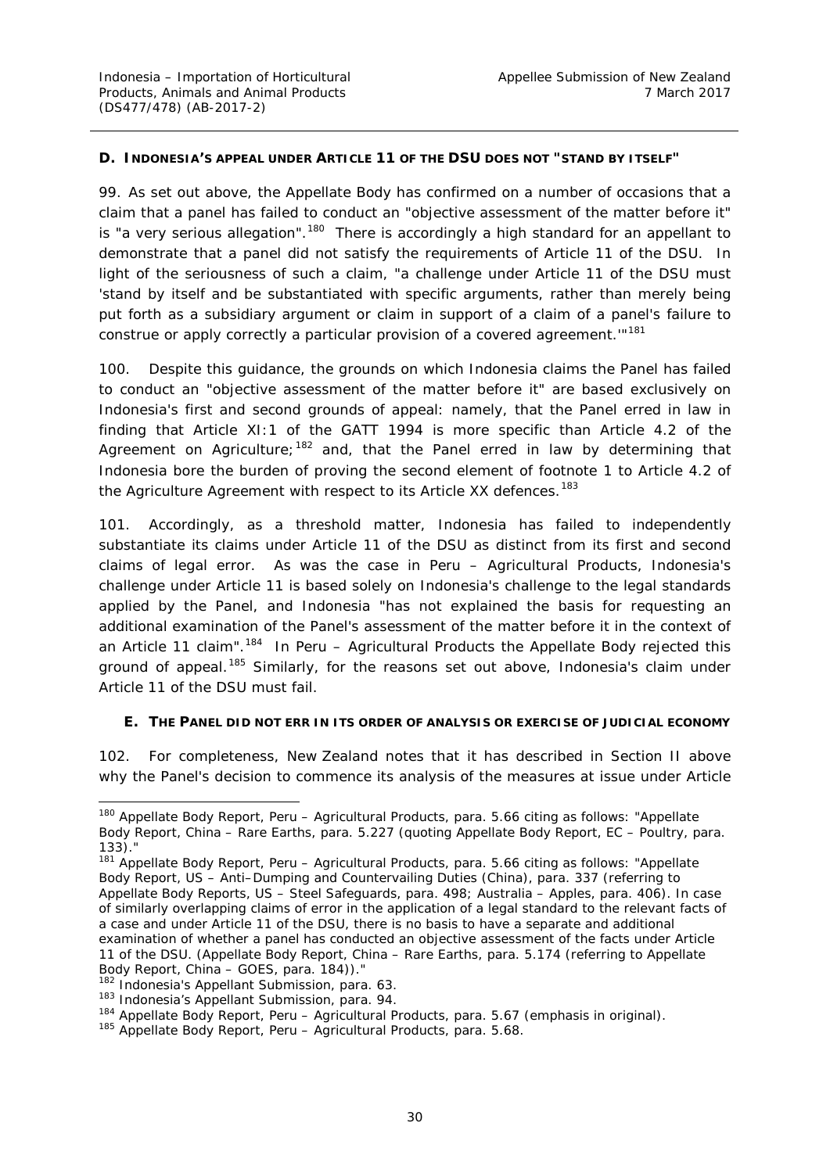#### <span id="page-36-0"></span>**D. INDONESIA'S APPEAL UNDER ARTICLE 11 OF THE DSU DOES NOT "STAND BY ITSELF"**

99. As set out above, the Appellate Body has confirmed on a number of occasions that a claim that a panel has failed to conduct an "objective assessment of the matter before it" is "a very serious allegation".<sup>180</sup> There is accordingly a high standard for an appellant to demonstrate that a panel did not satisfy the requirements of Article 11 of the DSU. In light of the seriousness of such a claim, "a challenge under Article 11 of the DSU must 'stand by itself and be substantiated with specific arguments, rather than merely being put forth as a subsidiary argument or claim in support of a claim of a panel's failure to construe or apply correctly a particular provision of a covered agreement.'"[181](#page-36-3)

100. Despite this guidance, the grounds on which Indonesia claims the Panel has failed to conduct an "objective assessment of the matter before it" are based exclusively on Indonesia's first and second grounds of appeal: namely, that the Panel erred in law in finding that Article XI:1 of the GATT 1994 is more specific than Article 4.2 of the Agreement on Agriculture;<sup>[182](#page-36-4)</sup> and, that the Panel erred in law by determining that Indonesia bore the burden of proving the second element of footnote 1 to Article 4.2 of the Agriculture Agreement with respect to its Article XX defences.<sup>[183](#page-36-5)</sup>

101. Accordingly, as a threshold matter, Indonesia has failed to independently substantiate its claims under Article 11 of the DSU as distinct from its first and second claims of legal error. As was the case in *Peru – Agricultural Products*, Indonesia's challenge under Article 11 is based solely on Indonesia's challenge to the legal standards applied by the Panel, and Indonesia "has not explained the basis for requesting an *additional* examination of the Panel's assessment of the matter before it in the context of an Article 11 claim". [184](#page-36-6) In *Peru – Agricultural Products* the Appellate Body rejected this ground of appeal.<sup>[185](#page-36-7)</sup> Similarly, for the reasons set out above, Indonesia's claim under Article 11 of the DSU must fail.

#### <span id="page-36-1"></span>**E. THE PANEL DID NOT ERR IN ITS ORDER OF ANALYSIS OR EXERCISE OF JUDICIAL ECONOMY**

102. For completeness, New Zealand notes that it has described in Section II above why the Panel's decision to commence its analysis of the measures at issue under Article

<span id="page-36-2"></span> <sup>180</sup> Appellate Body Report, *Peru – Agricultural Products*, para. 5.66 citing as follows: "Appellate Body Report, *China – Rare Earths*, para. 5.227 (quoting Appellate Body Report, *EC – Poultry*, para. 133)."

<span id="page-36-3"></span><sup>181</sup> Appellate Body Report, *Peru – Agricultural Products*, para. 5.66 citing as follows: "Appellate Body Report, *US – Anti–Dumping and Countervailing Duties (China)*, para. 337 (referring to Appellate Body Reports, *US – Steel Safeguards*, para. 498; *Australia – Apples*, para. 406). In case of similarly overlapping claims of error in the application of a legal standard to the relevant facts of a case and under Article 11 of the DSU, there is no basis to have a separate and additional examination of whether a panel has conducted an objective assessment of the facts under Article 11 of the DSU. (Appellate Body Report, *China – Rare Earths*, para. 5.174 (referring to Appellate Body Report, *China – GOES*, para. 184))."

<span id="page-36-4"></span><sup>&</sup>lt;sup>182</sup> Indonesia's Appellant Submission, para. 63.

<span id="page-36-5"></span><sup>183</sup> Indonesia's Appellant Submission, para. 94.

<span id="page-36-6"></span><sup>184</sup> Appellate Body Report, *Peru – Agricultural Products*, para. 5.67 (emphasis in original).

<span id="page-36-7"></span><sup>185</sup> Appellate Body Report, *Peru – Agricultural Products*, para. 5.68.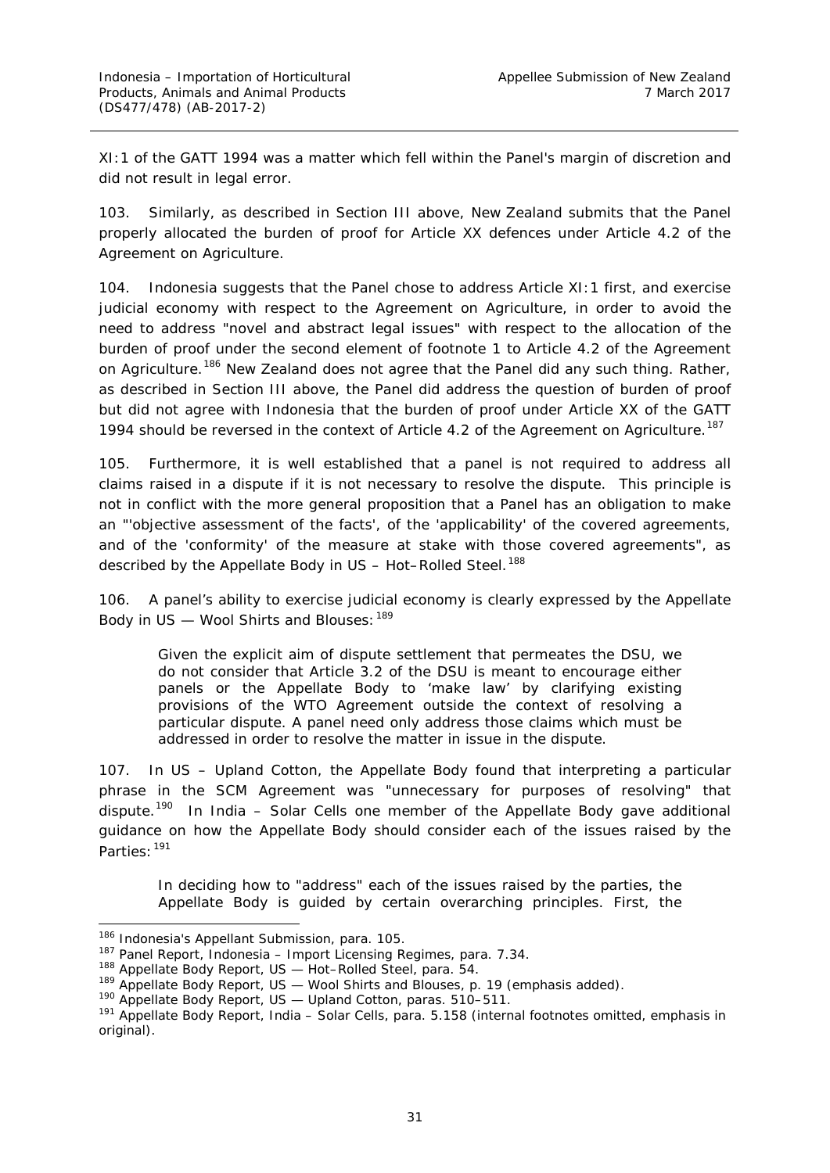XI:1 of the GATT 1994 was a matter which fell within the Panel's margin of discretion and did not result in legal error.

103. Similarly, as described in Section III above, New Zealand submits that the Panel properly allocated the burden of proof for Article XX defences under Article 4.2 of the Agreement on Agriculture.

104. Indonesia suggests that the Panel chose to address Article XI:1 first, and exercise judicial economy with respect to the Agreement on Agriculture, in order to avoid the need to address "novel and abstract legal issues" with respect to the allocation of the burden of proof under the second element of footnote 1 to Article 4.2 of the Agreement on Agriculture.<sup>[186](#page-37-0)</sup> New Zealand does not agree that the Panel did any such thing. Rather, as described in Section III above, the Panel did address the question of burden of proof but did not agree with Indonesia that the burden of proof under Article XX of the GATT 1994 should be reversed in the context of Article 4.2 of the Agreement on Agriculture.<sup>[187](#page-37-1)</sup>

105. Furthermore, it is well established that a panel is not required to address all claims raised in a dispute if it is not necessary to resolve the dispute. This principle is not in conflict with the more general proposition that a Panel has an obligation to make an "'objective assessment of the facts', of the 'applicability' of the covered agreements, and of the 'conformity' of the measure at stake with those covered agreements", as described by the Appellate Body in *US – Hot–Rolled Steel*. [188](#page-37-2)

106. A panel's ability to exercise judicial economy is clearly expressed by the Appellate Body in *US — Wool Shirts and Blouses*:[189](#page-37-3)

Given the explicit aim of dispute settlement that permeates the DSU, we do not consider that Article 3.2 of the DSU is meant to encourage either panels or the Appellate Body to 'make law' by clarifying existing provisions of the WTO Agreement outside the context of resolving a particular dispute. *A panel need only address those claims which must be addressed in order to resolve the matter in issue in the dispute.*

107. In *US – Upland Cotton*, the Appellate Body found that interpreting a particular phrase in the SCM Agreement was "unnecessary for purposes of resolving" that dispute.[190](#page-37-4) In *India – Solar Cells* one member of the Appellate Body gave additional guidance on how the Appellate Body should consider each of the issues raised by the Parties: [191](#page-37-5)

In deciding *how* to "address" each of the issues raised by the parties, the Appellate Body is guided by certain overarching principles. First, the

<span id="page-37-0"></span><sup>186</sup> Indonesia's Appellant Submission, para. 105.

<span id="page-37-1"></span><sup>187</sup> Panel Report, *Indonesia – Import Licensing Regimes*, para. 7.34.

<sup>188</sup> Appellate Body Report, *US — Hot–Rolled Steel*, para. 54.

<span id="page-37-3"></span><span id="page-37-2"></span><sup>189</sup> Appellate Body Report, *US — Wool Shirts and Blouses*, p. 19 (emphasis added).

<sup>190</sup> Appellate Body Report, *US — Upland Cotton*, paras. 510–511.

<span id="page-37-5"></span><span id="page-37-4"></span><sup>191</sup> Appellate Body Report, *India – Solar Cells*, para. 5.158 (internal footnotes omitted, emphasis in original).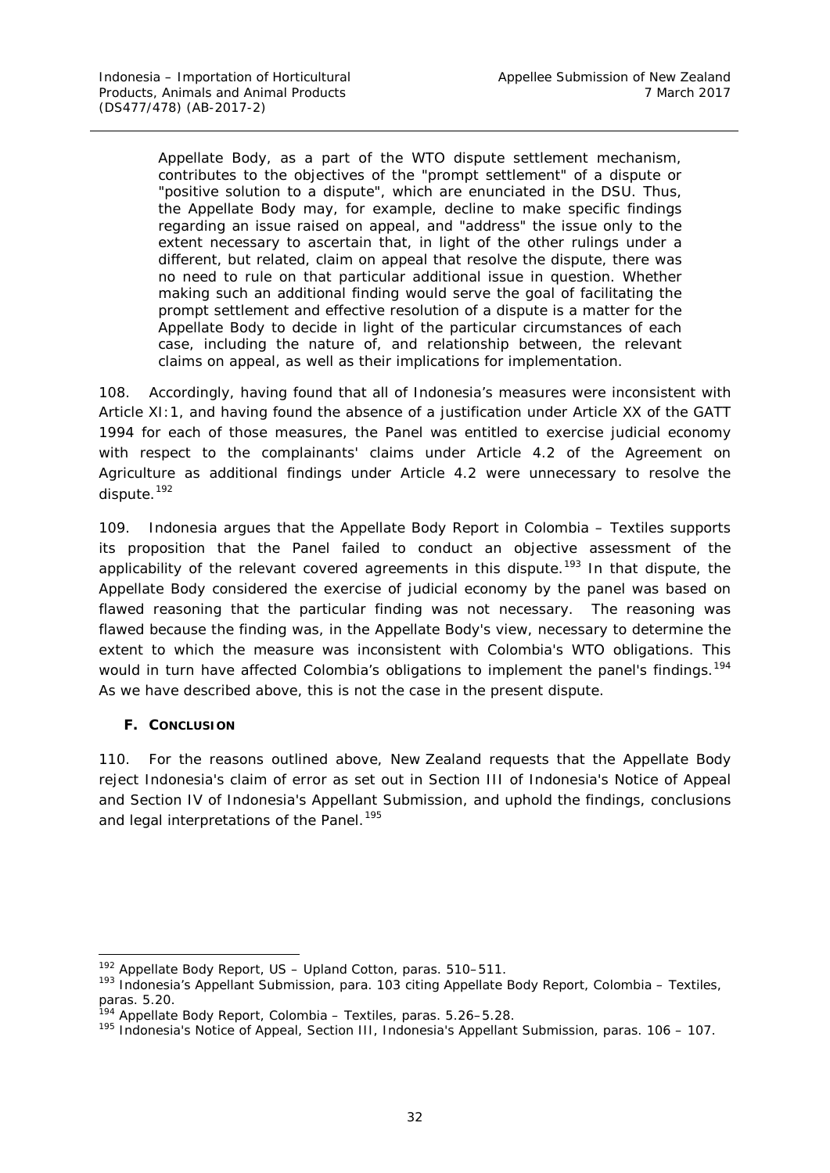Appellate Body, as a part of the WTO dispute settlement mechanism, contributes to the objectives of the "prompt settlement" of a dispute or "positive solution to a dispute", which are enunciated in the DSU. Thus, the Appellate Body may, for example, decline to make specific findings regarding an issue raised on appeal, and "address" the issue only to the extent necessary to ascertain that, in light of the other rulings under a different, but related, claim on appeal that resolve the dispute, there was no need to rule on that particular additional issue in question. Whether making such an additional finding would serve the goal of facilitating the prompt settlement and effective resolution of a dispute is a matter for the Appellate Body to decide in light of the particular circumstances of each case, including the nature of, and relationship between, the relevant claims on appeal, as well as their implications for implementation.

108. Accordingly, having found that all of Indonesia's measures were inconsistent with Article XI:1, and having found the absence of a justification under Article XX of the GATT 1994 for each of those measures, the Panel was entitled to exercise judicial economy with respect to the complainants' claims under Article 4.2 of the Agreement on Agriculture as additional findings under Article 4.2 were unnecessary to resolve the dispute. [192](#page-38-1)

109. Indonesia argues that the Appellate Body Report in *Colombia – Textiles* supports its proposition that the Panel failed to conduct an objective assessment of the applicability of the relevant covered agreements in this dispute.<sup>[193](#page-38-2)</sup> In that dispute, the Appellate Body considered the exercise of judicial economy by the panel was based on flawed reasoning that the particular finding was not necessary. The reasoning was flawed because the finding was, in the Appellate Body's view, necessary to determine the extent to which the measure was inconsistent with Colombia's WTO obligations. This would in turn have affected Colombia's obligations to implement the panel's findings.<sup>[194](#page-38-3)</sup> As we have described above, this is not the case in the present dispute.

### <span id="page-38-0"></span>**F. CONCLUSION**

110. For the reasons outlined above, New Zealand requests that the Appellate Body reject Indonesia's claim of error as set out in Section III of Indonesia's Notice of Appeal and Section IV of Indonesia's Appellant Submission, and uphold the findings, conclusions and legal interpretations of the Panel.<sup>[195](#page-38-4)</sup>

<span id="page-38-1"></span> <sup>192</sup> Appellate Body Report, *US – Upland Cotton*, paras. 510–511.

<span id="page-38-2"></span><sup>193</sup> Indonesia's Appellant Submission, para. 103 citing Appellate Body Report, *Colombia – Textiles*, paras. 5.20.

<sup>194</sup> Appellate Body Report, *Colombia – Textiles*, paras. 5.26–5.28.

<span id="page-38-4"></span><span id="page-38-3"></span><sup>&</sup>lt;sup>195</sup> Indonesia's Notice of Appeal, Section III, Indonesia's Appellant Submission, paras. 106 – 107.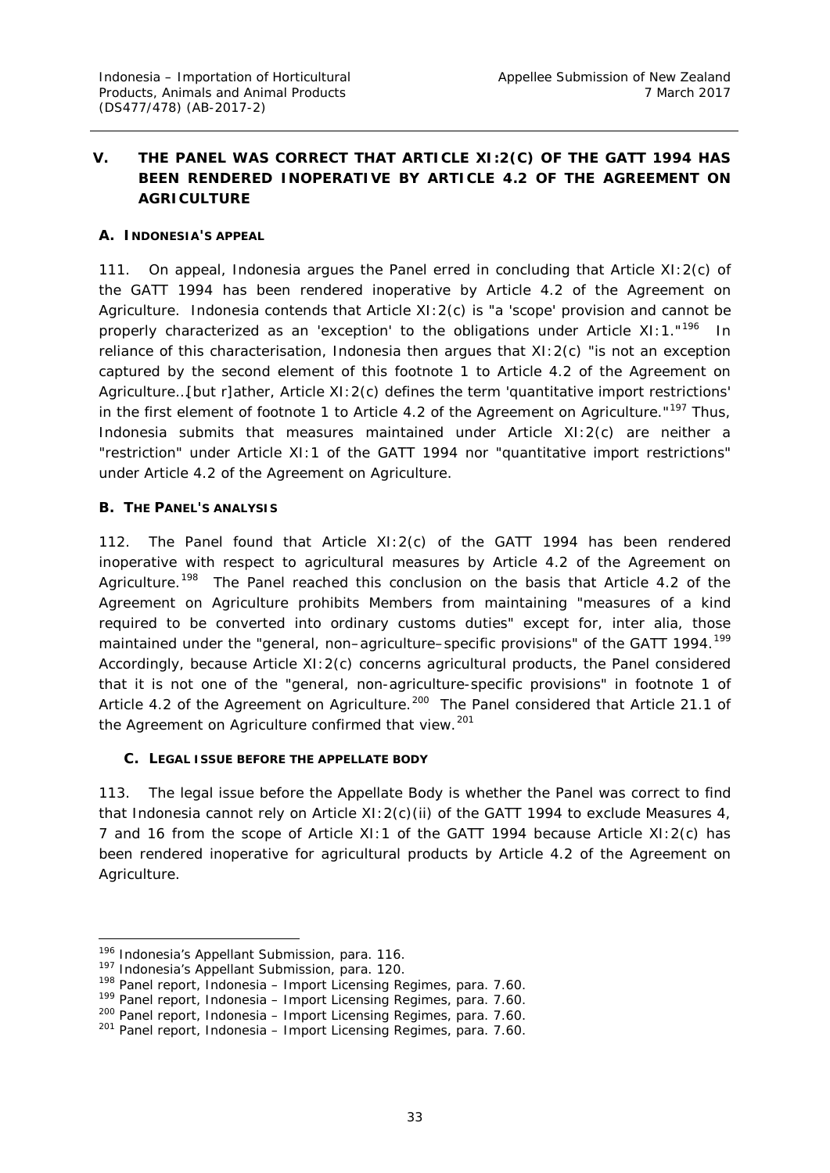# <span id="page-39-0"></span>**V. THE PANEL WAS CORRECT THAT ARTICLE XI:2(C) OF THE GATT 1994 HAS BEEN RENDERED INOPERATIVE BY ARTICLE 4.2 OF THE AGREEMENT ON AGRICULTURE**

### <span id="page-39-1"></span>**A. INDONESIA'S APPEAL**

111. On appeal, Indonesia argues the Panel erred in concluding that Article XI:2(c) of the GATT 1994 has been rendered inoperative by Article 4.2 of the Agreement on Agriculture. Indonesia contends that Article XI:2(c) is "a 'scope' provision and cannot be properly characterized as an 'exception' to the obligations under Article XI: 1."<sup>196</sup> In reliance of this characterisation, Indonesia then argues that XI:2(c) "is not an exception captured by the second element of this footnote 1 to Article 4.2 of the Agreement on Agriculture…[but r]ather, Article XI:2(c) defines the term 'quantitative import restrictions' in the first element of footnote 1 to Article 4.2 of the Agreement on Agriculture."<sup>[197](#page-39-5)</sup> Thus, Indonesia submits that measures maintained under Article XI:2(c) are neither a "restriction" under Article XI:1 of the GATT 1994 nor "quantitative import restrictions" under Article 4.2 of the Agreement on Agriculture.

#### <span id="page-39-2"></span>**B. THE PANEL'S ANALYSIS**

112. The Panel found that Article XI:2(c) of the GATT 1994 has been rendered inoperative with respect to agricultural measures by Article 4.2 of the Agreement on Agriculture.<sup>[198](#page-39-6)</sup> The Panel reached this conclusion on the basis that Article 4.2 of the Agreement on Agriculture prohibits Members from maintaining "measures of a kind required to be converted into ordinary customs duties" except for, *inter alia*, those maintained under the "general, non–agriculture–specific provisions" of the GATT [199](#page-39-7)4.<sup>199</sup> Accordingly, because Article XI:2(c) concerns agricultural products, the Panel considered that it is not one of the "general, non-agriculture-specific provisions" in footnote 1 of Article 4.2 of the Agreement on Agriculture.<sup>200</sup> The Panel considered that Article 21.1 of the Agreement on Agriculture confirmed that view.<sup>[201](#page-39-9)</sup>

### <span id="page-39-3"></span>**C. LEGAL ISSUE BEFORE THE APPELLATE BODY**

113. The legal issue before the Appellate Body is whether the Panel was correct to find that Indonesia cannot rely on Article XI:2(c)(ii) of the GATT 1994 to exclude Measures 4, 7 and 16 from the scope of Article XI:1 of the GATT 1994 because Article XI:2(c) has been rendered inoperative for agricultural products by Article 4.2 of the Agreement on Agriculture.

<span id="page-39-4"></span><sup>196</sup> Indonesia's Appellant Submission, para. 116.

<span id="page-39-5"></span><sup>197</sup> Indonesia's Appellant Submission, para. 120.

<span id="page-39-6"></span><sup>198</sup> Panel report, *Indonesia – Import Licensing Regimes*, para. 7.60.

<span id="page-39-7"></span><sup>199</sup> Panel report, *Indonesia – Import Licensing Regimes*, para. 7.60.

<span id="page-39-8"></span><sup>200</sup> Panel report, *Indonesia – Import Licensing Regimes*, para. 7.60.

<span id="page-39-9"></span><sup>201</sup> Panel report, *Indonesia – Import Licensing Regimes*, para. 7.60.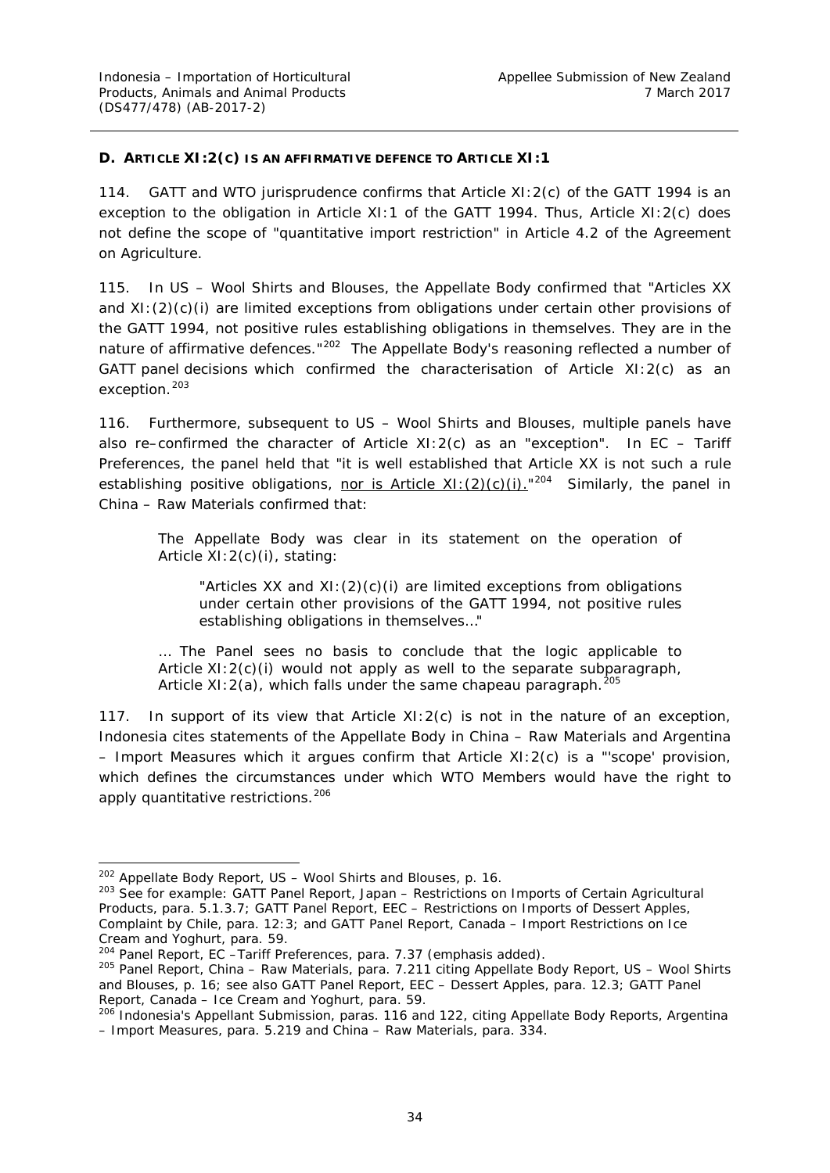#### <span id="page-40-0"></span>**D. ARTICLE XI:2(C) IS AN AFFIRMATIVE DEFENCE TO ARTICLE XI:1**

114. GATT and WTO jurisprudence confirms that Article XI:2(c) of the GATT 1994 is an *exception* to the obligation in Article XI:1 of the GATT 1994. Thus, Article XI:2(c) does not define the scope of "quantitative import restriction" in Article 4.2 of the Agreement on Agriculture.

115. In *US – Wool Shirts and Blouses*, the Appellate Body confirmed that "Articles XX and XI:(2)(c)(i) are limited exceptions from obligations under certain other provisions of the GATT 1994, not positive rules establishing obligations in themselves. They are in the nature of affirmative defences."<sup>[202](#page-40-1)</sup> The Appellate Body's reasoning reflected a number of GATT panel decisions which confirmed the characterisation of Article XI:2(c) as an exception.<sup>[203](#page-40-2)</sup>

116. Furthermore, subsequent to *US – Wool Shirts and Blouses*, multiple panels have also re–confirmed the character of Article XI:2(c) as an "exception". In *EC – Tariff Preferences*, the panel held that "it is well established that Article XX is not such a rule establishing positive obligations, nor is Article XI:  $(2)(c)(i)$ ."<sup>[204](#page-40-3)</sup> Similarly, the panel in *China – Raw Materials* confirmed that:

The Appellate Body was clear in its statement on the operation of Article XI:2(c)(i), stating:

"Articles XX and XI:(2)(c)(i) are limited exceptions from obligations under certain other provisions of the GATT 1994, not positive rules establishing obligations in themselves…"

… The Panel sees no basis to conclude that the logic applicable to Article  $XI:2(c)(i)$  would not apply as well to the separate subparagraph, Article XI:  $2(a)$ , which falls under the same chapeau paragraph.<sup>[205](#page-40-4)</sup>

117. In support of its view that Article  $XI:2(c)$  is not in the nature of an exception, Indonesia cites statements of the Appellate Body in *China – Raw Materials* and *Argentina – Import Measure*s which it argues confirm that Article XI:2(c) is a "'scope' provision, which defines the circumstances under which WTO Members would have the right to apply quantitative restrictions.<sup>[206](#page-40-5)</sup>

 <sup>202</sup> Appellate Body Report, *US – Wool Shirts and Blouses*, p. 16.

<span id="page-40-2"></span><span id="page-40-1"></span><sup>203</sup> See for example: GATT Panel Report, *Japan – Restrictions on Imports of Certain Agricultural Products*, para. 5.1.3.7; GATT Panel Report, *EEC – Restrictions on Imports of Dessert Apples*, *Complaint by Chile*, para. 12:3; and GATT Panel Report, *Canada – Import Restrictions on Ice Cream and Yoghurt*, para. 59.

<span id="page-40-3"></span><sup>204</sup> Panel Report, *EC –Tariff Preferences*, para. 7.37 (emphasis added).

<span id="page-40-4"></span><sup>205</sup> Panel Report, *China – Raw Materials*, para. 7.211 citing Appellate Body Report, *US – Wool Shirts and Blouses*, p. 16; see also GATT Panel Report, *EEC – Dessert Apples*, para. 12.3; GATT Panel Report, *Canada – Ice Cream and Yoghurt*, para. 59.

<span id="page-40-5"></span><sup>206</sup> Indonesia's Appellant Submission, paras. 116 and 122, citing Appellate Body Reports, *Argentina – Import Measures*, para. 5.219 and *China – Raw Materials*, para. 334.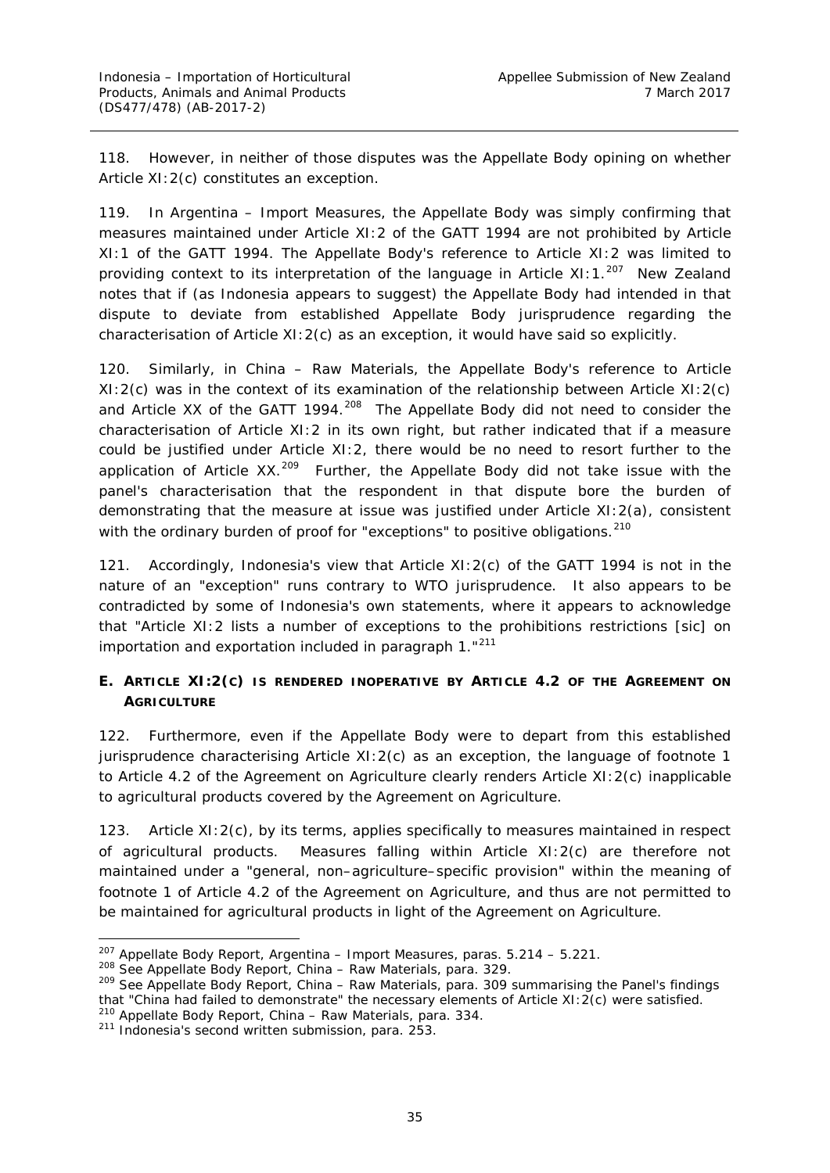118. However, in neither of those disputes was the Appellate Body opining on whether Article XI:2(c) constitutes an exception.

119. In *Argentina – Import Measures,* the Appellate Body was simply confirming that measures maintained under Article XI:2 of the GATT 1994 are not prohibited by Article XI:1 of the GATT 1994. The Appellate Body's reference to Article XI:2 was limited to providing context to its interpretation of the language in Article XI:1.<sup>[207](#page-41-1)</sup> New Zealand notes that if (as Indonesia appears to suggest) the Appellate Body had intended in that dispute to deviate from established Appellate Body jurisprudence regarding the characterisation of Article XI:2(c) as an exception, it would have said so explicitly.

120. Similarly, in *China – Raw Materials*, the Appellate Body's reference to Article XI:2(c) was in the context of its examination of the relationship between Article XI:2(c) and Article XX of the GATT 1994.<sup>208</sup> The Appellate Body did not need to consider the characterisation of Article XI:2 in its own right, but rather indicated that if a measure could be justified under Article XI:2, there would be no need to resort further to the application of Article  $XX$ <sup>[209](#page-41-3)</sup> Further, the Appellate Body did not take issue with the panel's characterisation that the respondent in that dispute bore the burden of demonstrating that the measure at issue was justified under Article XI:2(a), consistent with the ordinary burden of proof for "exceptions" to positive obligations.<sup>[210](#page-41-4)</sup>

121. Accordingly, Indonesia's view that Article XI:2(c) of the GATT 1994 is not in the nature of an "exception" runs contrary to WTO jurisprudence. It also appears to be contradicted by some of Indonesia's own statements, where it appears to acknowledge that "Article XI:2 lists a number of exceptions to the prohibitions restrictions [sic] on importation and exportation included in paragraph 1."[211](#page-41-5)

# <span id="page-41-0"></span>**E. ARTICLE XI:2(C) IS RENDERED INOPERATIVE BY ARTICLE 4.2 OF THE AGREEMENT ON AGRICULTURE**

122. Furthermore, even if the Appellate Body were to depart from this established jurisprudence characterising Article XI:2(c) as an exception, the language of footnote 1 to Article 4.2 of the Agreement on Agriculture clearly renders Article XI:2(c) inapplicable to agricultural products covered by the Agreement on Agriculture.

123. Article XI:2(c), by its terms, applies specifically to measures maintained in respect of agricultural products. Measures falling within Article XI:2(c) are therefore not maintained under a "general, non–agriculture–specific provision" within the meaning of footnote 1 of Article 4.2 of the Agreement on Agriculture, and thus are not permitted to be maintained for agricultural products in light of the Agreement on Agriculture.

<span id="page-41-2"></span><span id="page-41-1"></span> <sup>207</sup> Appellate Body Report, *Argentina – Import Measures*, paras. 5.214 – 5.221.

<sup>208</sup> See Appellate Body Report, *China – Raw Materials,* para. 329.

<span id="page-41-3"></span><sup>209</sup> See Appellate Body Report, *China – Raw Materials,* para. 309 summarising the Panel's findings that "China had failed to demonstrate" the necessary elements of Article XI:2(c) were satisfied. <sup>210</sup> Appellate Body Report, *China – Raw Materials*, para. 334.

<span id="page-41-5"></span><span id="page-41-4"></span><sup>&</sup>lt;sup>211</sup> Indonesia's second written submission, para. 253.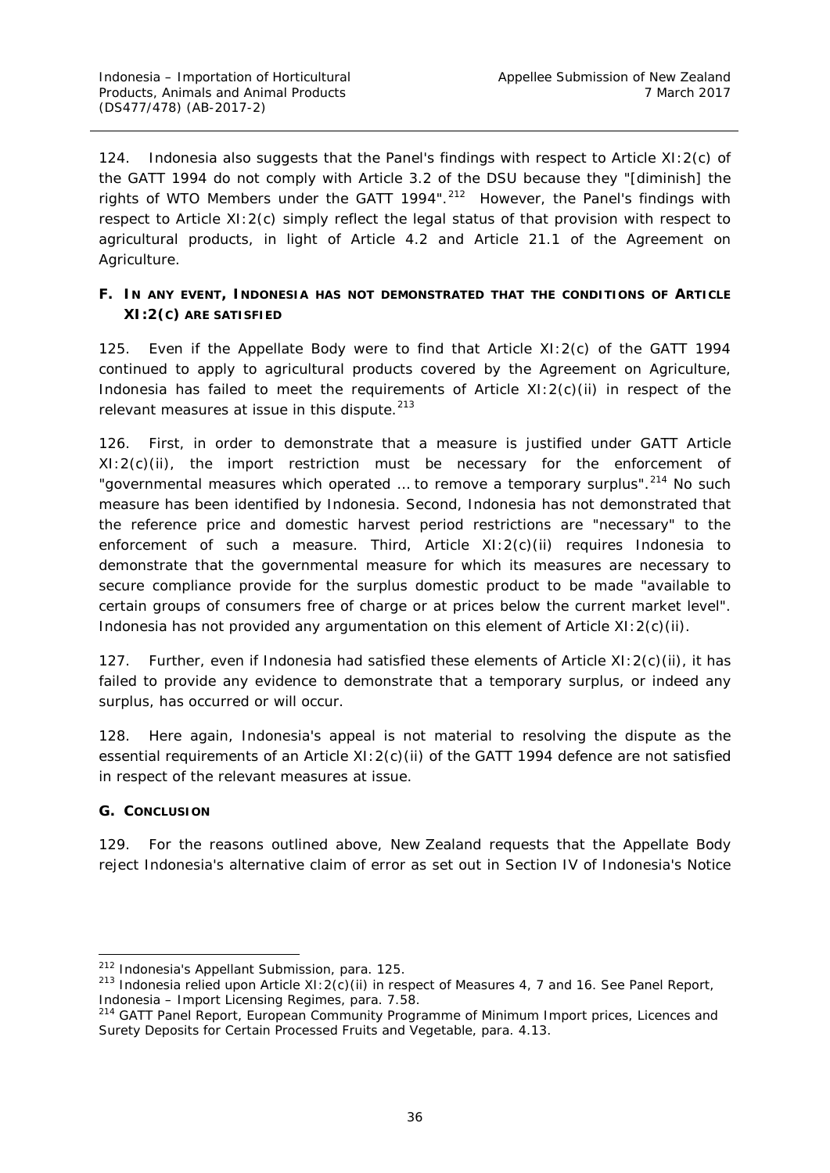124. Indonesia also suggests that the Panel's findings with respect to Article XI:2(c) of the GATT 1994 do not comply with Article 3.2 of the DSU because they "[diminish] the rights of WTO Members under the GATT 1994".<sup>212</sup> However, the Panel's findings with respect to Article XI:2(c) simply reflect the legal status of that provision with respect to agricultural products, in light of Article 4.2 and Article 21.1 of the Agreement on Agriculture.

## <span id="page-42-0"></span>**F. IN ANY EVENT, INDONESIA HAS NOT DEMONSTRATED THAT THE CONDITIONS OF ARTICLE XI:2(C) ARE SATISFIED**

125. Even if the Appellate Body were to find that Article XI:2(c) of the GATT 1994 continued to apply to agricultural products covered by the Agreement on Agriculture, Indonesia has failed to meet the requirements of Article XI:2(c)(ii) in respect of the relevant measures at issue in this dispute.<sup>[213](#page-42-3)</sup>

126. First, in order to demonstrate that a measure is justified under GATT Article XI:2(c)(ii), the import restriction must be necessary for the enforcement of "governmental measures which operated ... to remove a temporary surplus".<sup>[214](#page-42-4)</sup> No such measure has been identified by Indonesia. Second, Indonesia has not demonstrated that the reference price and domestic harvest period restrictions are "necessary" to the enforcement of such a measure. Third, Article XI:2(c)(ii) requires Indonesia to demonstrate that the governmental measure for which its measures are necessary to secure compliance provide for the surplus domestic product to be made "available to certain groups of consumers free of charge or at prices below the current market level". Indonesia has not provided any argumentation on this element of Article XI:2(c)(ii).

127. Further, even if Indonesia had satisfied these elements of Article XI:2(c)(ii), it has failed to provide any evidence to demonstrate that a temporary surplus, or indeed any surplus, has occurred or will occur.

128. Here again, Indonesia's appeal is not material to resolving the dispute as the essential requirements of an Article XI: 2(c)(ii) of the GATT 1994 defence are not satisfied in respect of the relevant measures at issue.

### <span id="page-42-1"></span>**G. CONCLUSION**

129. For the reasons outlined above, New Zealand requests that the Appellate Body reject Indonesia's alternative claim of error as set out in Section IV of Indonesia's Notice

<span id="page-42-2"></span> <sup>212</sup> Indonesia's Appellant Submission, para. 125.

<span id="page-42-3"></span><sup>&</sup>lt;sup>213</sup> Indonesia relied upon Article XI:  $2(c)$  (ii) in respect of Measures 4, 7 and 16. See Panel Report, *Indonesia – Import Licensing Regimes*, para. 7.58.<br><sup>214</sup> GATT Panel Report, *European Community Programme of Minimum Import prices, Licences and* 

<span id="page-42-4"></span>*Surety Deposits for Certain Processed Fruits and Vegetable*, para. 4.13.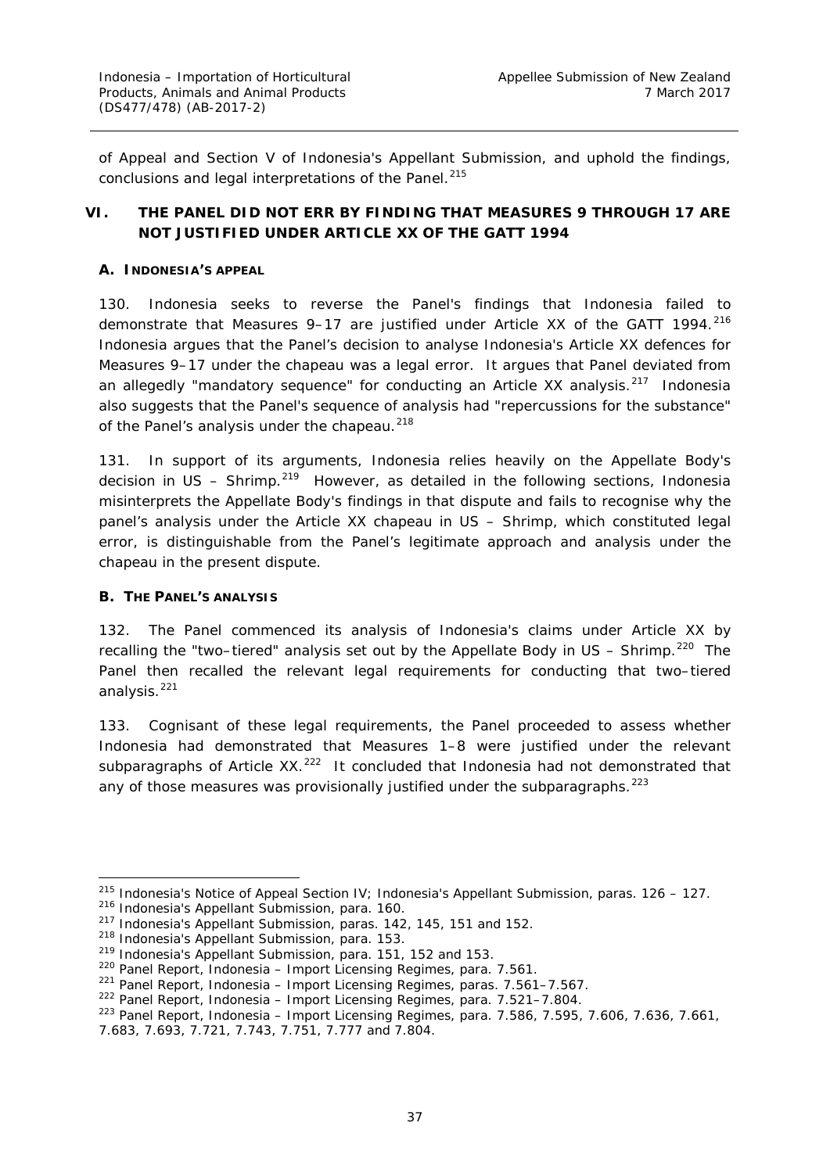of Appeal and Section V of Indonesia's Appellant Submission, and uphold the findings, conclusions and legal interpretations of the Panel.<sup>[215](#page-43-3)</sup>

# <span id="page-43-0"></span>**VI. THE PANEL DID NOT ERR BY FINDING THAT MEASURES 9 THROUGH 17 ARE NOT JUSTIFIED UNDER ARTICLE XX OF THE GATT 1994**

#### <span id="page-43-1"></span>**A. INDONESIA'S APPEAL**

130. Indonesia seeks to reverse the Panel's findings that Indonesia failed to demonstrate that Measures 9-17 are justified under Article XX of the GATT 1994.<sup>[216](#page-43-4)</sup> Indonesia argues that the Panel's decision to analyse Indonesia's Article XX defences for Measures 9–17 under the *chapeau* was a legal error. It argues that Panel deviated from an allegedly "mandatory sequence" for conducting an Article XX analysis.<sup>[217](#page-43-5)</sup> Indonesia also suggests that the Panel's sequence of analysis had "repercussions for the substance" of the Panel's analysis under the *chapeau*. [218](#page-43-6)

131. In support of its arguments, Indonesia relies heavily on the Appellate Body's decision in *US – Shrimp*. [219](#page-43-7)However, as detailed in the following sections, Indonesia misinterprets the Appellate Body's findings in that dispute and fails to recognise why the panel's analysis under the Article XX *chapeau* in *US – Shrimp*, which constituted legal error, is distinguishable from the Panel's legitimate approach and analysis under the *chapeau* in the present dispute.

#### <span id="page-43-2"></span>**B. THE PANEL'S ANALYSIS**

132. The Panel commenced its analysis of Indonesia's claims under Article XX by recalling the "two–tiered" analysis set out by the Appellate Body in *US – Shrimp*. [220](#page-43-8) The Panel then recalled the relevant legal requirements for conducting that two–tiered analysis. $^{221}$  $^{221}$  $^{221}$ 

133. Cognisant of these legal requirements, the Panel proceeded to assess whether Indonesia had demonstrated that Measures 1–8 were justified under the relevant subparagraphs of Article XX.<sup>222</sup> It concluded that Indonesia had not demonstrated that any of those measures was provisionally justified under the subparagraphs.<sup>[223](#page-43-11)</sup>

<span id="page-43-3"></span><sup>&</sup>lt;sup>215</sup> Indonesia's Notice of Appeal Section IV; Indonesia's Appellant Submission, paras. 126 - 127.

<span id="page-43-4"></span><sup>216</sup> Indonesia's Appellant Submission, para. 160.

<span id="page-43-5"></span><sup>217</sup> Indonesia's Appellant Submission, paras. 142, 145, 151 and 152.

<span id="page-43-6"></span><sup>218</sup> Indonesia's Appellant Submission, para. 153.

<span id="page-43-8"></span><span id="page-43-7"></span><sup>219</sup> Indonesia's Appellant Submission, para. 151, 152 and 153.

<sup>220</sup> Panel Report, *Indonesia – Import Licensing Regimes*, para. 7.561.

<sup>221</sup> Panel Report, *Indonesia – Import Licensing Regimes*, paras. 7.561–7.567.

<span id="page-43-10"></span><span id="page-43-9"></span><sup>222</sup> Panel Report, *Indonesia – Import Licensing Regimes*, para. 7.521–7.804.

<span id="page-43-11"></span><sup>223</sup> Panel Report, *Indonesia – Import Licensing Regimes*, para. 7.586, 7.595, 7.606, 7.636, 7.661,

<sup>7.683, 7.693, 7.721, 7.743, 7.751, 7.777</sup> and 7.804.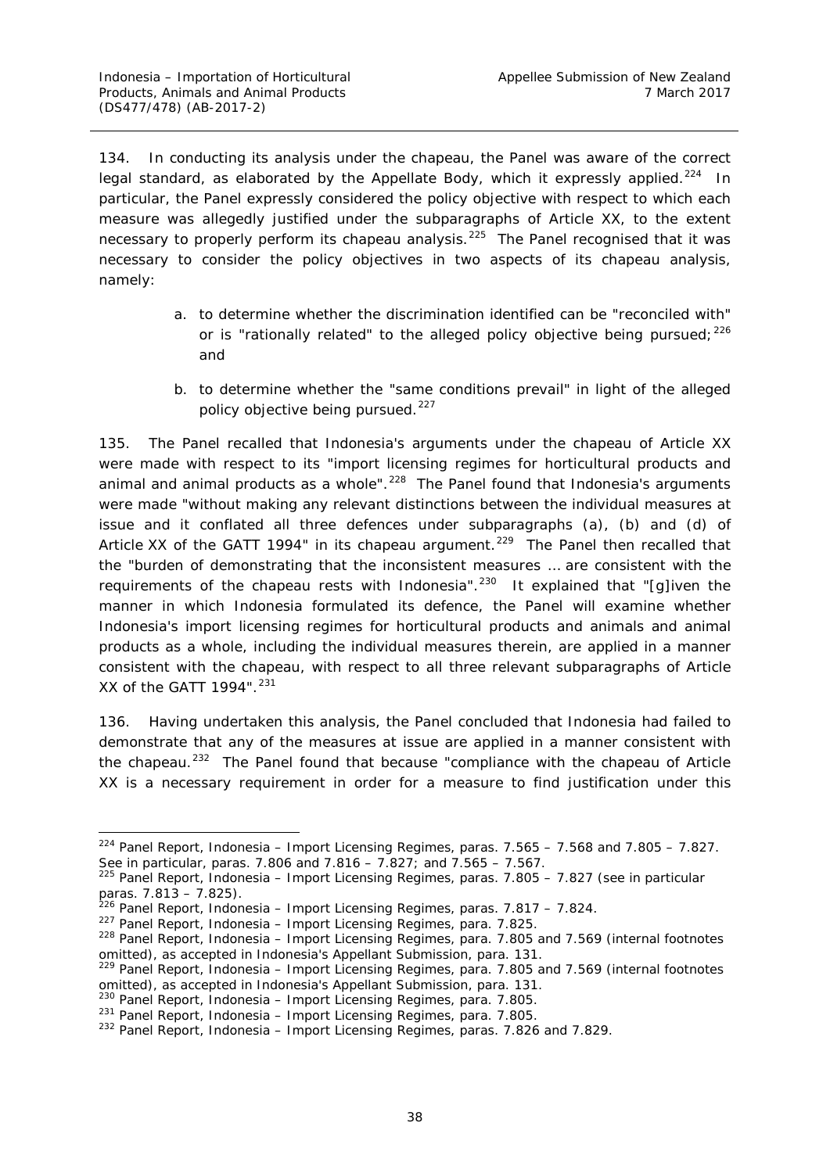134. In conducting its analysis under the *chapeau*, the Panel was aware of the correct legal standard, as elaborated by the Appellate Body, which it expressly applied.<sup>[224](#page-44-0)</sup> In particular, the Panel expressly considered the policy objective with respect to which each measure was allegedly justified under the subparagraphs of Article XX, to the extent necessary to properly perform its *chapeau* analysis. [225](#page-44-1) The Panel recognised that it was necessary to consider the policy objectives in two aspects of its *chapeau* analysis, namely:

- a. to determine whether the discrimination identified can be "reconciled with" or is "rationally related" to the alleged policy objective being pursued;  $226$ and
- b. to determine whether the "same conditions prevail" in light of the alleged policy objective being pursued.<sup>[227](#page-44-3)</sup>

135. The Panel recalled that Indonesia's arguments under the *chapeau* of Article XX were made with respect to its "import licensing regimes for horticultural products and animal and animal products as a whole".<sup>[228](#page-44-4)</sup> The Panel found that Indonesia's arguments were made "without making any relevant distinctions between the individual measures at issue and it conflated all three defences under subparagraphs (a), (b) and (d) of Article XX of the GATT 1994" in its *chapeau* argument.<sup>229</sup> The Panel then recalled that the "burden of demonstrating that the inconsistent measures … are consistent with the requirements of the *chapeau* rests with Indonesia". [230](#page-44-6) It explained that "[g]iven the manner in which Indonesia formulated its defence, the Panel will examine whether Indonesia's import licensing regimes for horticultural products and animals and animal products as a whole, including the individual measures therein, are applied in a manner consistent with the *chapeau*, with respect to all three relevant subparagraphs of Article XX of the GATT 1994".<sup>[231](#page-44-7)</sup>

136. Having undertaken this analysis, the Panel concluded that Indonesia had failed to demonstrate that any of the measures at issue are applied in a manner consistent with the *chapeau*. [232](#page-44-8) The Panel found that because "compliance with the *chapeau* of Article XX is a necessary requirement in order for a measure to find justification under this

<span id="page-44-0"></span> <sup>224</sup> Panel Report, *Indonesia – Import Licensing Regimes*, paras. 7.565 – 7.568 and 7.805 – 7.827. See in particular, paras. 7.806 and 7.816 – 7.827; and 7.565 – 7.567.

<span id="page-44-1"></span><sup>225</sup> Panel Report, *Indonesia – Import Licensing Regimes*, paras. 7.805 – 7.827 (see in particular paras. 7.813 – 7.825).

<span id="page-44-2"></span><sup>226</sup> Panel Report, *Indonesia – Import Licensing Regimes*, paras. 7.817 – 7.824.

<sup>227</sup> Panel Report, *Indonesia – Import Licensing Regimes*, para. 7.825.

<span id="page-44-4"></span><span id="page-44-3"></span><sup>228</sup> Panel Report, *Indonesia – Import Licensing Regimes*, para. 7.805 and 7.569 (internal footnotes omitted), as accepted in Indonesia's Appellant Submission, para. 131.

<span id="page-44-5"></span><sup>229</sup> Panel Report, *Indonesia – Import Licensing Regimes*, para. 7.805 and 7.569 (internal footnotes omitted), as accepted in Indonesia's Appellant Submission, para. 131.

<span id="page-44-6"></span><sup>230</sup> Panel Report, *Indonesia – Import Licensing Regimes*, para. 7.805.

<span id="page-44-7"></span><sup>231</sup> Panel Report, *Indonesia – Import Licensing Regimes*, para. 7.805.

<span id="page-44-8"></span><sup>232</sup> Panel Report, *Indonesia – Import Licensing Regimes*, paras. 7.826 and 7.829.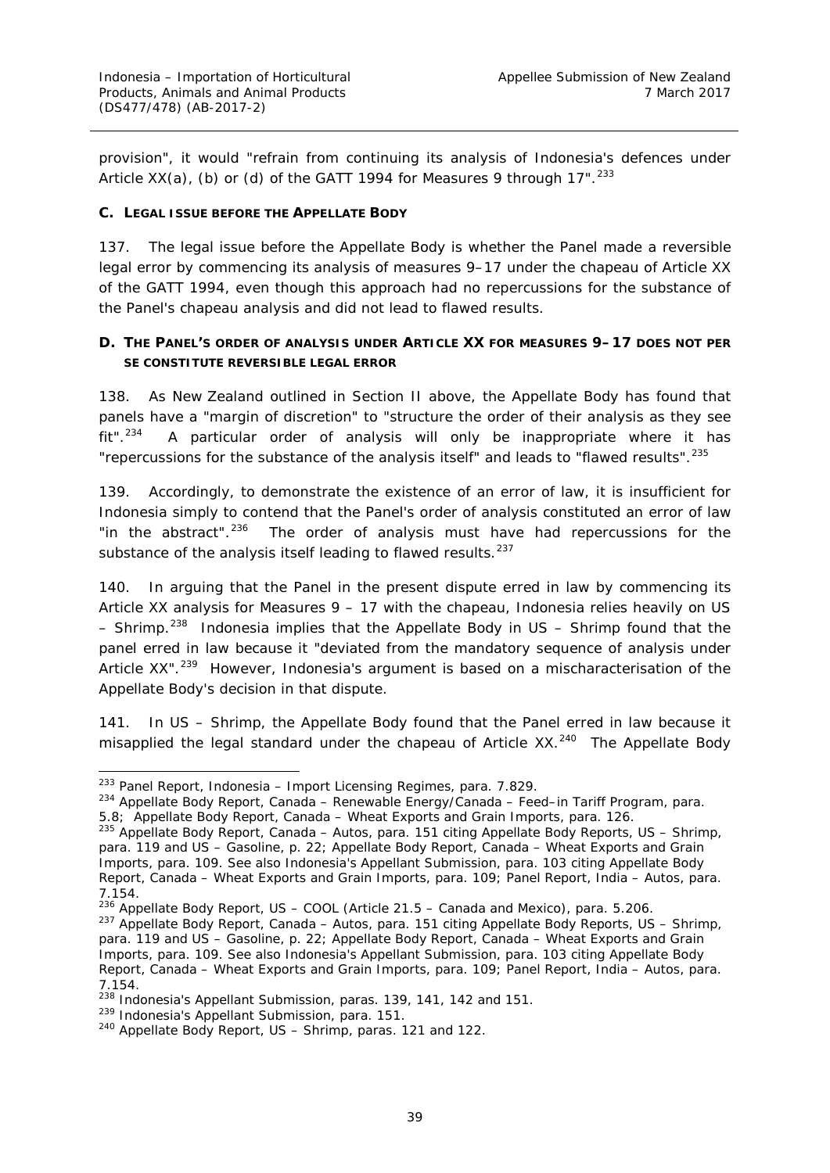provision", it would "refrain from continuing its analysis of Indonesia's defences under Article XX(a), (b) or (d) of the GATT 1994 for Measures 9 through 17". $^{233}$  $^{233}$  $^{233}$ 

#### <span id="page-45-0"></span>**C. LEGAL ISSUE BEFORE THE APPELLATE BODY**

137. The legal issue before the Appellate Body is whether the Panel made a reversible legal error by commencing its analysis of measures 9–17 under the *chapeau* of Article XX of the GATT 1994, even though this approach had no repercussions for the substance of the Panel's *chapeau* analysis and did not lead to flawed results.

# <span id="page-45-1"></span>**D. THE PANEL'S ORDER OF ANALYSIS UNDER ARTICLE XX FOR MEASURES 9–17 DOES NOT** *PER SE* **CONSTITUTE REVERSIBLE LEGAL ERROR**

138. As New Zealand outlined in Section II above, the Appellate Body has found that panels have a "margin of discretion" to "structure the order of their analysis as they see  $fit"$ <sup>234</sup> A particular order of analysis will only be inappropriate where it has "repercussions for the substance of the analysis itself" and leads to "flawed results".<sup>[235](#page-45-4)</sup>

139. Accordingly, to demonstrate the existence of an error of law, it is insufficient for Indonesia simply to contend that the Panel's order of analysis constituted an error of law "in the abstract".<sup>236</sup> The order of analysis must have had repercussions for the substance of the analysis itself leading to flawed results.<sup>[237](#page-45-6)</sup>

140. In arguing that the Panel in the present dispute erred in law by commencing its Article XX analysis for Measures 9 – 17 with the *chapeau*, Indonesia relies heavily on *US – Shrimp*. [238](#page-45-7) Indonesia implies that the Appellate Body in *US – Shrimp* found that the panel erred in law because it "deviated from the mandatory sequence of analysis under Article XX".<sup>239</sup> However, Indonesia's argument is based on a mischaracterisation of the Appellate Body's decision in that dispute.

141. In *US – Shrimp,* the Appellate Body found that the Panel erred in law because it *misapplied the legal standard under the chapeau* of Article XX.<sup>240</sup> The Appellate Body

<span id="page-45-2"></span> <sup>233</sup> Panel Report, *Indonesia – Import Licensing Regimes*, para. 7.829.

<span id="page-45-3"></span><sup>234</sup> Appellate Body Report, *Canada – Renewable Energy/Canada – Feed–in Tariff Program*, para. 5.8; Appellate Body Report, *Canada – Wheat Exports and Grain Imports*, para. 126.

<span id="page-45-4"></span><sup>235</sup> Appellate Body Report, *Canada – Autos*, para. 151 citing Appellate Body Reports, *US – Shrimp*, para. 119 and *US – Gasoline*, p. 22; Appellate Body Report, *Canada – Wheat Exports and Grain Imports*, para. 109. See also Indonesia's Appellant Submission, para. 103 citing Appellate Body Report, *Canada – Wheat Exports and Grain Imports*, para. 109; Panel Report, *India – Autos*, para. 7.154.

<span id="page-45-5"></span><sup>236</sup> Appellate Body Report, *US – COOL (Article 21.5 – Canada and Mexico),* para. 5.206.

<span id="page-45-6"></span><sup>237</sup> Appellate Body Report, *Canada – Autos*, para. 151 citing Appellate Body Reports, *US – Shrimp*, para. 119 and *US – Gasoline*, p. 22; Appellate Body Report, *Canada – Wheat Exports and Grain Imports*, para. 109. See also Indonesia's Appellant Submission, para. 103 citing Appellate Body Report, *Canada – Wheat Exports and Grain Imports*, para. 109; Panel Report, *India – Autos*, para. 7.154.

<span id="page-45-7"></span><sup>238</sup> Indonesia's Appellant Submission, paras. 139, 141, 142 and 151.

<span id="page-45-8"></span><sup>239</sup> Indonesia's Appellant Submission, para. 151.

<span id="page-45-9"></span><sup>240</sup> Appellate Body Report, *US – Shrimp*, paras. 121 and 122.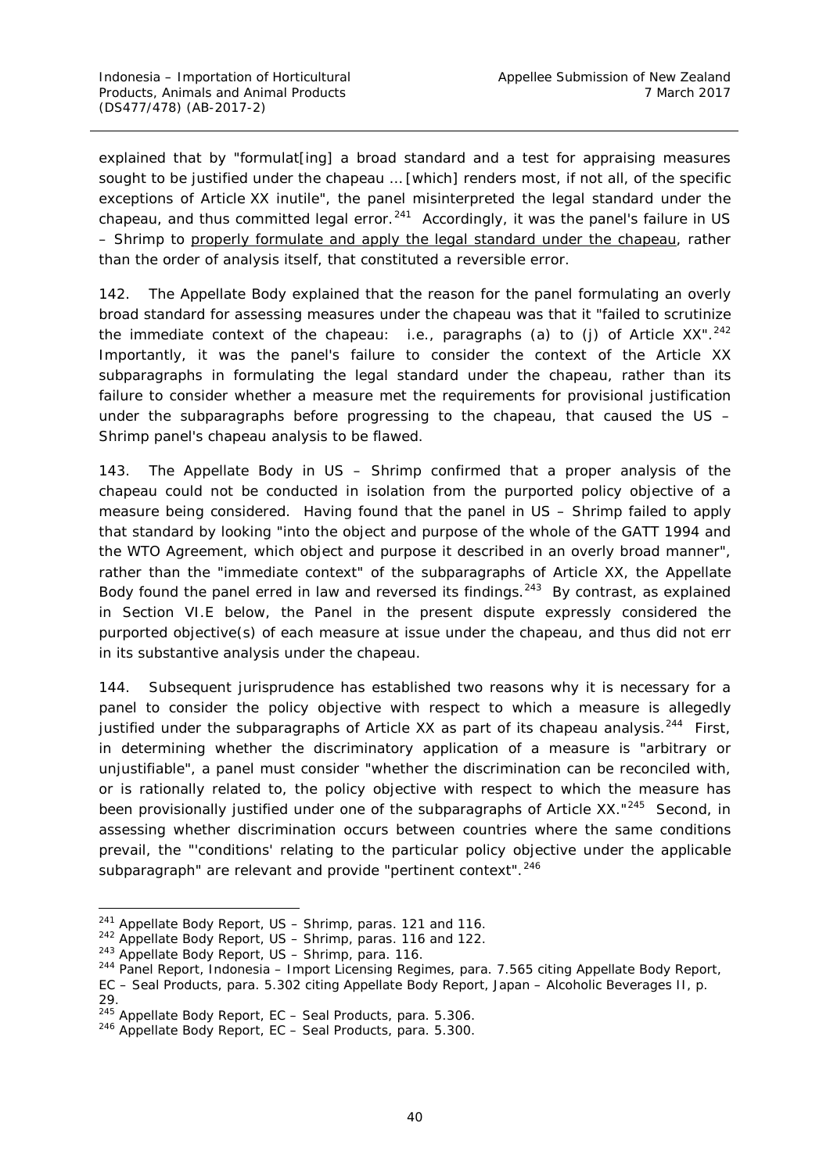explained that by "formulat[ing] a broad standard and a test for appraising measures sought to be justified under the *chapeau* … [which] renders most, if not all, of the specific exceptions of Article XX inutile", the panel misinterpreted the legal standard under the *chapeau*, and thus committed legal error.<sup>[241](#page-46-0)</sup> Accordingly, it was the panel's failure in US *– Shrimp* to properly formulate and apply the legal standard under the *chapeau*, rather than the order of analysis itself, that constituted a reversible error.

142. The Appellate Body explained that the reason for the panel formulating an overly broad standard for assessing measures under the *chapeau* was that it "failed to scrutinize the *immediate* context of the *chapeau*: i.e., paragraphs (a) to (j) of Article XX". [242](#page-46-1) Importantly, it was the panel's failure to consider the context of the Article XX subparagraphs in *formulating the legal standard under the chapeau*, rather than its failure to consider whether a measure met the requirements for provisional justification under the subparagraphs before progressing to the *chapeau*, that caused the *US – Shrimp* panel's *chapeau* analysis to be flawed.

143. The Appellate Body in *US – Shrimp* confirmed that a proper analysis of the *chapeau* could not be conducted in isolation from the purported policy objective of a measure being considered. Having found that the panel in *US – Shrimp* failed to apply that standard by looking "into the object and purpose of the *whole of the GATT 1994 and the WTO Agreement*, which object and purpose it described in an overly broad manner", rather than the "immediate context" of the subparagraphs of Article XX, the Appellate Body found the panel erred in law and reversed its findings.<sup>[243](#page-46-2)</sup> By contrast, as explained in Section VI.E below, the Panel in the present dispute expressly considered the purported objective(s) of each measure at issue under the *chapeau*, and thus did not err in its substantive analysis under the *chapeau*.

144. Subsequent jurisprudence has established two reasons why it is necessary for a panel to consider the policy objective with respect to which a measure is allegedly justified under the subparagraphs of Article XX as part of its *chapeau* analysis.<sup>244</sup> First, in determining whether the discriminatory application of a measure is "arbitrary or unjustifiable", a panel must consider "whether the discrimination can be reconciled with, or is rationally related to, the policy objective with respect to which the measure has been provisionally justified under one of the subparagraphs of Article XX."<sup>245</sup> Second, in assessing whether discrimination occurs between countries where the same conditions prevail, the "'conditions' relating to the particular policy objective under the applicable subparagraph" are relevant and provide "pertinent context".<sup>246</sup>

 <sup>241</sup> Appellate Body Report, *US – Shrimp*, paras. 121 and 116.

<span id="page-46-2"></span><span id="page-46-1"></span><span id="page-46-0"></span><sup>242</sup> Appellate Body Report, *US – Shrimp*, paras. 116 and 122.

<sup>243</sup> Appellate Body Report, *US – Shrimp*, para. 116.

<span id="page-46-3"></span><sup>244</sup> Panel Report, *Indonesia – Import Licensing Regimes*, para. 7.565 citing Appellate Body Report,

*EC – Seal Products*, para. 5.302 citing Appellate Body Report, *Japan – Alcoholic Beverages II*, p. 29.

<span id="page-46-4"></span><sup>245</sup> Appellate Body Report, *EC – Seal Products*, para. 5.306.

<span id="page-46-5"></span><sup>246</sup> Appellate Body Report, *EC – Seal Products*, para. 5.300.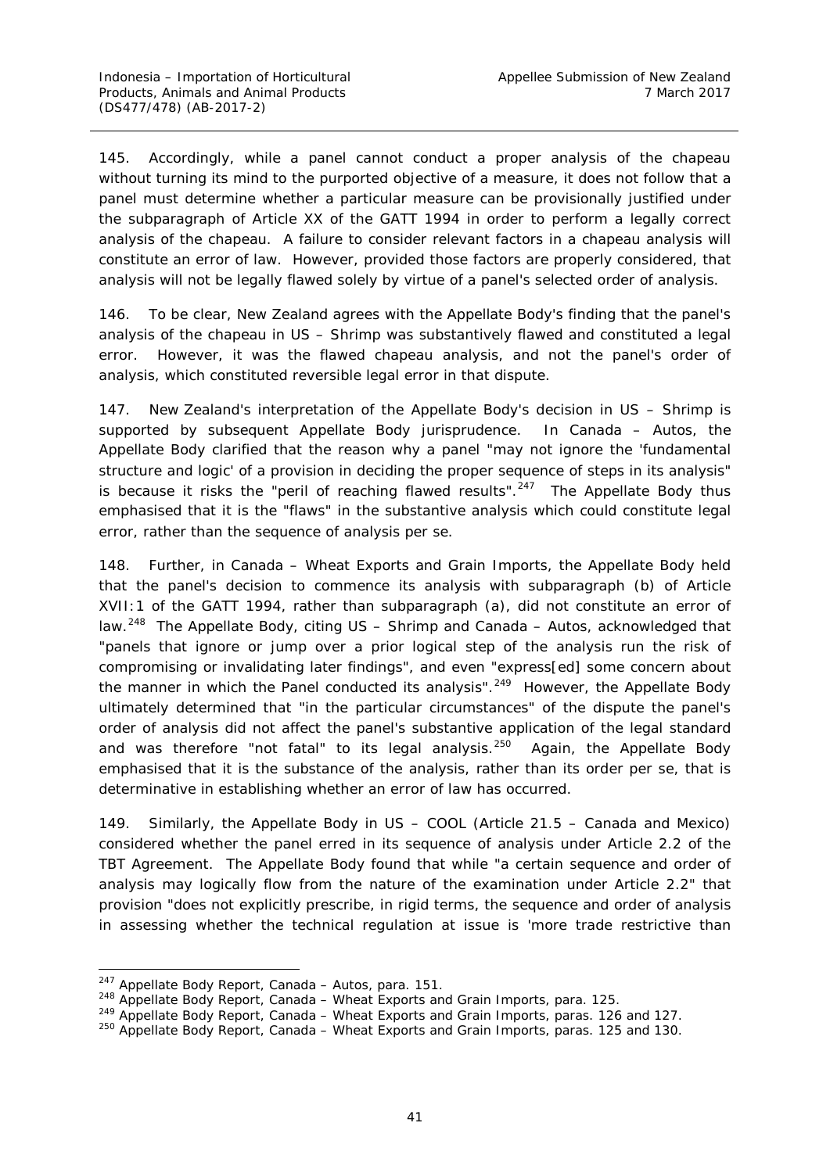145. Accordingly, while a panel cannot conduct a proper analysis of the *chapeau* without turning its mind to the purported objective of a measure, it does not follow that a panel must *determine whether a particular measure can be provisionally justified* under the subparagraph of Article XX of the GATT 1994 in order to perform a legally correct analysis of the *chapeau*. A failure to consider relevant factors in a *chapeau* analysis will constitute an error of law. However, provided those factors are properly considered, that analysis will not be legally flawed solely by virtue of a panel's selected order of analysis.

146. To be clear, New Zealand agrees with the Appellate Body's finding that the panel's analysis of the *chapeau* in *US – Shrimp* was substantively flawed and constituted a legal error. However, it was the *flawed chapeau analysis*, and not the panel's order of analysis, which constituted reversible legal error in that dispute.

147. New Zealand's interpretation of the Appellate Body's decision in *US – Shrimp* is supported by subsequent Appellate Body jurisprudence. In *Canada – Autos*, the Appellate Body clarified that the reason why a panel "may not ignore the 'fundamental structure and logic' of a provision in deciding the proper sequence of steps in its analysis" is because it risks the "peril of reaching flawed results".<sup>247</sup> The Appellate Body thus emphasised that it is the "flaws" in the substantive analysis which could constitute legal error, rather than the sequence of analysis *per se*.

148. Further, in *Canada – Wheat Exports and Grain Imports*, the Appellate Body held that the panel's decision to commence its analysis with subparagraph (b) of Article XVII:1 of the GATT 1994, rather than subparagraph (a), did not constitute an error of law.[248](#page-47-1) The Appellate Body, citing *US – Shrimp* and *Canada – Autos*, acknowledged that "panels that ignore or jump over a prior logical step of the analysis run the risk of compromising or invalidating later findings", and even "express[ed] some concern about the manner in which the Panel conducted its analysis".<sup>249</sup> However, the Appellate Body ultimately determined that "in the particular circumstances" of the dispute the panel's order of analysis did not affect the panel's substantive application of the legal standard and was therefore "not fatal" to its legal analysis.<sup>250</sup> Again, the Appellate Body emphasised that it is the substance of the analysis, rather than its order *per se*, that is determinative in establishing whether an error of law has occurred.

149. Similarly, the Appellate Body in *US – COOL (Article 21.5 – Canada and Mexico)* considered whether the panel erred in its sequence of analysis under Article 2.2 of the TBT Agreement. The Appellate Body found that while "a certain sequence and order of analysis may logically flow from the nature of the examination under Article 2.2" that provision "does not explicitly prescribe, in rigid terms, the sequence and order of analysis in assessing whether the technical regulation at issue is 'more trade restrictive than

<span id="page-47-0"></span> <sup>247</sup> Appellate Body Report, *Canada – Autos*, para. 151.

<span id="page-47-2"></span><span id="page-47-1"></span><sup>&</sup>lt;sup>249</sup> Appellate Body Report, *Canada – Wheat Exports and Grain Imports*, paras. 126 and 127.

<span id="page-47-3"></span><sup>250</sup> Appellate Body Report, *Canada – Wheat Exports and Grain Imports,* paras. 125 and 130.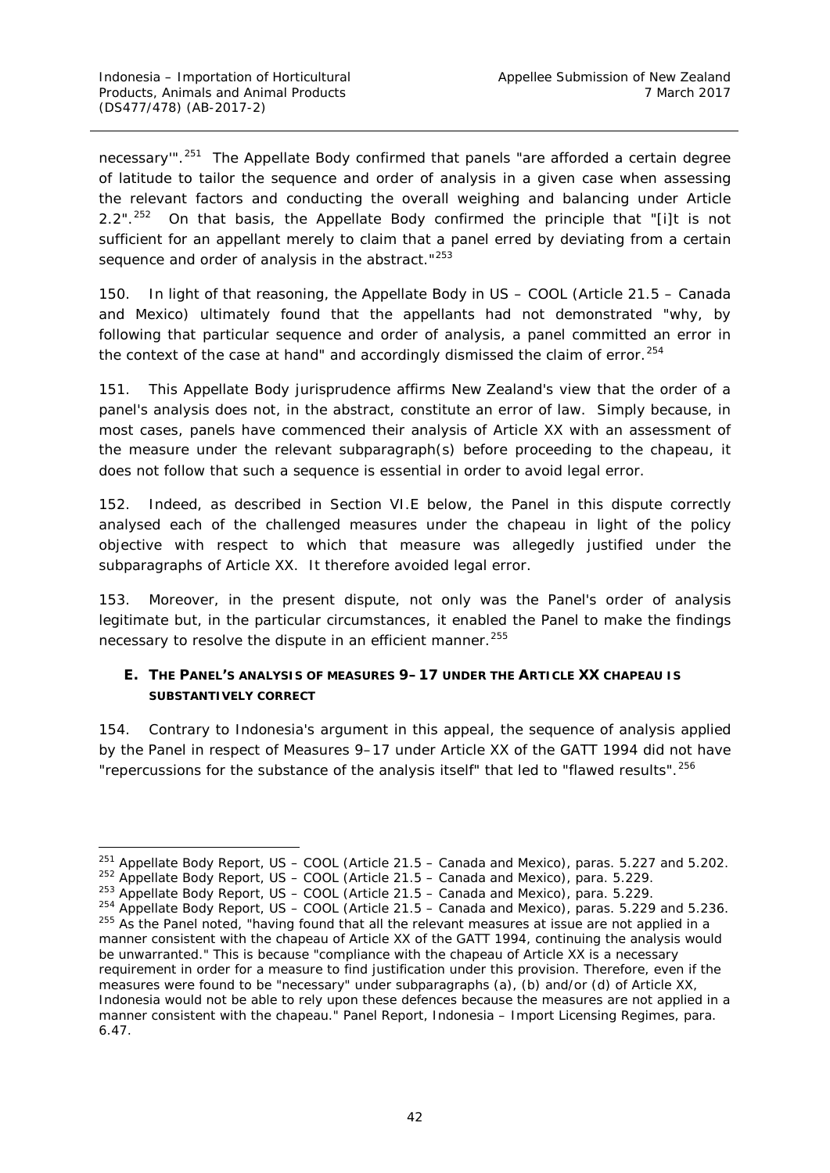necessary"<sup>" 251</sup> The Appellate Body confirmed that panels "are afforded a certain degree of latitude to tailor the sequence and order of analysis in a given case when assessing the relevant factors and conducting the overall weighing and balancing under Article 2.2".<sup>[252](#page-48-2)</sup> On that basis, the Appellate Body confirmed the principle that "[i]t is not sufficient for an appellant merely to claim that a panel erred by deviating from a certain sequence and order of analysis in the abstract."<sup>[253](#page-48-3)</sup>

150. In light of that reasoning, the Appellate Body in *US – COOL (Article 21.5 – Canada and Mexico)* ultimately found that the appellants had not demonstrated "why, by following that particular sequence and order of analysis, a panel committed an error in the context of the case at hand" and accordingly dismissed the claim of error.<sup>[254](#page-48-4)</sup>

151. This Appellate Body jurisprudence affirms New Zealand's view that the order of a panel's analysis does not, in the abstract, constitute an error of law. Simply because, in most cases, panels have commenced their analysis of Article XX with an assessment of the measure under the relevant subparagraph(s) before proceeding to the *chapeau*, it does not follow that such a sequence is essential in order to avoid legal error.

152. Indeed, as described in Section VI.E below, the Panel in this dispute correctly analysed each of the challenged measures under the *chapeau* in light of the policy objective with respect to which that measure was allegedly justified under the subparagraphs of Article XX. It therefore avoided legal error.

153. Moreover, in the present dispute, not only was the Panel's order of analysis legitimate but, in the particular circumstances, it enabled the Panel to make the findings necessary to resolve the dispute in an efficient manner.<sup>[255](#page-48-5)</sup>

# <span id="page-48-0"></span>**E. THE PANEL'S ANALYSIS OF MEASURES 9–17 UNDER THE ARTICLE XX** *CHAPEAU* **IS SUBSTANTIVELY CORRECT**

<span id="page-48-6"></span>154. Contrary to Indonesia's argument in this appeal, the sequence of analysis applied by the Panel in respect of Measures 9–17 under Article XX of the GATT 1994 did not have "repercussions for the substance of the analysis itself" that led to "flawed results".<sup>[256](#page-48-6)</sup>

<span id="page-48-1"></span> <sup>251</sup> Appellate Body Report, *US – COOL (Article 21.5 – Canada and Mexico),* paras. 5.227 and 5.202.

<span id="page-48-2"></span><sup>252</sup> Appellate Body Report, *US – COOL (Article 21.5 – Canada and Mexico),* para. 5.229.

<sup>253</sup> Appellate Body Report, *US – COOL (Article 21.5 – Canada and Mexico),* para. 5.229.

<span id="page-48-5"></span><span id="page-48-4"></span><span id="page-48-3"></span><sup>254</sup> Appellate Body Report, *US – COOL (Article 21.5 – Canada and Mexico),* paras. 5.229 and 5.236. <sup>255</sup> As the Panel noted, "having found that *all* the relevant measures at issue are not applied in a manner consistent with the *chapeau* of Article XX of the GATT 1994, continuing the analysis would be unwarranted." This is because "compliance with the *chapeau* of Article XX is a necessary requirement in order for a measure to find justification under this provision. Therefore, even if the measures were found to be "necessary" under subparagraphs (a), (b) and/or (d) of Article XX, Indonesia would not be able to rely upon these defences because the measures are not applied in a manner consistent with the *chapeau*." Panel Report, *Indonesia – Import Licensing Regimes*, para. 6.47.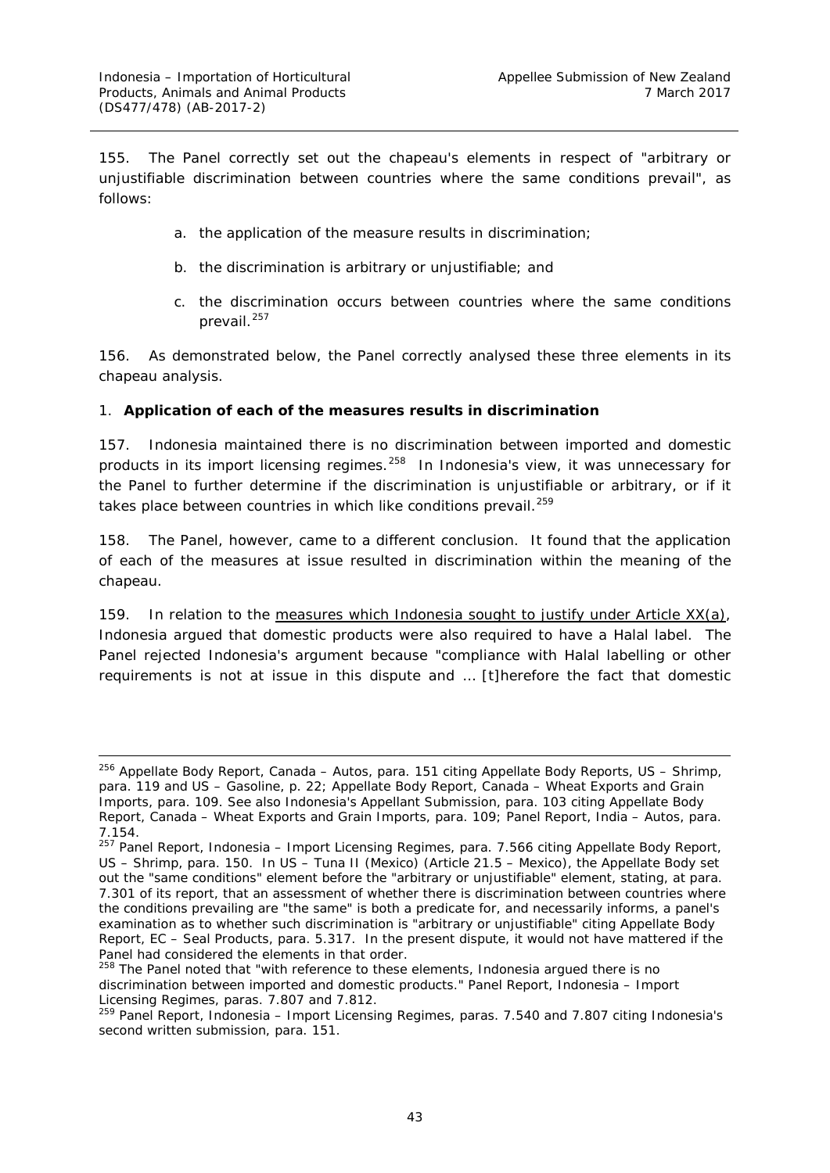155. The Panel correctly set out the *chapeau*'s elements in respect of "arbitrary or unjustifiable discrimination between countries where the same conditions prevail", as follows:

- a. the application of the measure results in discrimination;
- b. the discrimination is arbitrary or unjustifiable; and
- c. the discrimination occurs between countries where the same conditions prevail.<sup>[257](#page-49-1)</sup>

156. As demonstrated below, the Panel correctly analysed these three elements in its *chapeau* analysis.

#### <span id="page-49-0"></span>*1. Application of each of the measures results in discrimination*

157. Indonesia maintained there is no discrimination between imported and domestic products in its import licensing regimes.<sup>[258](#page-49-2)</sup> In Indonesia's view, it was unnecessary for the Panel to further determine if the discrimination is unjustifiable or arbitrary, or if it takes place between countries in which like conditions prevail.<sup>[259](#page-49-3)</sup>

158. The Panel, however, came to a different conclusion. It found that the application of each of the measures at issue resulted in discrimination within the meaning of the *chapeau*.

159. In relation to the measures which Indonesia sought to justify under Article  $XX(a)$ , Indonesia argued that domestic products were also required to have a Halal label. The Panel rejected Indonesia's argument because "compliance with Halal labelling or other requirements is not at issue in this dispute and … [t]herefore the fact that domestic

 <sup>256</sup> Appellate Body Report, *Canada – Autos*, para. 151 citing Appellate Body Reports, *US – Shrimp*, para. 119 and *US – Gasoline*, p. 22; Appellate Body Report, *Canada – Wheat Exports and Grain Imports*, para. 109. See also Indonesia's Appellant Submission, para. 103 citing Appellate Body Report, *Canada – Wheat Exports and Grain Imports*, para. 109; Panel Report, *India – Autos*, para. 7.154.

<span id="page-49-1"></span><sup>257</sup> Panel Report, *Indonesia – Import Licensing Regimes*, para. 7.566 citing Appellate Body Report, *US – Shrimp*, para. 150. In *US – Tuna II (Mexico) (Article 21.5 – Mexico)*, the Appellate Body set out the "same conditions" element before the "arbitrary or unjustifiable" element, stating, at para. 7.301 of its report, that an assessment of whether there is discrimination between countries where the conditions prevailing are "the same" is both a predicate for, and necessarily informs, a panel's examination as to whether such discrimination is "arbitrary or unjustifiable" citing Appellate Body Report, *EC – Seal Products*, para. 5.317. In the present dispute, it would not have mattered if the Panel had considered the elements in that order.

<span id="page-49-2"></span><sup>&</sup>lt;sup>258</sup> The Panel noted that "with reference to these elements, Indonesia argued there is no discrimination between imported and domestic products." Panel Report, *Indonesia – Import Licensing Regimes*, paras. 7.807 and 7.812.

<span id="page-49-3"></span><sup>259</sup> Panel Report, *Indonesia – Import Licensing Regimes*, paras. 7.540 and 7.807 citing Indonesia's second written submission, para. 151.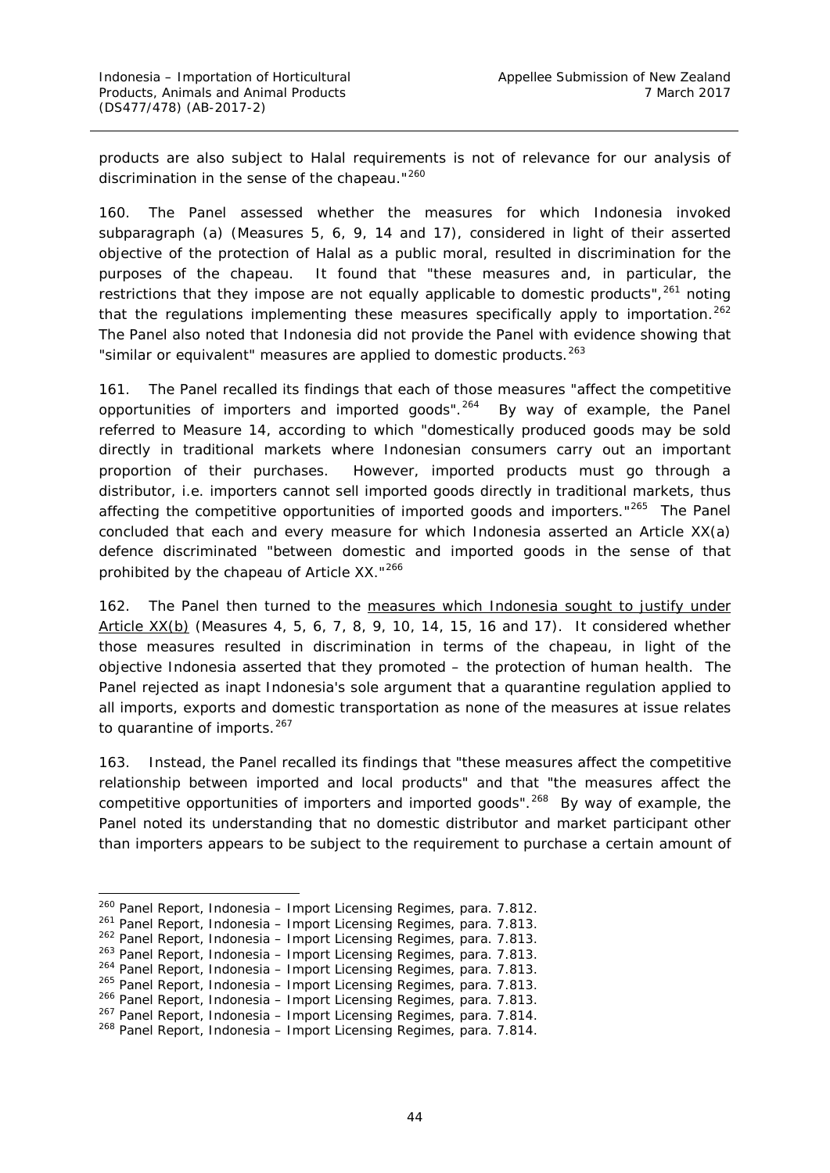products are also subject to Halal requirements is not of relevance for our analysis of discrimination in the sense of the *chapeau*."[260](#page-50-0)

160. The Panel assessed whether the measures for which Indonesia invoked subparagraph (a) (Measures 5, 6, 9, 14 and 17), considered in light of their asserted objective of the protection of Halal as a public moral, resulted in discrimination for the purposes of the *chapeau*. It found that "these measures and, in particular, the restrictions that they impose are not equally applicable to domestic products",<sup>[261](#page-50-1)</sup> noting that the regulations implementing these measures specifically apply to importation.<sup>[262](#page-50-2)</sup> The Panel also noted that Indonesia did not provide the Panel with evidence showing that "similar or equivalent" measures are applied to domestic products.<sup>[263](#page-50-3)</sup>

161. The Panel recalled its findings that each of those measures "affect the competitive opportunities of importers and imported goods".<sup>264</sup> By way of example, the Panel referred to Measure 14, according to which "domestically produced goods may be sold directly in traditional markets where Indonesian consumers carry out an important proportion of their purchases. However, imported products must go through a distributor, i.e. importers cannot sell imported goods directly in traditional markets, thus affecting the competitive opportunities of imported goods and importers."<sup>265</sup> The Panel concluded that each and every measure for which Indonesia asserted an Article XX(a) defence discriminated "between domestic and imported goods in the sense of that prohibited by the *chapeau* of Article XX."[266](#page-50-6)

162. The Panel then turned to the measures which Indonesia sought to justify under Article XX(b) (Measures 4, 5, 6, 7, 8, 9, 10, 14, 15, 16 and 17). It considered whether those measures resulted in discrimination in terms of the *chapeau*, in light of the objective Indonesia asserted that they promoted – the protection of human health. The Panel rejected as inapt Indonesia's sole argument that a quarantine regulation applied to all imports, exports and domestic transportation as none of the measures at issue relates to quarantine of imports. $267$ 

163. Instead, the Panel recalled its findings that "these measures affect the competitive relationship between imported and local products" and that "the measures affect the competitive opportunities of importers and imported goods".<sup>268</sup> By way of example, the Panel noted its understanding that no domestic distributor and market participant other than importers appears to be subject to the requirement to purchase a certain amount of

<span id="page-50-0"></span> <sup>260</sup> Panel Report, *Indonesia – Import Licensing Regimes*, para. 7.812.

<span id="page-50-1"></span><sup>261</sup> Panel Report, *Indonesia – Import Licensing Regimes*, para. 7.813.

<sup>262</sup> Panel Report, *Indonesia – Import Licensing Regimes*, para. 7.813.

<span id="page-50-4"></span><span id="page-50-3"></span><span id="page-50-2"></span><sup>263</sup> Panel Report, *Indonesia – Import Licensing Regimes*, para. 7.813.

<sup>264</sup> Panel Report, *Indonesia – Import Licensing Regimes*, para. 7.813.

<sup>265</sup> Panel Report, *Indonesia – Import Licensing Regimes*, para. 7.813.

<span id="page-50-6"></span><span id="page-50-5"></span><sup>266</sup> Panel Report, *Indonesia – Import Licensing Regimes*, para. 7.813.

<sup>267</sup> Panel Report, *Indonesia – Import Licensing Regimes*, para. 7.814.

<span id="page-50-8"></span><span id="page-50-7"></span><sup>268</sup> Panel Report, *Indonesia – Import Licensing Regimes*, para. 7.814.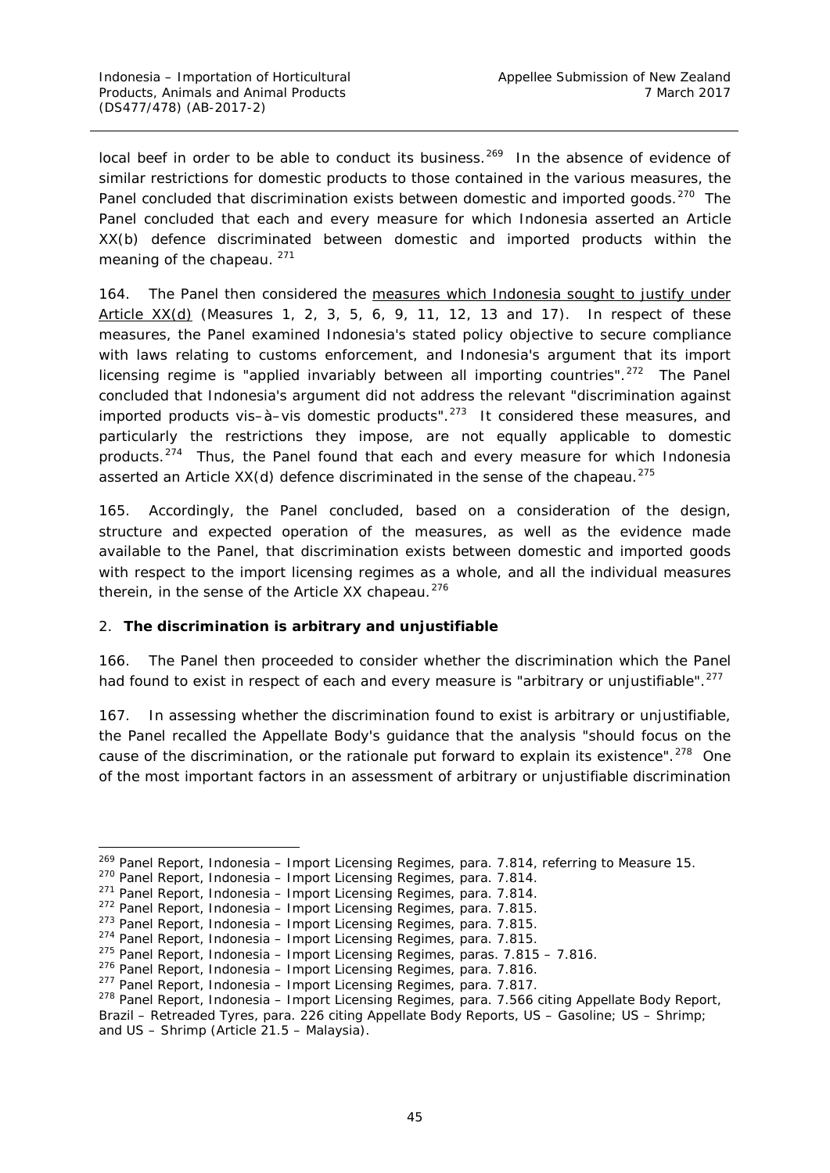local beef in order to be able to conduct its business.<sup>[269](#page-51-1)</sup> In the absence of evidence of similar restrictions for domestic products to those contained in the various measures, the Panel concluded that discrimination exists between domestic and imported goods.<sup>[270](#page-51-2)</sup> The Panel concluded that each and every measure for which Indonesia asserted an Article XX(b) defence discriminated between domestic and imported products within the meaning of the *chapeau*.<sup>[271](#page-51-3)</sup>

164. The Panel then considered the measures which Indonesia sought to justify under Article XX(d) (Measures 1, 2, 3, 5, 6, 9, 11, 12, 13 and 17). In respect of these measures, the Panel examined Indonesia's stated policy objective to secure compliance with laws relating to customs enforcement, and Indonesia's argument that its import licensing regime is "applied invariably between all importing countries".<sup>272</sup> The Panel concluded that Indonesia's argument did not address the relevant "discrimination against imported products vis-à-vis domestic products".<sup>273</sup> It considered these measures, and particularly the restrictions they impose, are not equally applicable to domestic products.[274](#page-51-6) Thus, the Panel found that each and every measure for which Indonesia asserted an Article XX(d) defence discriminated in the sense of the *chapeau*. [275](#page-51-7)

165. Accordingly, the Panel concluded, based on a consideration of the design, structure and expected operation of the measures, as well as the evidence made available to the Panel, that discrimination exists between domestic and imported goods with respect to the import licensing regimes as a whole, and all the individual measures therein, in the sense of the Article XX *chapeau*. [276](#page-51-8)

### <span id="page-51-0"></span>*2. The discrimination is arbitrary and unjustifiable*

166. The Panel then proceeded to consider whether the discrimination which the Panel had found to exist in respect of each and every measure is "arbitrary or unjustifiable".<sup>[277](#page-51-9)</sup>

167. In assessing whether the discrimination found to exist is arbitrary or unjustifiable, the Panel recalled the Appellate Body's guidance that the analysis "should focus on the cause of the discrimination, or the rationale put forward to explain its existence".<sup>278</sup> One of the most important factors in an assessment of arbitrary or unjustifiable discrimination

<span id="page-51-1"></span> <sup>269</sup> Panel Report, *Indonesia – Import Licensing Regimes*, para. 7.814, referring to Measure 15.

<span id="page-51-2"></span><sup>270</sup> Panel Report, *Indonesia – Import Licensing Regimes*, para. 7.814.

<span id="page-51-3"></span><sup>271</sup> Panel Report, *Indonesia – Import Licensing Regimes*, para. 7.814.

<span id="page-51-4"></span><sup>272</sup> Panel Report, *Indonesia – Import Licensing Regimes*, para. 7.815.

<span id="page-51-5"></span><sup>273</sup> Panel Report, *Indonesia – Import Licensing Regimes*, para. 7.815.

<sup>274</sup> Panel Report, *Indonesia – Import Licensing Regimes*, para. 7.815.

<span id="page-51-8"></span><span id="page-51-7"></span><span id="page-51-6"></span><sup>275</sup> Panel Report, *Indonesia – Import Licensing Regimes*, paras. 7.815 – 7.816.

<sup>276</sup> Panel Report, *Indonesia – Import Licensing Regimes*, para. 7.816.

<span id="page-51-9"></span><sup>277</sup> Panel Report, *Indonesia – Import Licensing Regimes*, para. 7.817.

<span id="page-51-10"></span><sup>278</sup> Panel Report, *Indonesia – Import Licensing Regimes*, para. 7.566 citing Appellate Body Report, *Brazil – Retreaded Tyres*, para. 226 citing Appellate Body Reports, *US – Gasoline*; *US – Shrimp*; and *US – Shrimp (Article 21.5 – Malaysia*).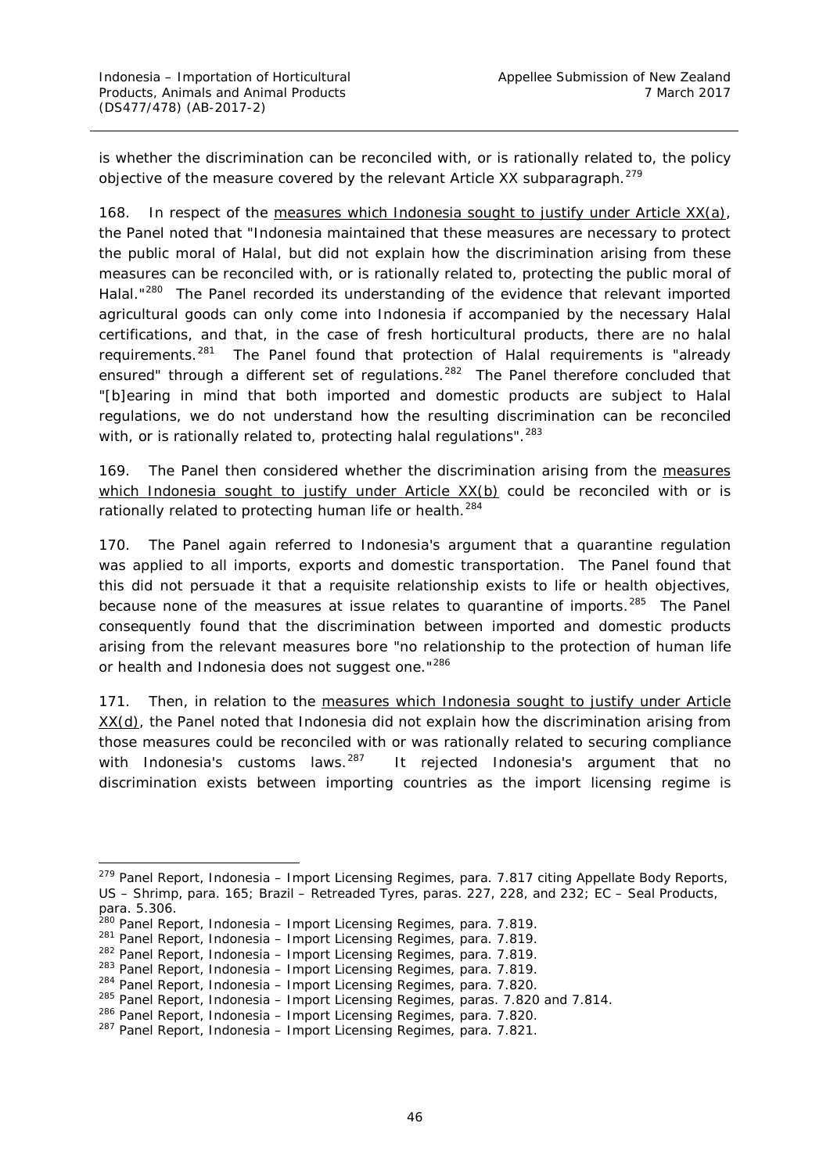is whether the discrimination can be reconciled with, or is rationally related to, the policy objective of the measure covered by the relevant Article XX subparagraph.<sup>[279](#page-52-0)</sup>

168. In respect of the measures which Indonesia sought to justify under Article XX(a), the Panel noted that "Indonesia maintained that these measures are necessary to protect the public moral of Halal, but did not explain how the discrimination arising from these measures can be reconciled with, or is rationally related to, protecting the public moral of Halal."<sup>280</sup> The Panel recorded its understanding of the evidence that relevant imported agricultural goods can only come into Indonesia if accompanied by the necessary Halal certifications, and that, in the case of fresh horticultural products, there are no halal requirements.<sup>[281](#page-52-2)</sup> The Panel found that protection of Halal requirements is "already ensured" through a different set of regulations.<sup>[282](#page-52-3)</sup> The Panel therefore concluded that "[b]earing in mind that both imported and domestic products are subject to Halal regulations, we do not understand how the resulting discrimination can be reconciled with, or is rationally related to, protecting halal regulations". <sup>[283](#page-52-4)</sup>

169. The Panel then considered whether the discrimination arising from the measures which Indonesia sought to justify under Article XX(b) could be reconciled with or is rationally related to protecting human life or health.<sup>[284](#page-52-5)</sup>

170. The Panel again referred to Indonesia's argument that a quarantine regulation was applied to all imports, exports and domestic transportation. The Panel found that this did not persuade it that a requisite relationship exists to life or health objectives, because none of the measures at issue relates to quarantine of imports.<sup>285</sup> The Panel consequently found that the discrimination between imported and domestic products arising from the relevant measures bore "no relationship to the protection of human life or health and Indonesia does not suggest one."<sup>[286](#page-52-7)</sup>

171. Then, in relation to the measures which Indonesia sought to justify under Article XX(d), the Panel noted that Indonesia did not explain how the discrimination arising from those measures could be reconciled with or was rationally related to securing compliance with Indonesia's customs laws.<sup>287</sup> It rejected Indonesia's argument that no discrimination exists between importing countries as the import licensing regime is

<span id="page-52-0"></span> <sup>279</sup> Panel Report, *Indonesia – Import Licensing Regimes*, para. 7.817 citing Appellate Body Reports, *US – Shrimp*, para. 165; *Brazil – Retreaded Tyres*, paras. 227, 228, and 232; *EC – Seal Products*, para. 5.306.

<sup>280</sup> Panel Report, *Indonesia – Import Licensing Regimes*, para. 7.819.

<span id="page-52-2"></span><span id="page-52-1"></span><sup>281</sup> Panel Report, *Indonesia – Import Licensing Regimes*, para. 7.819.

<span id="page-52-4"></span><span id="page-52-3"></span><sup>282</sup> Panel Report, *Indonesia – Import Licensing Regimes*, para. 7.819.

<sup>283</sup> Panel Report, *Indonesia – Import Licensing Regimes*, para. 7.819.

<span id="page-52-5"></span><sup>284</sup> Panel Report, *Indonesia – Import Licensing Regimes*, para. 7.820.

<sup>285</sup> Panel Report, *Indonesia – Import Licensing Regimes*, paras. 7.820 and 7.814.

<span id="page-52-7"></span><span id="page-52-6"></span><sup>286</sup> Panel Report, *Indonesia – Import Licensing Regimes*, para. 7.820.

<span id="page-52-8"></span><sup>287</sup> Panel Report, *Indonesia – Import Licensing Regimes*, para. 7.821.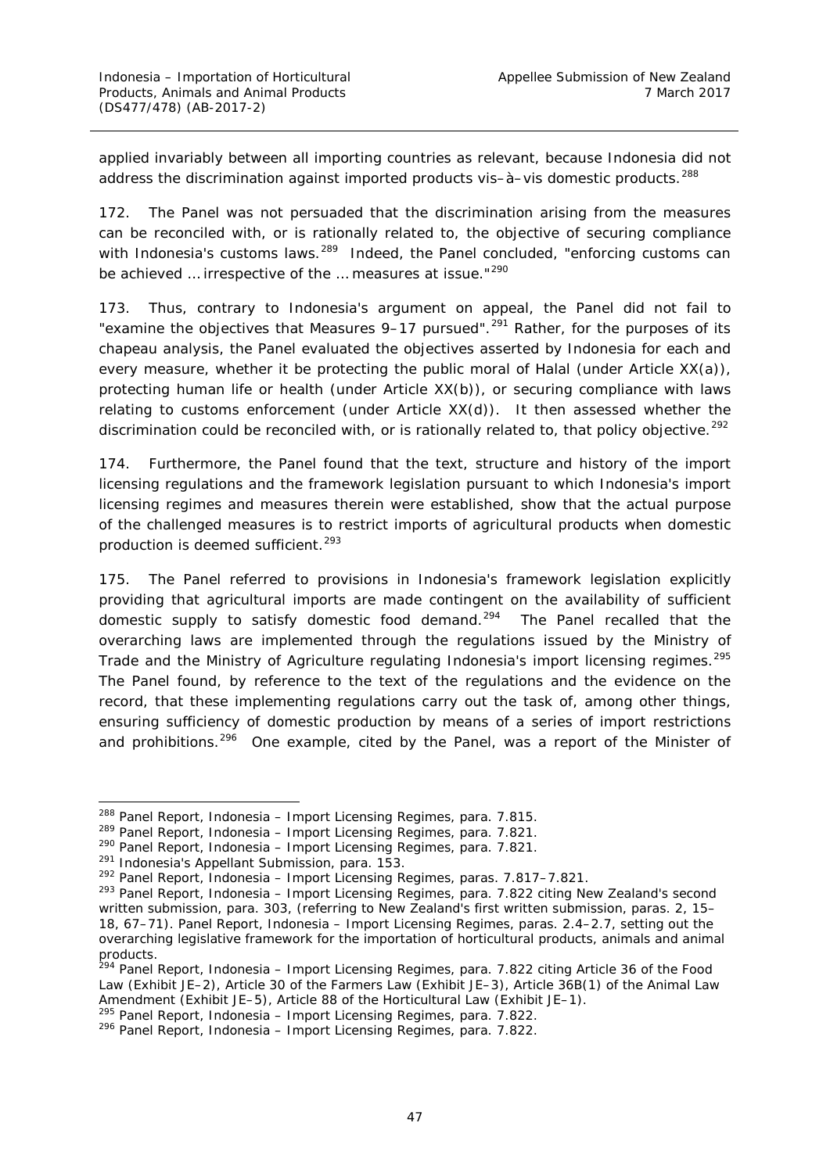applied invariably between all importing countries as relevant, because Indonesia did not address the discrimination against imported products vis-à-vis domestic products.<sup>[288](#page-53-0)</sup>

172. The Panel was not persuaded that the discrimination arising from the measures can be reconciled with, or is rationally related to, the objective of securing compliance with Indonesia's customs laws.<sup>289</sup> Indeed, the Panel concluded, "enforcing customs can be achieved ... irrespective of the ... measures at issue."<sup>[290](#page-53-2)</sup>

173. Thus, contrary to Indonesia's argument on appeal, the Panel did not fail to "examine the objectives that Measures 9–17 pursued".<sup>[291](#page-53-3)</sup> Rather, for the purposes of its *chapeau* analysis, the Panel evaluated the objectives asserted by Indonesia for each and every measure, whether it be protecting the public moral of Halal (under Article  $XX(a)$ ), protecting human life or health (under Article XX(b)), or securing compliance with laws relating to customs enforcement (under Article XX(d)). It then assessed whether the discrimination could be reconciled with, or is rationally related to, that policy objective.<sup>[292](#page-53-4)</sup>

174. Furthermore, the Panel found that the text, structure and history of the import licensing regulations and the framework legislation pursuant to which Indonesia's import licensing regimes and measures therein were established, show that the actual purpose of the challenged measures is to restrict imports of agricultural products when domestic production is deemed sufficient. [293](#page-53-5)

175. The Panel referred to provisions in Indonesia's framework legislation explicitly providing that agricultural imports are made contingent on the availability of sufficient domestic supply to satisfy domestic food demand.<sup>[294](#page-53-6)</sup> The Panel recalled that the overarching laws are implemented through the regulations issued by the Ministry of Trade and the Ministry of Agriculture regulating Indonesia's import licensing regimes.<sup>[295](#page-53-7)</sup> The Panel found, by reference to the text of the regulations and the evidence on the record, that these implementing regulations carry out the task of, among other things, ensuring sufficiency of domestic production by means of a series of import restrictions and prohibitions.<sup>[296](#page-53-8)</sup> One example, cited by the Panel, was a report of the Minister of

<span id="page-53-0"></span> <sup>288</sup> Panel Report, *Indonesia – Import Licensing Regimes*, para. 7.815.

<span id="page-53-1"></span><sup>289</sup> Panel Report, *Indonesia – Import Licensing Regimes*, para. 7.821.

<span id="page-53-2"></span><sup>290</sup> Panel Report, *Indonesia – Import Licensing Regimes*, para. 7.821.

<span id="page-53-3"></span><sup>&</sup>lt;sup>291</sup> Indonesia's Appellant Submission, para. 153.

<span id="page-53-4"></span><sup>292</sup> Panel Report, *Indonesia – Import Licensing Regimes*, paras. 7.817–7.821.

<span id="page-53-5"></span><sup>293</sup> Panel Report, *Indonesia – Import Licensing Regimes*, para. 7.822 citing New Zealand's second written submission, para. 303, (referring to New Zealand's first written submission, paras. 2, 15– 18, 67–71). Panel Report, *Indonesia – Import Licensing Regimes*, paras. 2.4–2.7, setting out the overarching legislative framework for the importation of horticultural products, animals and animal products.

<span id="page-53-6"></span><sup>294</sup> Panel Report, *Indonesia – Import Licensing Regimes*, para. 7.822 citing Article 36 of the Food Law (Exhibit JE–2), Article 30 of the Farmers Law (Exhibit JE–3), Article 36B(1) of the Animal Law Amendment (Exhibit JE–5), Article 88 of the Horticultural Law (Exhibit JE–1).

<span id="page-53-7"></span><sup>&</sup>lt;sup>295</sup> Panel Report, *Indonesia – Import Licensing Regimes*, para. 7.822.<br><sup>296</sup> Panel Report, *Indonesia – Import Licensing Regimes*, para. 7.822.

<span id="page-53-8"></span>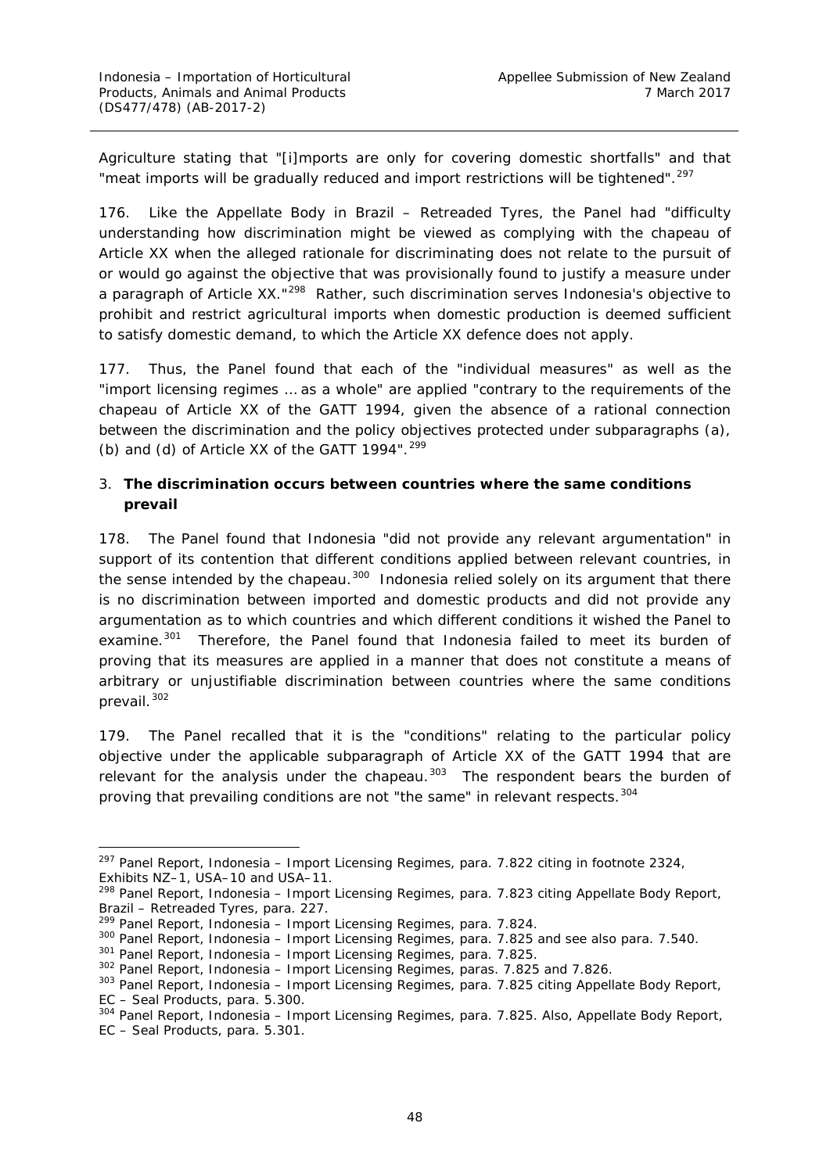Agriculture stating that "[i]mports are only for covering domestic shortfalls" and that "meat imports will be gradually reduced and import restrictions will be tightened".<sup>[297](#page-54-1)</sup>

176. Like the Appellate Body in *Brazil – Retreaded Tyres*, the Panel had "difficulty understanding how discrimination might be viewed as complying with the *chapeau* of Article XX when the alleged rationale for discriminating does not relate to the pursuit of or would go against the objective that was provisionally found to justify a measure under a paragraph of Article XX."<sup>[298](#page-54-2)</sup> Rather, such discrimination serves Indonesia's objective to prohibit and restrict agricultural imports when domestic production is deemed sufficient to satisfy domestic demand, to which the Article XX defence does not apply.

177. Thus, the Panel found that each of the "individual measures" as well as the "import licensing regimes … as a whole" are applied "contrary to the requirements of the *chapeau* of Article XX of the GATT 1994, given the absence of a rational connection between the discrimination and the policy objectives protected under subparagraphs (a), (b) and (d) of Article XX of the GATT 1994". $299$ 

# <span id="page-54-0"></span>*3. The discrimination occurs between countries where the same conditions prevail*

178. The Panel found that Indonesia "did not provide any relevant argumentation" in support of its contention that different conditions applied between relevant countries, in the sense intended by the *chapeau*. [300](#page-54-4) Indonesia relied solely on its argument that there is no discrimination between imported and domestic products and did not provide any argumentation as to which countries and which different conditions it wished the Panel to examine.<sup>301</sup> Therefore, the Panel found that Indonesia failed to meet its burden of proving that its measures are applied in a manner that does not constitute a means of arbitrary or unjustifiable discrimination *between countries where the same conditions prevail*. [302](#page-54-6)

179. The Panel recalled that it is the "conditions" relating to the particular policy objective under the applicable subparagraph of Article XX of the GATT 1994 that are relevant for the analysis under the *chapeau*. [303](#page-54-7) The respondent bears the burden of proving that prevailing conditions are not "the same" in relevant respects.<sup>[304](#page-54-8)</sup>

<span id="page-54-1"></span> <sup>297</sup> Panel Report, *Indonesia – Import Licensing Regimes*, para. 7.822 citing in footnote 2324, Exhibits NZ–1, USA–10 and USA–11.

<span id="page-54-2"></span><sup>298</sup> Panel Report, *Indonesia – Import Licensing Regimes*, para. 7.823 citing Appellate Body Report, *Brazil – Retreaded Tyres*, para. 227.

<span id="page-54-3"></span><sup>299</sup> Panel Report, *Indonesia – Import Licensing Regimes*, para. 7.824.

<span id="page-54-4"></span><sup>300</sup> Panel Report, *Indonesia – Import Licensing Regimes*, para. 7.825 and see also para. 7.540.

<span id="page-54-5"></span><sup>301</sup> Panel Report, *Indonesia – Import Licensing Regimes*, para. 7.825.

<span id="page-54-6"></span><sup>302</sup> Panel Report, *Indonesia – Import Licensing Regimes*, paras. 7.825 and 7.826.

<span id="page-54-7"></span><sup>303</sup> Panel Report, *Indonesia – Import Licensing Regimes*, para. 7.825 citing Appellate Body Report, *EC – Seal Products*, para. 5.300.

<span id="page-54-8"></span><sup>304</sup> Panel Report, *Indonesia – Import Licensing Regimes*, para. 7.825. Also, Appellate Body Report, *EC – Seal Products*, para. 5.301.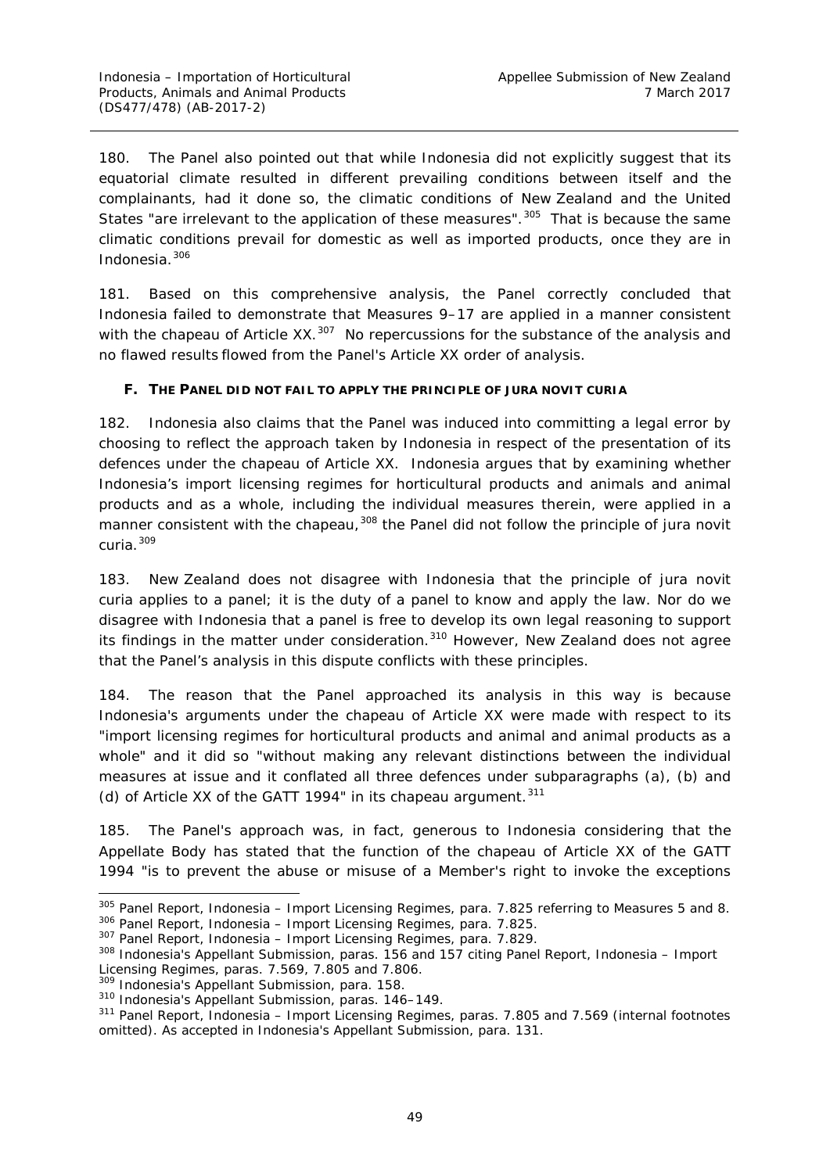180. The Panel also pointed out that while Indonesia did not explicitly suggest that its equatorial climate resulted in different prevailing conditions between itself and the complainants, had it done so, the climatic conditions of New Zealand and the United States "are irrelevant to the application of these measures".<sup>[305](#page-55-1)</sup> That is because the same climatic conditions prevail for domestic as well as imported products, once they are in Indonesia.[306](#page-55-2)

181. Based on this comprehensive analysis, the Panel correctly concluded that Indonesia failed to demonstrate that Measures 9–17 are applied in a manner consistent with the *chapeau* of Article XX.<sup>[307](#page-55-3)</sup> No repercussions for the substance of the analysis and no flawed results flowed from the Panel's Article XX order of analysis.

#### <span id="page-55-0"></span>**F. THE PANEL DID NOT FAIL TO APPLY THE PRINCIPLE OF** *JURA NOVIT CURIA*

182. Indonesia also claims that the Panel was induced into committing a legal error by choosing to reflect the approach taken by Indonesia in respect of the presentation of its defences under the *chapeau* of Article XX. Indonesia argues that by examining whether Indonesia's import licensing regimes for horticultural products and animals and animal products and as a whole, including the individual measures therein, were applied in a manner consistent with the *chapeau*, [308](#page-55-4) the Panel did not follow the principle of *jura novit curia*. [309](#page-55-5)

183. New Zealand does not disagree with Indonesia that the principle of *jura novit curia* applies to a panel; it is the duty of a panel to know and apply the law. Nor do we disagree with Indonesia that a panel is free to develop its own legal reasoning to support its findings in the matter under consideration.<sup>[310](#page-55-6)</sup> However, New Zealand does not agree that the Panel's analysis in this dispute conflicts with these principles.

184. The reason that the Panel approached its analysis in this way is because Indonesia's arguments under the *chapeau* of Article XX were made with respect to its "import licensing regimes for horticultural products and animal and animal products as a whole" and it did so "without making any relevant distinctions between the individual measures at issue and it conflated all three defences under subparagraphs (a), (b) and (d) of Article XX of the GATT 1994" in its *chapeau* argument.<sup>[311](#page-55-7)</sup>

185. The Panel's approach was, in fact, generous to Indonesia considering that the Appellate Body has stated that the function of the *chapeau* of Article XX of the GATT 1994 "is to prevent the abuse or misuse of a Member's right to invoke the exceptions

<span id="page-55-2"></span><span id="page-55-1"></span> <sup>305</sup> Panel Report, *Indonesia – Import Licensing Regimes*, para. 7.825 referring to Measures 5 and 8. <sup>306</sup> Panel Report, *Indonesia – Import Licensing Regimes*, para. 7.825.

<span id="page-55-3"></span><sup>307</sup> Panel Report, *Indonesia – Import Licensing Regimes*, para. 7.829.

<span id="page-55-4"></span><sup>308</sup> Indonesia's Appellant Submission, paras. 156 and 157 citing Panel Report, *Indonesia – Import Licensing Regimes*, paras. 7.569, 7.805 and 7.806.

<span id="page-55-5"></span><sup>309</sup> Indonesia's Appellant Submission, para. 158.

<span id="page-55-6"></span><sup>310</sup> Indonesia's Appellant Submission, paras. 146–149.

<span id="page-55-7"></span><sup>311</sup> Panel Report, *Indonesia – Import Licensing Regimes*, paras. 7.805 and 7.569 (internal footnotes omitted). As accepted in Indonesia's Appellant Submission, para. 131.